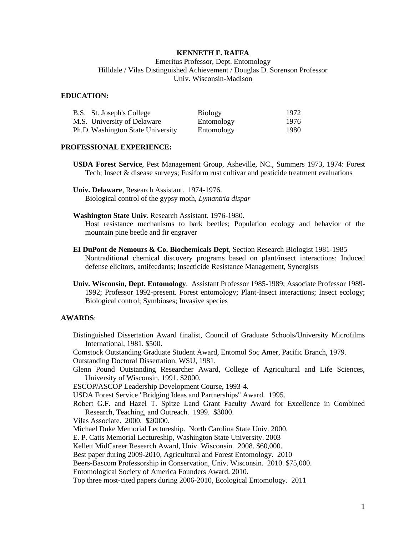# **KENNETH F. RAFFA**

Emeritus Professor, Dept. Entomology Hilldale / Vilas Distinguished Achievement / Douglas D. Sorenson Professor Univ. Wisconsin-Madison

#### **EDUCATION:**

| B.S. St. Joseph's College         | <b>Biology</b> | 1972 |
|-----------------------------------|----------------|------|
| M.S. University of Delaware       | Entomology     | 1976 |
| Ph.D. Washington State University | Entomology     | 1980 |

#### **PROFESSIONAL EXPERIENCE:**

- **USDA Forest Service**, Pest Management Group, Asheville, NC., Summers 1973, 1974: Forest Tech; Insect & disease surveys; Fusiform rust cultivar and pesticide treatment evaluations
- **Univ. Delaware**, Research Assistant. 1974-1976. Biological control of the gypsy moth, *Lymantria dispar*
- **Washington State Univ**. Research Assistant. 1976-1980.

Host resistance mechanisms to bark beetles; Population ecology and behavior of the mountain pine beetle and fir engraver

- **EI DuPont de Nemours & Co. Biochemicals Dept**, Section Research Biologist 1981-1985 Nontraditional chemical discovery programs based on plant/insect interactions: Induced defense elicitors, antifeedants; Insecticide Resistance Management, Synergists
- **Univ. Wisconsin, Dept. Entomology**. Assistant Professor 1985-1989; Associate Professor 1989- 1992; Professor 1992-present. Forest entomology; Plant-Insect interactions; Insect ecology; Biological control; Symbioses; Invasive species

## **AWARDS**:

Distinguished Dissertation Award finalist, Council of Graduate Schools/University Microfilms International, 1981. \$500. Comstock Outstanding Graduate Student Award, Entomol Soc Amer, Pacific Branch, 1979. Outstanding Doctoral Dissertation, WSU, 1981. Glenn Pound Outstanding Researcher Award, College of Agricultural and Life Sciences, University of Wisconsin, 1991. \$2000. ESCOP/ASCOP Leadership Development Course, 1993-4. USDA Forest Service "Bridging Ideas and Partnerships" Award. 1995. Robert G.F. and Hazel T. Spitze Land Grant Faculty Award for Excellence in Combined Research, Teaching, and Outreach. 1999. \$3000. Vilas Associate. 2000. \$20000. Michael Duke Memorial Lectureship. North Carolina State Univ. 2000. E. P. Catts Memorial Lectureship, Washington State University. 2003 Kellett MidCareer Research Award, Univ. Wisconsin. 2008. \$60,000. Best paper during 2009-2010, Agricultural and Forest Entomology. 2010 Beers-Bascom Professorship in Conservation, Univ. Wisconsin. 2010. \$75,000. Entomological Society of America Founders Award. 2010. Top three most-cited papers during 2006-2010, Ecological Entomology. 2011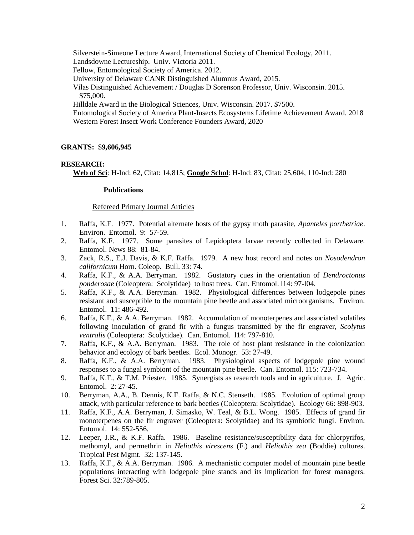Silverstein-Simeone Lecture Award, International Society of Chemical Ecology, 2011. Landsdowne Lectureship. Univ. Victoria 2011. Fellow, Entomological Society of America. 2012. University of Delaware CANR Distinguished Alumnus Award, 2015. Vilas Distinguished Achievement / Douglas D Sorenson Professor, Univ. Wisconsin. 2015. \$75,000. Hilldale Award in the Biological Sciences, Univ. Wisconsin. 2017. \$7500. Entomological Society of America Plant-Insects Ecosystems Lifetime Achievement Award. 2018 Western Forest Insect Work Conference Founders Award, 2020

# **GRANTS:** \$**9,606,945**

## **RESEARCH:**

**Web of Sci**: H-Ind: 62, Citat: 14,815; **Google Schol**: H-Ind: 83, Citat: 25,604, 110-Ind: 280

### **Publications**

#### Refereed Primary Journal Articles

- 1. Raffa, K.F. 1977. Potential alternate hosts of the gypsy moth parasite, *Apanteles porthetriae*. Environ. Entomol. 9: 57-59.
- 2. Raffa, K.F. 1977. Some parasites of Lepidoptera larvae recently collected in Delaware. Entomol. News 88: 81-84.
- 3. Zack, R.S., E.J. Davis, & K.F. Raffa. 1979. A new host record and notes on *Nosodendron californicum* Horn. Coleop. Bull. 33: 74.
- 4. Raffa, K.F., & A.A. Berryman. 1982. Gustatory cues in the orientation of *Dendroctonus ponderosae* (Coleoptera: Scolytidae) to host trees. Can. Entomol. l14: 97-l04.
- 5. Raffa, K.F., & A.A. Berryman. 1982. Physiological differences between lodgepole pines resistant and susceptible to the mountain pine beetle and associated microorganisms. Environ. Entomol. 11: 486-492.
- 6. Raffa, K.F., & A.A. Berryman. 1982. Accumulation of monoterpenes and associated volatiles following inoculation of grand fir with a fungus transmitted by the fir engraver, *Scolytus ventralis* (Coleoptera: Scolytidae). Can. Entomol. l14: 797-810.
- 7. Raffa, K.F., & A.A. Berryman. 1983. The role of host plant resistance in the colonization behavior and ecology of bark beetles. Ecol. Monogr. 53: 27-49.
- 8. Raffa, K.F., & A.A. Berryman. 1983. Physiological aspects of lodgepole pine wound responses to a fungal symbiont of the mountain pine beetle. Can. Entomol. 115: 723-734.
- 9. Raffa, K.F., & T.M. Priester. 1985. Synergists as research tools and in agriculture. J. Agric. Entomol. 2: 27-45.
- 10. Berryman, A.A., B. Dennis, K.F. Raffa, & N.C. Stenseth. 1985. Evolution of optimal group attack, with particular reference to bark beetles (Coleoptera: Scolytidae). Ecology 66: 898-903.
- 11. Raffa, K.F., A.A. Berryman, J. Simasko, W. Teal, & B.L. Wong. 1985. Effects of grand fir monoterpenes on the fir engraver (Coleoptera: Scolytidae) and its symbiotic fungi. Environ. Entomol. 14: 552-556.
- 12. Leeper, J.R., & K.F. Raffa. 1986. Baseline resistance/susceptibility data for chlorpyrifos, methomyl, and permethrin in *Heliothis virescens* (F.) and *Heliothis zea* (Boddie) cultures. Tropical Pest Mgmt. 32: 137-145.
- 13. Raffa, K.F., & A.A. Berryman. 1986. A mechanistic computer model of mountain pine beetle populations interacting with lodgepole pine stands and its implication for forest managers. Forest Sci. 32:789-805.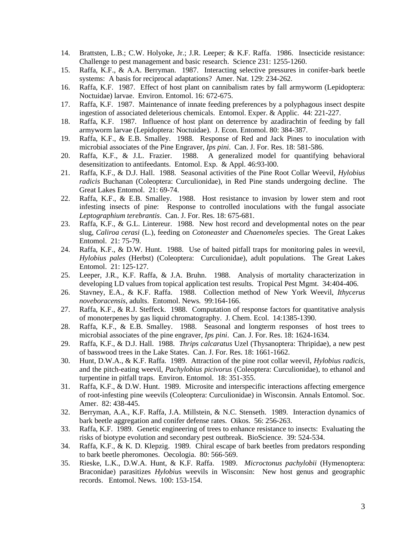- 14. Brattsten, L.B.; C.W. Holyoke, Jr.; J.R. Leeper; & K.F. Raffa. 1986. Insecticide resistance: Challenge to pest management and basic research. Science 231: 1255-1260.
- 15. Raffa, K.F., & A.A. Berryman. 1987. Interacting selective pressures in conifer-bark beetle systems: A basis for reciprocal adaptations? Amer. Nat. 129: 234-262.
- 16. Raffa, K.F. 1987. Effect of host plant on cannibalism rates by fall armyworm (Lepidoptera: Noctuidae) larvae. Environ. Entomol. 16: 672-675.
- 17. Raffa, K.F. 1987. Maintenance of innate feeding preferences by a polyphagous insect despite ingestion of associated deleterious chemicals. Entomol. Exper. & Applic. 44: 221-227.
- 18. Raffa, K.F. 1987. Influence of host plant on deterrence by azadirachtin of feeding by fall armyworm larvae (Lepidoptera: Noctuidae). J. Econ. Entomol. 80: 384-387.
- 19. Raffa, K.F., & E.B. Smalley. 1988. Response of Red and Jack Pines to inoculation with microbial associates of the Pine Engraver, *Ips pini*. Can. J. For. Res. 18: 581-586.
- 20. Raffa, K.F., & J.L. Frazier. 1988. A generalized model for quantifying behavioral desensitization to antifeedants. Entomol. Exp. & Appl. 46:93-l00.
- 21. Raffa, K.F., & D.J. Hall. 1988. Seasonal activities of the Pine Root Collar Weevil, *Hylobius radicis* Buchanan (Coleoptera: Curculionidae), in Red Pine stands undergoing decline. The Great Lakes Entomol. 21: 69-74.
- 22. Raffa, K.F., & E.B. Smalley. 1988. Host resistance to invasion by lower stem and root infesting insects of pine: Response to controlled inoculations with the fungal associate *Leptographium terebrantis*. Can. J. For. Res. 18: 675-681.
- 23. Raffa, K.F., & G.L. Lintereur. 1988. New host record and developmental notes on the pear slug, *Caliroa cerasi* (L.), feeding on *Cotoneaster* and *Chaenomeles* species. The Great Lakes Entomol. 21: 75-79.
- 24. Raffa, K.F., & D.W. Hunt. 1988. Use of baited pitfall traps for monitoring pales in weevil, *Hylobius pales* (Herbst) (Coleoptera: Curculionidae), adult populations. The Great Lakes Entomol. 21: 125-127.
- 25. Leeper, J.R., K.F. Raffa, & J.A. Bruhn. 1988. Analysis of mortality characterization in developing LD values from topical application test results. Tropical Pest Mgmt. 34:404-406.
- 26. Stavney, E.A., & K.F. Raffa. 1988. Collection method of New York Weevil, *Ithycerus noveboracensis*, adults. Entomol. News. 99:164-166.
- 27. Raffa, K.F., & R.J. Steffeck. 1988. Computation of response factors for quantitative analysis of monoterpenes by gas liquid chromatography. J. Chem. Ecol. 14:1385-1390.
- 28. Raffa, K.F., & E.B. Smalley. 1988. Seasonal and longterm responses of host trees to microbial associates of the pine engraver, *Ips pini*. Can. J. For. Res. 18: 1624-1634.
- 29. Raffa, K.F., & D.J. Hall. 1988. *Thrips calcaratus* Uzel (Thysanoptera: Thripidae), a new pest of basswood trees in the Lake States. Can. J. For. Res. 18: 1661-1662.
- 30. Hunt, D.W.A., & K.F. Raffa. 1989. Attraction of the pine root collar weevil, *Hylobius radicis*, and the pitch-eating weevil, *Pachylobius picivorus* (Coleoptera: Curculionidae), to ethanol and turpentine in pitfall traps. Environ. Entomol. 18: 351-355.
- 31. Raffa, K.F., & D.W. Hunt. 1989. Microsite and interspecific interactions affecting emergence of root-infesting pine weevils (Coleoptera: Curculionidae) in Wisconsin. Annals Entomol. Soc. Amer. 82: 438-445.
- 32. Berryman, A.A., K.F. Raffa, J.A. Millstein, & N.C. Stenseth. 1989. Interaction dynamics of bark beetle aggregation and conifer defense rates. Oikos. 56: 256-263.
- 33. Raffa, K.F. 1989. Genetic engineering of trees to enhance resistance to insects: Evaluating the risks of biotype evolution and secondary pest outbreak. BioScience. 39: 524-534.
- 34. Raffa, K.F., & K. D. Klepzig. 1989. Chiral escape of bark beetles from predators responding to bark beetle pheromones. Oecologia. 80: 566-569.
- 35. Rieske, L.K., D.W.A. Hunt, & K.F. Raffa. 1989. *Microctonus pachylobii* (Hymenoptera: Braconidae) parasitizes *Hylobiu*s weevils in Wisconsin: New host genus and geographic records. Entomol. News. 100: 153-154.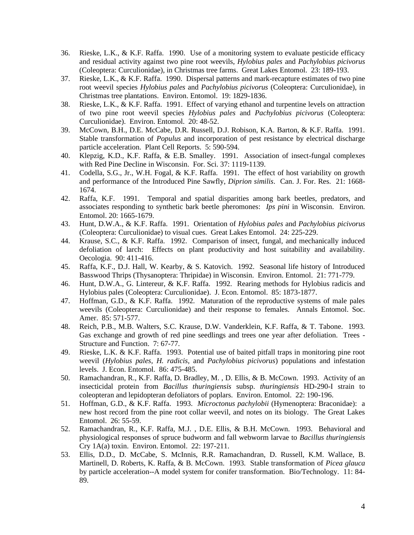- 36. Rieske, L.K., & K.F. Raffa. 1990. Use of a monitoring system to evaluate pesticide efficacy and residual activity against two pine root weevils, *Hylobius pales* and *Pachylobius picivorus* (Coleoptera: Curculionidae), in Christmas tree farms. Great Lakes Entomol. 23: 189-193.
- 37. Rieske, L.K., & K.F. Raffa. 1990. Dispersal patterns and mark-recapture estimates of two pine root weevil species *Hylobius pales* and *Pachylobius picivorus* (Coleoptera: Curculionidae), in Christmas tree plantations. Environ. Entomol. 19: 1829-1836.
- 38. Rieske, L.K., & K.F. Raffa. 1991. Effect of varying ethanol and turpentine levels on attraction of two pine root weevil species *Hylobius pales* and *Pachylobius picivorus* (Coleoptera: Curculionidae). Environ. Entomol. 20: 48-52.
- 39. McCown, B.H., D.E. McCabe, D.R. Russell, D.J. Robison, K.A. Barton, & K.F. Raffa. 1991. Stable transformation of *Populus* and incorporation of pest resistance by electrical discharge particle acceleration. Plant Cell Reports. 5: 590-594.
- 40. Klepzig, K.D., K.F. Raffa, & E.B. Smalley. 1991. Association of insect-fungal complexes with Red Pine Decline in Wisconsin. For. Sci. 37: 1119-1139.
- 41. Codella, S.G., Jr., W.H. Fogal, & K.F. Raffa. 1991. The effect of host variability on growth and performance of the Introduced Pine Sawfly, *Diprion similis*. Can. J. For. Res. 21: 1668- 1674.
- 42. Raffa, K.F. 1991. Temporal and spatial disparities among bark beetles, predators, and associates responding to synthetic bark beetle pheromones: *Ips pini* in Wisconsin. Environ. Entomol. 20: 1665-1679.
- 43. Hunt, D.W.A., & K.F. Raffa. 1991. Orientation of *Hylobius pales* and *Pachylobius picivorus* (Coleoptera: Curculionidae) to visual cues. Great Lakes Entomol. 24: 225-229.
- 44. Krause, S.C., & K.F. Raffa. 1992. Comparison of insect, fungal, and mechanically induced defoliation of larch: Effects on plant productivity and host suitability and availability. Oecologia. 90: 411-416.
- 45. Raffa, K.F., D.J. Hall, W. Kearby, & S. Katovich. 1992. Seasonal life history of Introduced Basswood Thrips (Thysanoptera: Thripidae) in Wisconsin. Environ. Entomol. 21: 771-779.
- 46. Hunt, D.W.A., G. Lintereur, & K.F. Raffa. 1992. Rearing methods for Hylobius radicis and Hylobius pales (Coleoptera: Curculionidae). J. Econ. Entomol. 85: 1873-1877.
- 47. Hoffman, G.D., & K.F. Raffa. 1992. Maturation of the reproductive systems of male pales weevils (Coleoptera: Curculionidae) and their response to females. Annals Entomol. Soc. Amer. 85: 571-577.
- 48. Reich, P.B., M.B. Walters, S.C. Krause, D.W. Vanderklein, K.F. Raffa, & T. Tabone. 1993. Gas exchange and growth of red pine seedlings and trees one year after defoliation. Trees -Structure and Function. 7: 67-77.
- 49. Rieske, L.K. & K.F. Raffa. 1993. Potential use of baited pitfall traps in monitoring pine root weevil (*Hylobius pales, H. radicis*, and *Pachylobius picivorus*) populations and infestation levels. J. Econ. Entomol. 86: 475-485.
- 50. Ramachandran, R., K.F. Raffa, D. Bradley, M. , D. Ellis, & B. McCown. 1993. Activity of an insecticidal protein from *Bacillus thuringiensis* subsp. *thuringiensis* HD-290-I strain to coleopteran and lepidopteran defoliators of poplars. Environ. Entomol. 22: 190-196.
- 51. Hoffman, G.D., & K.F. Raffa. 1993. *Microctonus pachylobii* (Hymenoptera: Braconidae): a new host record from the pine root collar weevil, and notes on its biology. The Great Lakes Entomol. 26: 55-59.
- 52. Ramachandran, R., K.F. Raffa, M.J. , D.E. Ellis, & B.H. McCown. 1993. Behavioral and physiological responses of spruce budworm and fall webworm larvae to *Bacillus thuringiensis* Cry 1A(a) toxin. Environ. Entomol. 22: 197-211.
- 53. Ellis, D.D., D. McCabe, S. McInnis, R.R. Ramachandran, D. Russell, K.M. Wallace, B. Martinell, D. Roberts, K. Raffa, & B. McCown. 1993. Stable transformation of *Picea glauca* by particle acceleration--A model system for conifer transformation. Bio/Technology. 11: 84- 89.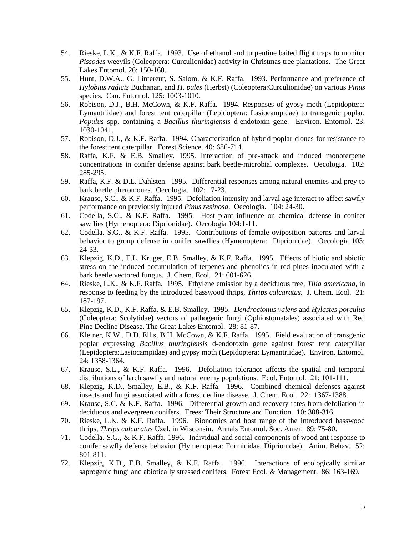- 54. Rieske, L.K., & K.F. Raffa. 1993. Use of ethanol and turpentine baited flight traps to monitor *Pissodes* weevils (Coleoptera: Curculionidae) activity in Christmas tree plantations. The Great Lakes Entomol. 26: 150-160.
- 55. Hunt, D.W.A., G. Lintereur, S. Salom, & K.F. Raffa. 1993. Performance and preference of *Hylobius radicis* Buchanan*,* and *H. pales* (Herbst) (Coleoptera:Curculionidae) on various *Pinus* species. Can. Entomol. 125: 1003-1010.
- 56. Robison, D.J., B.H. McCown, & K.F. Raffa. 1994. Responses of gypsy moth (Lepidoptera: Lymantriidae) and forest tent caterpillar (Lepidoptera: Lasiocampidae) to transgenic poplar, *Populus* spp, containing a *Bacillus thuringiensis* d-endotoxin gene. Environ. Entomol. 23: 1030-1041.
- 57. Robison, D.J., & K.F. Raffa. 1994. Characterization of hybrid poplar clones for resistance to the forest tent caterpillar. Forest Science. 40: 686-714.
- 58. Raffa, K.F. & E.B. Smalley. 1995. Interaction of pre-attack and induced monoterpene concentrations in conifer defense against bark beetle-microbial complexes. Oecologia. 102: 285-295.
- 59. Raffa, K.F. & D.L. Dahlsten. 1995. Differential responses among natural enemies and prey to bark beetle pheromones. Oecologia. 102: 17-23.
- 60. Krause, S.C., & K.F. Raffa. 1995. Defoliation intensity and larval age interact to affect sawfly performance on previously injured *Pinus resinosa*. Oecologia. 104: 24-30.
- 61. Codella, S.G., & K.F. Raffa. 1995. Host plant influence on chemical defense in conifer sawflies (Hymenoptera: Diprionidae). Oecologia 104:1-11.
- 62. Codella, S.G., & K.F. Raffa. 1995. Contributions of female oviposition patterns and larval behavior to group defense in conifer sawflies (Hymenoptera: Diprionidae). Oecologia 103: 24-33.
- 63. Klepzig, K.D., E.L. Kruger, E.B. Smalley, & K.F. Raffa. 1995. Effects of biotic and abiotic stress on the induced accumulation of terpenes and phenolics in red pines inoculated with a bark beetle vectored fungus. J. Chem. Ecol. 21: 601-626.
- 64. Rieske, L.K., & K.F. Raffa. 1995. Ethylene emission by a deciduous tree, *Tilia americana*, in response to feeding by the introduced basswood thrips, *Thrips calcaratus*. J. Chem. Ecol. 21: 187-197.
- 65. Klepzig, K.D., K.F. Raffa, & E.B. Smalley. 1995. *Dendroctonus valens* and *Hylastes porculus* (Coleoptera: Scolytidae) vectors of pathogenic fungi (Ophiostomatales) associated with Red Pine Decline Disease. The Great Lakes Entomol. 28: 81-87.
- 66. Kleiner, K.W., D.D. Ellis, B.H. McCown, & K.F. Raffa. 1995. Field evaluation of transgenic poplar expressing *Bacillus thuringiensis* d-endotoxin gene against forest tent caterpillar (Lepidoptera:Lasiocampidae) and gypsy moth (Lepidoptera: Lymantriidae). Environ. Entomol. 24: 1358-1364.
- 67. Krause, S.L., & K.F. Raffa. 1996. Defoliation tolerance affects the spatial and temporal distributions of larch sawfly and natural enemy populations. Ecol. Entomol. 21: 101-111.
- 68. Klepzig, K.D., Smalley, E.B., & K.F. Raffa. 1996. Combined chemical defenses against insects and fungi associated with a forest decline disease. J. Chem. Ecol. 22: 1367-1388.
- 69. Krause, S.C. & K.F. Raffa. 1996. Differential growth and recovery rates from defoliation in deciduous and evergreen conifers. Trees: Their Structure and Function. 10: 308-316.
- 70. Rieske, L.K. & K.F. Raffa. 1996. Bionomics and host range of the introduced basswood thrips, *Thrips calcaratus* Uzel, in Wisconsin. Annals Entomol. Soc. Amer. 89: 75-80.
- 71. Codella, S.G., & K.F. Raffa. 1996. Individual and social components of wood ant response to conifer sawfly defense behavior (Hymenoptera: Formicidae, Diprionidae). Anim. Behav. 52: 801-811.
- 72. Klepzig, K.D., E.B. Smalley, & K.F. Raffa. 1996. Interactions of ecologically similar saprogenic fungi and abiotically stressed conifers. Forest Ecol. & Management. 86: 163-169.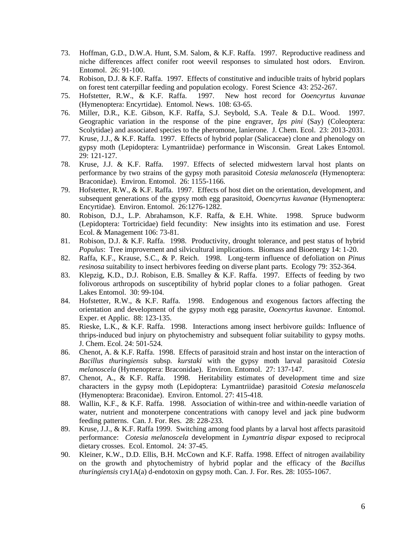- 73. Hoffman, G.D., D.W.A. Hunt, S.M. Salom, & K.F. Raffa. 1997. Reproductive readiness and niche differences affect conifer root weevil responses to simulated host odors. Environ. Entomol. 26: 91-100.
- 74. Robison, D.J. & K.F. Raffa. 1997. Effects of constitutive and inducible traits of hybrid poplars on forest tent caterpillar feeding and population ecology. Forest Science 43: 252-267.
- 75. Hofstetter, R.W., & K.F. Raffa. 1997. New host record for *Ooencyrtus kuvanae* (Hymenoptera: Encyrtidae). Entomol. News. 108: 63-65.
- 76. Miller, D.R., K.E. Gibson, K.F. Raffa, S.J. Seybold, S.A. Teale & D.L. Wood. 1997. Geographic variation in the response of the pine engraver, *Ips pini* (Say) (Coleoptera: Scolytidae) and associated species to the pheromone, lanierone. J. Chem. Ecol. 23: 2013-2031.
- 77. Kruse, J.J., & K.F. Raffa. 1997. Effects of hybrid poplar (Salicaceae) clone and phenology on gypsy moth (Lepidoptera: Lymantriidae) performance in Wisconsin. Great Lakes Entomol. 29: 121-127.
- 78. Kruse, J.J. & K.F. Raffa. 1997. Effects of selected midwestern larval host plants on performance by two strains of the gypsy moth parasitoid *Cotesia melanoscela* (Hymenoptera: Braconidae). Environ. Entomol. 26: 1155-1166.
- 79. Hofstetter, R.W., & K.F. Raffa. 1997. Effects of host diet on the orientation, development, and subsequent generations of the gypsy moth egg parasitoid, *Ooencyrtus kuvanae* (Hymenoptera: Encyrtidae). Environ. Entomol. 26:1276-1282.
- 80. Robison, D.J., L.P. Abrahamson, K.F. Raffa, & E.H. White. 1998. Spruce budworm (Lepidoptera: Tortricidae) field fecundity: New insights into its estimation and use. Forest Ecol. & Management 106: 73-81.
- 81. Robison, D.J. & K.F. Raffa. 1998. Productivity, drought tolerance, and pest status of hybrid *Populus*: Tree improvement and silvicultural implications. Biomass and Bioenergy 14: 1-20.
- 82. Raffa, K.F., Krause, S.C., & P. Reich. 1998. Long-term influence of defoliation on *Pinus resinosa* suitability to insect herbivores feeding on diverse plant parts. Ecology 79: 352-364.
- 83. Klepzig, K.D., D.J. Robison, E.B. Smalley & K.F. Raffa. 1997. Effects of feeding by two folivorous arthropods on susceptibility of hybrid poplar clones to a foliar pathogen. Great Lakes Entomol. 30: 99-104.
- 84. Hofstetter, R.W., & K.F. Raffa. 1998. Endogenous and exogenous factors affecting the orientation and development of the gypsy moth egg parasite, *Ooencyrtus kuvanae*. Entomol. Exper. et Applic. 88: 123-135.
- 85. Rieske, L.K., & K.F. Raffa. 1998. Interactions among insect herbivore guilds: Influence of thrips-induced bud injury on phytochemistry and subsequent foliar suitability to gypsy moths. J. Chem. Ecol. 24: 501-524.
- 86. Chenot, A. & K.F. Raffa. 1998. Effects of parasitoid strain and host instar on the interaction of *Bacillus thuringiensis* subsp*. kurstaki* with the gypsy moth larval parasitoid *Cotesia melanoscela* (Hymenoptera: Braconidae). Environ. Entomol. 27: 137-147.
- 87. Chenot, A., & K.F. Raffa. 1998. Heritability estimates of development time and size characters in the gypsy moth (Lepidoptera: Lymantriidae) parasitoid *Cotesia melanoscela* (Hymenoptera: Braconidae). Environ. Entomol. 27: 415-418.
- 88. Wallin, K.F., & K.F. Raffa. 1998. Association of within-tree and within-needle variation of water, nutrient and monoterpene concentrations with canopy level and jack pine budworm feeding patterns. Can. J. For. Res. 28: 228-233.
- 89. Kruse, J.J., & K.F. Raffa 1999. Switching among food plants by a larval host affects parasitoid performance: *Cotesia melanoscela* development in *Lymantria dispar* exposed to reciprocal dietary crosses. Ecol. Entomol. 24: 37-45.
- 90. Kleiner, K.W., D.D. Ellis, B.H. McCown and K.F. Raffa. 1998. Effect of nitrogen availability on the growth and phytochemistry of hybrid poplar and the efficacy of the *Bacillus thuringiensis* cry1A(a) d-endotoxin on gypsy moth. Can. J. For. Res. 28: 1055-1067.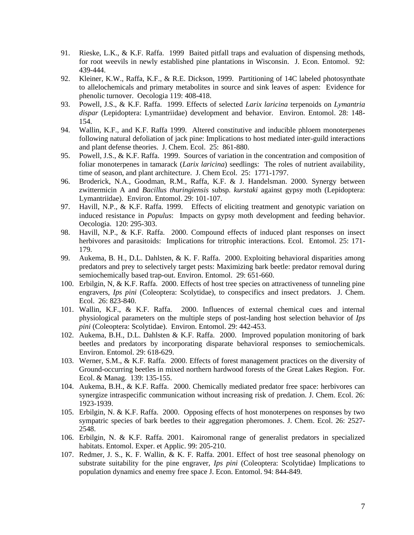- 91. Rieske, L.K., & K.F. Raffa. 1999 Baited pitfall traps and evaluation of dispensing methods, for root weevils in newly established pine plantations in Wisconsin. J. Econ. Entomol. 92: 439-444.
- 92. Kleiner, K.W., Raffa, K.F., & R.E. Dickson, 1999. Partitioning of 14C labeled photosynthate to allelochemicals and primary metabolites in source and sink leaves of aspen: Evidence for phenolic turnover. Oecologia 119: 408-418.
- 93. Powell, J.S., & K.F. Raffa. 1999. Effects of selected *Larix laricina* terpenoids on *Lymantria dispar* (Lepidoptera: Lymantriidae) development and behavior. Environ. Entomol. 28: 148- 154.
- 94. Wallin, K.F., and K.F. Raffa 1999. Altered constitutive and inducible phloem monoterpenes following natural defoliation of jack pine: Implications to host mediated inter-guild interactions and plant defense theories. J. Chem. Ecol. 25: 861-880.
- 95. Powell, J.S., & K.F. Raffa. 1999. Sources of variation in the concentration and composition of foliar monoterpenes in tamarack (*Larix laricina*) seedlings: The roles of nutrient availability, time of season, and plant architecture. J. Chem Ecol. 25: 1771-1797.
- 96. Broderick, N.A., Goodman, R.M., Raffa, K.F. & J. Handelsman. 2000. Synergy between zwittermicin A and *Bacillus thuringiensis* subsp. *kurstaki* against gypsy moth (Lepidoptera: Lymantriidae). Environ. Entomol. 29: 101-107.
- 97. Havill, N.P., & K.F. Raffa. 1999. Effects of eliciting treatment and genotypic variation on induced resistance in *Populus*: Impacts on gypsy moth development and feeding behavior. Oecologia. 120: 295-303.
- 98. Havill, N.P., & K.F. Raffa. 2000. Compound effects of induced plant responses on insect herbivores and parasitoids: Implications for tritrophic interactions. Ecol. Entomol. 25: 171- 179.
- 99. Aukema, B. H., D.L. Dahlsten, & K. F. Raffa. 2000. Exploiting behavioral disparities among predators and prey to selectively target pests: Maximizing bark beetle: predator removal during semiochemically based trap-out. Environ. Entomol. 29: 651-660.
- 100. Erbilgin, N, & K.F. Raffa. 2000. Effects of host tree species on attractiveness of tunneling pine engravers, *Ips pini* (Coleoptera: Scolytidae), to conspecifics and insect predators. J. Chem. Ecol. 26: 823-840.
- 101. Wallin, K.F., & K.F. Raffa. 2000. Influences of external chemical cues and internal physiological parameters on the multiple steps of post-landing host selection behavior of *Ips pini* (Coleoptera: Scolytidae). Environ. Entomol. 29: 442-453.
- 102. Aukema, B.H., D.L. Dahlsten & K.F. Raffa. 2000. Improved population monitoring of bark beetles and predators by incorporating disparate behavioral responses to semiochemicals. Environ. Entomol. 29: 618-629.
- 103. Werner, S.M., & K.F. Raffa. 2000. Effects of forest management practices on the diversity of Ground-occurring beetles in mixed northern hardwood forests of the Great Lakes Region. For. Ecol. & Manag. 139: 135-155.
- 104. Aukema, B.H., & K.F. Raffa. 2000. Chemically mediated predator free space: herbivores can synergize intraspecific communication without increasing risk of predation. J. Chem. Ecol. 26: 1923-1939.
- 105. Erbilgin, N. & K.F. Raffa. 2000. Opposing effects of host monoterpenes on responses by two sympatric species of bark beetles to their aggregation pheromones. J. Chem. Ecol. 26: 2527- 2548.
- 106. Erbilgin, N. & K.F. Raffa. 2001. Kairomonal range of generalist predators in specialized habitats. Entomol. Exper. et Applic. 99: 205-210.
- 107. Redmer, J. S., K. F. Wallin, & K. F. Raffa. 2001. Effect of host tree seasonal phenology on substrate suitability for the pine engraver, *Ips pini* (Coleoptera: Scolytidae) Implications to population dynamics and enemy free space J. Econ. Entomol. 94: 844-849.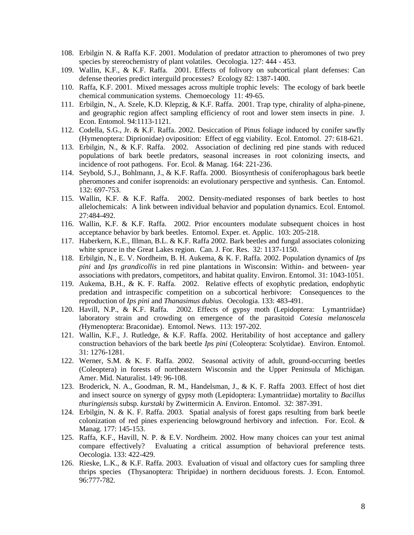- 108. Erbilgin N. & Raffa K.F. 2001. Modulation of predator attraction to pheromones of two prey species by stereochemistry of plant volatiles. Oecologia. 127: 444 - 453.
- 109. Wallin, K.F., & K.F. Raffa. 2001. Effects of folivory on subcortical plant defenses: Can defense theories predict interguild processes? Ecology 82: 1387-1400.
- 110. Raffa, K.F. 2001. Mixed messages across multiple trophic levels: The ecology of bark beetle chemical communication systems. Chemoecology 11: 49-65.
- 111. Erbilgin, N., A. Szele, K.D. Klepzig, & K.F. Raffa. 2001. Trap type, chirality of alpha-pinene, and geographic region affect sampling efficiency of root and lower stem insects in pine. J. Econ. Entomol. 94:1113-1121.
- 112. Codella, S.G., Jr. & K.F. Raffa. 2002. Desiccation of Pinus foliage induced by conifer sawfly (Hymenoptera: Diprionidae) oviposition: Effect of egg viability. Ecol. Entomol. 27: 618-621.
- 113. Erbilgin, N., & K.F. Raffa. 2002. Association of declining red pine stands with reduced populations of bark beetle predators, seasonal increases in root colonizing insects, and incidence of root pathogens. For. Ecol. & Manag. 164: 221-236.
- 114. Seybold, S.J., Bohlmann, J., & K.F. Raffa. 2000. Biosynthesis of coniferophagous bark beetle pheromones and conifer isoprenoids: an evolutionary perspective and synthesis. Can. Entomol. 132: 697-753.
- 115. Wallin, K.F. & K.F. Raffa. 2002. Density-mediated responses of bark beetles to host allelochemicals: A link between individual behavior and population dynamics. Ecol. Entomol. 27:484-492.
- 116. Wallin, K.F. & K.F. Raffa. 2002. Prior encounters modulate subsequent choices in host acceptance behavior by bark beetles. Entomol. Exper. et. Applic. 103: 205-218.
- 117. Haberkern, K.E., Illman, B.L. & K.F. Raffa 2002. Bark beetles and fungal associates colonizing white spruce in the Great Lakes region. Can. J. For. Res. 32: 1137-1150.
- 118. Erbilgin, N., E. V. Nordheim, B. H. Aukema, & K. F. Raffa. 2002. Population dynamics of *Ips pini* and *Ips grandicollis* in red pine plantations in Wisconsin: Within- and between- year associations with predators, competitors, and habitat quality. Environ. Entomol. 31: 1043-1051.
- 119. Aukema, B.H., & K. F. Raffa. 2002. Relative effects of exophytic predation, endophytic predation and intraspecific competition on a subcortical herbivore: Consequences to the reproduction of *Ips pini* and *Thanasimus dubius*. Oecologia. 133: 483-491.
- 120. Havill, N.P., & K.F. Raffa. 2002. Effects of gypsy moth (Lepidoptera: Lymantriidae) laboratory strain and crowding on emergence of the parasitoid *Cotesia melanoscela (*Hymenoptera: Braconidae). Entomol. News. 113: 197-202.
- 121. Wallin, K.F., J. Rutledge, & K.F. Raffa. 2002. Heritability of host acceptance and gallery construction behaviors of the bark beetle *Ips pini* (Coleoptera: Scolytidae). Environ. Entomol. 31: 1276-1281.
- 122. Werner, S.M. & K. F. Raffa. 2002. Seasonal activity of adult, ground-occurring beetles (Coleoptera) in forests of northeastern Wisconsin and the Upper Peninsula of Michigan. Amer. Mid. Naturalist. 149: 96-108.
- 123. Broderick, N. A., Goodman, R. M., Handelsman, J., & K. F. Raffa 2003. Effect of host diet and insect source on synergy of gypsy moth (Lepidoptera: Lymantriidae) mortality to *Bacillus thuringiensis* subsp. *kurstaki* by Zwittermicin A. Environ. Entomol. 32: 387-391.
- 124. Erbilgin, N. & K. F. Raffa. 2003. Spatial analysis of forest gaps resulting from bark beetle colonization of red pines experiencing belowground herbivory and infection. For. Ecol. & Manag. 177: 145-153.
- 125. Raffa, K.F., Havill, N. P. & E.V. Nordheim. 2002. How many choices can your test animal compare effectively? Evaluating a critical assumption of behavioral preference tests. Oecologia. 133: 422-429.
- 126. Rieske, L.K., & K.F. Raffa. 2003. Evaluation of visual and olfactory cues for sampling three thrips species (Thysanoptera: Thripidae) in northern deciduous forests. J. Econ. Entomol. 96:777-782.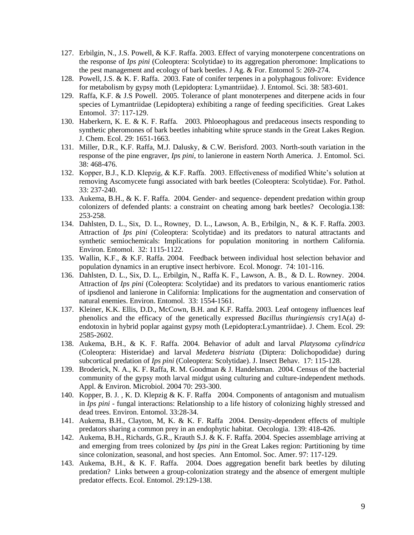- 127. Erbilgin, N., J.S. Powell, & K.F. Raffa. 2003. Effect of varying monoterpene concentrations on the response of *Ips pini* (Coleoptera: Scolytidae) to its aggregation pheromone: Implications to the pest management and ecology of bark beetles. J Ag. & For. Entomol 5: 269-274.
- 128. Powell, J.S. & K. F. Raffa. 2003. Fate of conifer terpenes in a polyphagous folivore: Evidence for metabolism by gypsy moth (Lepidoptera: Lymantriidae). J. Entomol. Sci. 38: 583-601.
- 129. Raffa, K.F. & J.S Powell. 2005. Tolerance of plant monoterpenes and diterpene acids in four species of Lymantriidae (Lepidoptera) exhibiting a range of feeding specificities. Great Lakes Entomol. 37: 117-129.
- 130. Haberkern, K. E. & K. F. Raffa. 2003. Phloeophagous and predaceous insects responding to synthetic pheromones of bark beetles inhabiting white spruce stands in the Great Lakes Region. J. Chem. Ecol. 29: 1651-1663.
- 131. Miller, D.R., K.F. Raffa, M.J. Dalusky, & C.W. Berisford. 2003. North-south variation in the response of the pine engraver, *Ips pini*, to lanierone in eastern North America. J. Entomol. Sci. 38: 468-476.
- 132. Kopper, B.J., K.D. Klepzig, & K.F. Raffa. 2003. Effectiveness of modified White's solution at removing Ascomycete fungi associated with bark beetles (Coleoptera: Scolytidae). For. Pathol. 33: 237-240.
- 133. Aukema, B.H., & K. F. Raffa. 2004. Gender- and sequence- dependent predation within group colonizers of defended plants: a constraint on cheating among bark beetles? Oecologia.138: 253-258.
- 134. Dahlsten, D. L., Six, D. L., Rowney, D. L., Lawson, A. B., Erbilgin, N., & K. F. Raffa. 2003. Attraction of *Ips pini* (Coleoptera: Scolytidae) and its predators to natural attractants and synthetic semiochemicals: Implications for population monitoring in northern California. Environ. Entomol. 32: 1115-1122.
- 135. Wallin, K.F., & K.F. Raffa. 2004. Feedback between individual host selection behavior and population dynamics in an eruptive insect herbivore. Ecol. Monogr. 74: 101-116.
- 136. Dahlsten, D. L., Six, D. L,. Erbilgin, N., Raffa K. F., Lawson, A. B., & D. L. Rowney. 2004. Attraction of *Ips pini* (Coleoptera: Scolytidae) and its predators to various enantiomeric ratios of ipsdienol and lanierone in California: Implications for the augmentation and conservation of natural enemies. Environ. Entomol. 33: 1554-1561.
- 137. Kleiner, K.K. Ellis, D.D., McCown, B.H. and K.F. Raffa. 2003. Leaf ontogeny influences leaf phenolics and the efficacy of the genetically expressed *Bacillus thuringiensis* cry1A(a) dendotoxin in hybrid poplar against gypsy moth (Lepidoptera:Lymantriidae). J. Chem. Ecol. 29: 2585-2602.
- 138. Aukema, B.H., & K. F. Raffa. 2004. Behavior of adult and larval *Platysoma cylindrica* (Coleoptera: Histeridae) and larval *Medetera bistriata* (Diptera: Dolichopodidae) during subcortical predation of *Ips pini* (Coleoptera: Scolytidae). J. Insect Behav. 17: 115-128.
- 139. Broderick, N. A., K. F. Raffa, R. M. Goodman & J. Handelsman. 2004. Census of the bacterial community of the gypsy moth larval midgut using culturing and culture-independent methods. Appl. & Environ. Microbiol. 2004 70: 293-300.
- 140. Kopper, B. J. , K. D. Klepzig & K. F. Raffa 2004. Components of antagonism and mutualism in *Ips pini* - fungal interactions: Relationship to a life history of colonizing highly stressed and dead trees. Environ. Entomol. 33:28-34.
- 141. Aukema, B.H., Clayton, M, K. & K. F. Raffa 2004. Density-dependent effects of multiple predators sharing a common prey in an endophytic habitat. Oecologia. 139: 418-426.
- 142. Aukema, B.H., Richards, G.R., Krauth S.J. & K. F. Raffa. 2004. Species assemblage arriving at and emerging from trees colonized by *Ips pini* in the Great Lakes region: Partitioning by time since colonization, seasonal, and host species. Ann Entomol. Soc. Amer. 97: 117-129.
- 143. Aukema, B.H., & K. F. Raffa. 2004. Does aggregation benefit bark beetles by diluting predation? Links between a group-colonization strategy and the absence of emergent multiple predator effects. Ecol. Entomol. 29:129-138.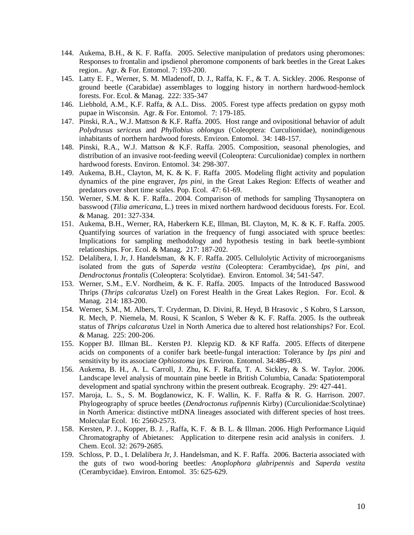- 144. Aukema, B.H., & K. F. Raffa. 2005. Selective manipulation of predators using pheromones: Responses to frontalin and ipsdienol pheromone components of bark beetles in the Great Lakes region.. Agr. & For. Entomol. 7: 193-200.
- 145. Latty E. F., Werner, S. M. Mladenoff, D. J., Raffa, K. F., & T. A. Sickley. 2006. Response of ground beetle (Carabidae) assemblages to logging history in northern hardwood-hemlock forests. For. Ecol. & Manag. 222: 335-347
- 146. Liebhold, A.M., K.F. Raffa, & A.L. Diss. 2005. Forest type affects predation on gypsy moth pupae in Wisconsin. Agr. & For. Entomol. 7: 179-185.
- 147. Pinski, R.A., W.J. Mattson & K.F. Raffa. 2005. Host range and ovipositional behavior of adult *Polydrusus sericeus* and *Phyllobius oblongus* (Coleoptera: Curculionidae), nonindigenous inhabitants of northern hardwood forests. Environ. Entomol. 34: 148-157.
- 148. Pinski, R.A., W.J. Mattson & K.F. Raffa. 2005. Composition, seasonal phenologies, and distribution of an invasive root-feeding weevil (Coleoptera: Curculionidae) complex in northern hardwood forests. Environ. Entomol. 34: 298-307.
- 149. Aukema, B.H., Clayton, M, K. & K. F. Raffa 2005. Modeling flight activity and population dynamics of the pine engraver, *Ips pini*, in the Great Lakes Region: Effects of weather and predators over short time scales. Pop. Ecol. 47: 61-69.
- 150. Werner, S.M. & K. F. Raffa.. 2004. Comparison of methods for sampling Thysanoptera on basswood (*Tilia americana*, L.) trees in mixed northern hardwood deciduous forests. For. Ecol. & Manag. 201: 327-334.
- 151. Aukema, B.H., Werner, RA, Haberkern K.E, Illman, BL Clayton, M, K. & K. F. Raffa. 2005. Quantifying sources of variation in the frequency of fungi associated with spruce beetles: Implications for sampling methodology and hypothesis testing in bark beetle-symbiont relationships. For. Ecol. & Manag. 217: 187-202.
- 152. Delalibera, I. Jr, J. Handelsman, & K. F. Raffa. 2005. Cellulolytic Activity of microorganisms isolated from the guts of *Saperda vestita* (Coleoptera: Cerambycidae), *Ips pini,* and *Dendroctonus frontalis* (Coleoptera: Scolytidae). Environ. Entomol. 34; 541-547.
- 153. Werner, S.M., E.V. Nordheim, & K. F. Raffa. 2005. Impacts of the Introduced Basswood Thrips (*Thrips calcaratus* Uzel) on Forest Health in the Great Lakes Region. For. Ecol. & Manag. 214: 183-200.
- 154. Werner, S.M., M. Albers, T. Cryderman, D. Divini, R. Heyd, B Hrasovic , S Kobro, S Larsson, R. Mech, P. Niemela, M. Rousi, K Scanlon, S Weber & K. F. Raffa. 2005. Is the outbreak status of *Thrips calcaratus* Uzel in North America due to altered host relationships? For. Ecol. & Manag. 225: 200-206.
- 155. Kopper BJ. Illman BL. Kersten PJ. Klepzig KD. & KF Raffa. 2005. Effects of diterpene acids on components of a conifer bark beetle-fungal interaction: Tolerance by *Ips pini* and sensitivity by its associate *Ophiostoma ips.* Environ. Entomol. 34:486-493.
- 156. Aukema, B. H., A. L. Carroll, J. Zhu, K. F. Raffa, T. A. Sickley, & S. W. Taylor. 2006. Landscape level analysis of mountain pine beetle in British Columbia, Canada: Spatiotemporal development and spatial synchrony within the present outbreak. Ecography. 29: 427-441.
- 157. Maroja, L. S., S. M. Bogdanowicz, K. F. Wallin, K. F. Raffa & R. G. Harrison. 2007. Phylogeography of spruce beetles (*Dendroctonus rufipennis* Kirby) (Curculionidae:Scolytinae) in North America: distinctive mtDNA lineages associated with different species of host trees. Molecular Ecol. 16: 2560-2573.
- 158. Kersten, P. J., Kopper, B. J. , Raffa, K. F. & B. L. & Illman. 2006. High Performance Liquid Chromatography of Abietanes: Application to diterpene resin acid analysis in conifers. J. Chem. Ecol. 32: 2679-2685.
- 159. Schloss, P. D., I. Delalibera Jr, J. Handelsman, and K. F. Raffa. 2006. Bacteria associated with the guts of two wood-boring beetles: *Anoplophora glabripennis* and *Saperda vestita*  (Cerambycidae). Environ. Entomol. 35: 625-629.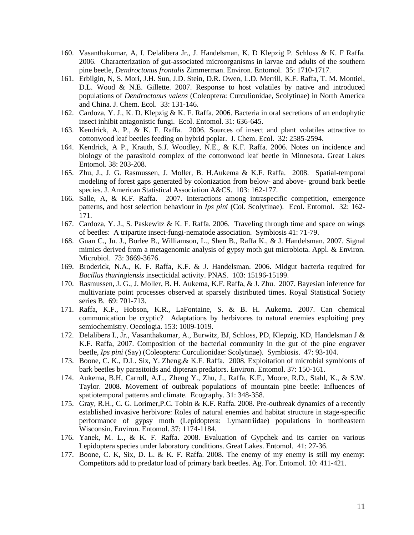- 160. Vasanthakumar, A, I. Delalibera Jr., J. Handelsman, K. D Klepzig P. Schloss & K. F Raffa. 2006. Characterization of gut-associated microorganisms in larvae and adults of the southern pine beetle, *Dendroctonus frontalis* Zimmerman. Environ. Entomol. 35: 1710-1717.
- 161. Erbilgin, N, S. Mori, J.H. Sun, J.D. Stein, D.R. Owen, L.D. Merrill, K.F. Raffa, T. M. Montiel, D.L. Wood & N.E. Gillette. 2007. Response to host volatiles by native and introduced populations of *Dendroctonus valens* (Coleoptera: Curculionidae, Scolytinae) in North America and China. J. Chem. Ecol. 33: 131-146.
- 162. Cardoza, Y. J., K. D. Klepzig & K. F. Raffa. 2006. Bacteria in oral secretions of an endophytic insect inhibit antagonistic fungi. Ecol. Entomol. 31: 636-645.
- 163. Kendrick, A. P., & K. F. Raffa. 2006. Sources of insect and plant volatiles attractive to cottonwood leaf beetles feeding on hybrid poplar. J. Chem. Ecol. 32: 2585-2594.
- 164. Kendrick, A P., Krauth, S.J. Woodley, N.E., & K.F. Raffa. 2006. Notes on incidence and biology of the parasitoid complex of the cottonwood leaf beetle in Minnesota. Great Lakes Entomol. 38: 203-208.
- 165. Zhu, J., J. G. Rasmussen, J. Moller, B. H.Aukema & K.F. Raffa. 2008. Spatial-temporal modeling of forest gaps generated by colonization from below- and above- ground bark beetle species. J. American Statistical Association A&CS. 103: 162-177.
- 166. Salle, A, & K.F. Raffa. 2007. Interactions among intraspecific competition, emergence patterns, and host selection behaviour in *Ips pini* (Col. Scolytinae). Ecol. Entomol. 32: 162- 171.
- 167. Cardoza, Y. J., S. Paskewitz & K. F. Raffa. 2006. Traveling through time and space on wings of beetles: A tripartite insect-fungi-nematode association. Symbiosis 41: 71-79.
- 168. Guan C., Ju. J., Borlee B., Williamson, L., Shen B., Raffa K., & J. Handelsman. 2007. Signal mimics derived from a metagenomic analysis of gypsy moth gut microbiota. Appl. & Environ. Microbiol. 73: 3669-3676.
- 169. Broderick, N.A., K. F. Raffa, K.F. & J. Handelsman. 2006. Midgut bacteria required for *Bacillus thuringiensis* insecticidal activity. PNAS. 103: 15196-15199.
- 170. Rasmussen, J. G., J. Moller, B. H. Aukema, K.F. Raffa, & J. Zhu. 2007. Bayesian inference for multivariate point processes observed at sparsely distributed times. Royal Statistical Society series B. 69: 701-713.
- 171. Raffa, K.F., Hobson, K.R., LaFontaine, S. & B. H. Aukema. 2007. Can chemical communication be cryptic? Adaptations by herbivores to natural enemies exploiting prey semiochemistry. Oecologia. 153: 1009-1019.
- 172. Delalibera I., Jr., Vasanthakumar, A., Burwitz, BJ, Schloss, PD, Klepzig, KD, Handelsman J & K.F. Raffa, 2007. Composition of the bacterial community in the gut of the pine engraver beetle, *Ips pini* (Say) (Coleoptera: Curculionidae: Scolytinae). Symbiosis. 47: 93-104.
- 173. Boone, C. K., D.L. Six, Y. Zheng,& K.F. Raffa. 2008. Exploitation of microbial symbionts of bark beetles by parasitoids and dipteran predators. Environ. Entomol. 37: 150-161.
- 174. Aukema, B.H, Carroll, A.L., Zheng Y., Zhu, J., Raffa, K.F., Moore, R.D., Stahl, K., & S.W. Taylor. 2008. Movement of outbreak populations of mountain pine beetle: Influences of spatiotemporal patterns and climate. Ecography. 31: 348-358.
- 175. Gray, R.H., C. G. Lorimer,P.C. Tobin & K.F. Raffa. 2008. Pre-outbreak dynamics of a recently established invasive herbivore: Roles of natural enemies and habitat structure in stage-specific performance of gypsy moth (Lepidoptera: Lymantriidae) populations in northeastern Wisconsin. Environ. Entomol. 37: 1174-1184.
- 176. Yanek, M. L., & K. F. Raffa. 2008. Evaluation of Gypchek and its carrier on various Lepidoptera species under laboratory conditions. Great Lakes. Entomol. 41: 27-36.
- 177. Boone, C. K, Six, D. L. & K. F. Raffa. 2008. The enemy of my enemy is still my enemy: Competitors add to predator load of primary bark beetles. Ag. For. Entomol. 10: 411-421.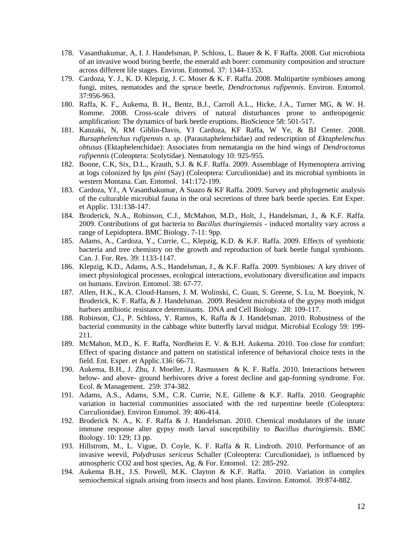- 178. Vasanthakumar, A, I. J. Handelsman, P. Schloss, L. Bauer & K. F Raffa. 2008. Gut microbiota of an invasive wood boring beetle, the emerald ash borer: community composition and structure across different life stages. Environ. Entomol. 37: 1344-1353.
- 179. Cardoza, Y. J., K. D. Klepzig, J. C. Moser & K. F. Raffa. 2008. Multipartite symbioses among fungi, mites, nematodes and the spruce beetle, *Dendroctonus rufipennis*. Environ. Entomol. 37:956-963.
- 180. Raffa, K. F., Aukema, B. H., Bentz, B.J., Carroll A.L., Hicke, J.A., Turner MG, & W. H. Romme. 2008. Cross-scale drivers of natural disturbances prone to anthropogenic amplification: The dynamics of bark beetle eruptions. BioScience 58: 501-517.
- 181. Kanzaki, N, RM Giblin-Davis, YJ Cardoza, KF Raffa, W Ye, & BJ Center. 2008. *Bursaphelenchus rufipennis n. sp*. (Parasitaphelenchidae) and redescription of *Ektaphelenchus obtusus* (Ektaphelenchidae): Associates from nematangia on the hind wings of *Dendroctonus rufipennis* (Coleoptera: Scolytidae). Nematology 10: 925-955.
- 182. Boone, C.K, Six, D.L., Krauth, S.J. & K.F. Raffa. 2009. Assemblage of Hymenoptera arriving at logs colonized by Ips *pini* (Say) (Coleoptera: Curculionidae) and its microbial symbionts in western Montana. Can. Entomol. 141:172-199.
- 183. Cardoza, YJ., A Vasanthakumar, A Suazo & KF Raffa. 2009. Survey and phylogenetic analysis of the culturable microbial fauna in the oral secretions of three bark beetle species. Ent Exper. et Applic. 131:138-147.
- 184. Broderick, N.A., Robinson, C.J., McMahon, M.D., Holt, J., Handelsman, J., & K.F. Raffa. 2009. Contributions of gut bacteria to *Bacillus thuringiensis* - induced mortality vary across a range of Lepidoptera. BMC Biology. 7-11: 9pp.
- 185. Adams, A., Cardoza, Y., Currie, C., Klepzig, K.D. & K.F. Raffa. 2009. Effects of symbiotic bacteria and tree chemistry on the growth and reproduction of bark beetle fungal symbionts. Can. J. For. Res. 39: 1133-1147.
- 186. Klepzig, K.D., Adams, A.S., Handelsman, J., & K.F. Raffa. 2009. Symbioses: A key driver of insect physiological processes, ecological interactions, evolutionary diversification and impacts on humans. Environ. Entomol. 38: 67-77.
- 187. Allen, H.K., K.A. Cloud-Hansen, J. M. Wolinski, C. Guan, S. Greene, S. Lu, M. Boeyink, N. Broderick, K. F. Raffa, & J. Handelsman. 2009. Resident microbiota of the gypsy moth midgut harbors antibiotic resistance determinants. DNA and Cell Biology. 28: 109-117.
- 188. Robinson, CJ., P. Schloss, Y. Ramos, K. Raffa & J. Handelsman. 2010. Robustness of the bacterial community in the cabbage white butterfly larval midgut. Microbial Ecology 59: 199- 211.
- 189. McMahon, M.D., K. F. Raffa, Nordheim E. V. & B.H. Aukema. 2010. Too close for comfort: Effect of spacing distance and pattern on statistical inference of behavioral choice tests in the field. Ent. Exper. et Applic.136: 66-71.
- 190. Aukema, B.H., J. Zhu, J. Moeller, J. Rasmussen & K. F. Raffa. 2010. Interactions between below- and above- ground herbivores drive a forest decline and gap-forming syndrome. For. Ecol. & Management. 259: 374-382.
- 191. Adams, A.S., Adams, S.M., C.R. Currie, N.E. Gillette & K.F. Raffa. 2010. Geographic variation in bacterial communities associated with the red turpentine beetle (Coleoptera: Curculionidae). Environ Entomol. 39: 406-414.
- 192. Broderick N. A., K. F. Raffa & J. Handelsman. 2010. Chemical modulators of the innate immune response alter gypsy moth larval susceptibility to *Bacillus thuringiensis*. BMC Biology. 10: 129; 13 pp.
- 193. Hillstrom, M., L. Vigue, D. Coyle, K. F. Raffa & R. Lindroth. 2010. Performance of an invasive weevil, *Polydrusus sericeus* Schaller (Coleoptera: Curculionidae), is influenced by atmospheric CO2 and host species, Ag. & For. Entomol. 12: 285-292.
- 194. Aukema B.H., J.S. Powell, M.K. Clayton & K.F. Raffa. 2010. Variation in complex semiochemical signals arising from insects and host plants. Environ. Entomol. 39:874-882.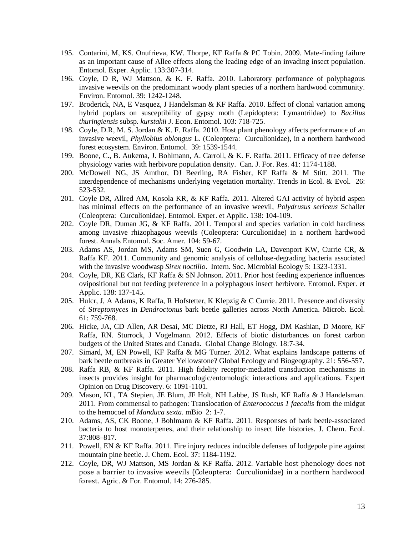- 195. Contarini, M, KS. Onufrieva, KW. Thorpe, KF Raffa & PC Tobin. 2009. Mate-finding failure as an important cause of Allee effects along the leading edge of an invading insect population. Entomol. Exper. Applic. 133:307-314.
- 196. Coyle, D R, WJ Mattson, & K. F. Raffa. 2010. Laboratory performance of polyphagous invasive weevils on the predominant woody plant species of a northern hardwood community. Environ. Entomol. 39: 1242-1248.
- 197. Broderick, NA, E Vasquez, J Handelsman & KF Raffa. 2010. Effect of clonal variation among hybrid poplars on susceptibility of gypsy moth (Lepidoptera: Lymantriidae) to *Bacillus thuringiensis* subsp*. kurstakii* J. Econ. Entomol. 103: 718-725.
- 198. Coyle, D.R, M. S. Jordan & K. F. Raffa. 2010. Host plant phenology affects performance of an invasive weevil, *Phyllobius oblongus* L. (Coleoptera: Curculionidae), in a northern hardwood forest ecosystem. Environ. Entomol. 39: 1539-1544.
- 199. Boone, C., B. Aukema, J. Bohlmann, A. Carroll, & K. F. Raffa. 2011. Efficacy of tree defense physiology varies with herbivore population density. Can. J. For. Res. 41: 1174-1188.
- 200. McDowell NG, JS Amthor, DJ Beerling, RA Fisher, KF Raffa & M Stitt. 2011. The interdependence of mechanisms underlying vegetation mortality. Trends in Ecol. & Evol. 26: 523-532.
- 201. Coyle DR, Allred AM, Kosola KR, & KF Raffa. 2011. Altered GAI activity of hybrid aspen has minimal effects on the performance of an invasive weevil, *Polydrusus sericeus* Schaller (Coleoptera: Curculionidae). Entomol. Exper. et Applic. 138: 104-109.
- 202. Coyle DR, Duman JG, & KF Raffa. 2011. Temporal and species variation in cold hardiness among invasive rhizophagous weevils (Coleoptera: Curculionidae) in a northern hardwood forest. Annals Entomol. Soc. Amer. 104: 59-67.
- 203. Adams AS, Jordan MS, Adams SM, Suen G, Goodwin LA, Davenport KW, Currie CR, & Raffa KF. 2011. Community and genomic analysis of cellulose-degrading bacteria associated with the invasive woodwasp *Sirex noctilio*. Intern. Soc. Microbial Ecology 5: 1323-1331.
- 204. Coyle, DR, KE Clark, KF Raffa & SN Johnson. 2011. Prior host feeding experience influences ovipositional but not feeding preference in a polyphagous insect herbivore. Entomol. Exper. et Applic. 138: 137-145.
- 205. Hulcr, J, A Adams, K Raffa, R Hofstetter, K Klepzig & C Currie. 2011. Presence and diversity of S*treptomyces* in *Dendroctonus* bark beetle galleries across North America. Microb. Ecol. 61: 759-768.
- 206. Hicke, JA, CD Allen, AR Desai, MC Dietze, RJ Hall, ET Hogg, DM Kashian, D Moore, KF Raffa, RN. Sturrock, J Vogelmann. 2012. Effects of biotic disturbances on forest carbon budgets of the United States and Canada. Global Change Biology. 18:7-34.
- 207. Simard, M, EN Powell, KF Raffa & MG Turner. 2012. What explains landscape patterns of bark beetle outbreaks in Greater Yellowstone? Global Ecology and Biogeography. 21: 556-557.
- 208. Raffa RB, & KF Raffa. 2011. High fidelity receptor-mediated transduction mechanisms in insects provides insight for pharmacologic/entomologic interactions and applications. Expert Opinion on Drug Discovery. 6: 1091-1101.
- 209. Mason, KL, TA Stepien, JE Blum, JF Holt, NH Labbe, JS Rush, KF Raffa & J Handelsman. 2011. From commensal to pathogen: Translocation of *Enterococcus 1 faecalis* from the midgut to the hemocoel of *Manduca sexta*. mBio 2: 1-7.
- 210. Adams, AS, CK Boone, J Bohlmann & KF Raffa. 2011. Responses of bark beetle-associated bacteria to host monoterpenes, and their relationship to insect life histories. J. Chem. Ecol. 37:808–817.
- 211. Powell, EN & KF Raffa. 2011. Fire injury reduces inducible defenses of lodgepole pine against mountain pine beetle. J. Chem. Ecol. 37: 1184-1192.
- 212. Coyle, DR, WJ Mattson, MS Jordan & KF Raffa. 2012. Variable host phenology does not pose a barrier to invasive weevils (Coleoptera: Curculionidae) in a northern hardwood forest. Agric. & For. Entomol. 14: 276-285.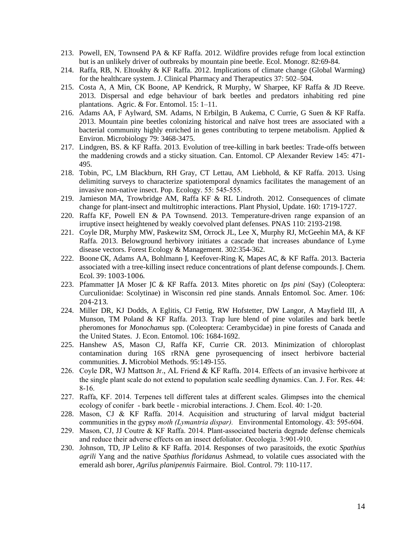- 213. Powell, EN, Townsend PA & KF Raffa. 2012. Wildfire provides refuge from local extinction but is an unlikely driver of outbreaks by mountain pine beetle. Ecol. Monogr. 82:69-84.
- 214. Raffa, RB, N. Eltoukhy & KF Raffa. 2012. Implications of climate change (Global Warming) for the healthcare system. J. Clinical Pharmacy and Therapeutics 37: 502–504.
- 215. Costa A, A Min, CK Boone, AP Kendrick, R Murphy, W Sharpee, KF Raffa & JD Reeve. 2013. Dispersal and edge behaviour of bark beetles and predators inhabiting red pine plantations. Agric. & For. Entomol. 15: 1–11.
- 216. Adams AA, F Aylward, SM. Adams, N Erbilgin, B Aukema, C Currie, G Suen & KF Raffa. 2013. Mountain pine beetles colonizing historical and naïve host trees are associated with a bacterial community highly enriched in genes contributing to terpene metabolism. Applied & Environ. Microbiology 79: 3468-3475.
- 217. Lindgren, BS. & KF Raffa. 2013. Evolution of tree-killing in bark beetles: Trade-offs between the maddening crowds and a sticky situation. Can. Entomol. CP Alexander Review 145: 471- 495.
- 218. Tobin, PC, LM Blackburn, RH Gray, CT Lettau, AM Liebhold, & KF Raffa. 2013. Using delimiting surveys to characterize spatiotemporal dynamics facilitates the management of an invasive non-native insect. Pop. Ecology. 55: 545-555.
- 219. Jamieson MA, Trowbridge AM, Raffa KF & RL Lindroth. 2012. Consequences of climate change for plant-insect and multitrophic interactions. Plant Physiol, Update. 160: 1719-1727.
- 220. Raffa KF, Powell EN & PA Townsend. 2013. Temperature-driven range expansion of an irruptive insect heightened by weakly coevolved plant defenses. PNAS 110: 2193-2198.
- 221. Coyle DR, Murphy MW, Paskewitz SM, Orrock JL, Lee X, Murphy RJ, McGeehin MA, & KF Raffa. 2013. Belowground herbivory initiates a cascade that increases abundance of Lyme disease vectors. Forest Ecology & Management. 302:354-362.
- 222. Boone CK, Adams AA, Bohlmann<sup>,</sup> J, Keefover-Ring<sup>,</sup> K, Mapes AC, & KF Raffa. 2013. Bacteria associated with a tree-killing insect reduce concentrations of plant defense compounds. J. Chem. Ecol. 39: 1003-1006.
- 223. Pfammatter JA Moser JC & KF Raffa. 2013. Mites phoretic on *Ips pini* (Say) (Coleoptera: Curculionidae: Scolytinae) in Wisconsin red pine stands. Annals Entomol. Soc. Amer. 106: 204-213.
- 224. Miller DR, KJ Dodds, A Eglitis, CJ Fettig, RW Hofstetter, DW Langor, A Mayfield III, A Munson, TM Poland & KF Raffa. 2013. Trap lure blend of pine volatiles and bark beetle pheromones for *Monochamus* spp. (Coleoptera: Cerambycidae) in pine forests of Canada and the United States. J. Econ. Entomol. 106: 1684-1692.
- 225. Hanshew AS, Mason CJ, Raffa KF, Currie CR. 2013. Minimization of chloroplast contamination during 16S rRNA gene pyrosequencing of insect herbivore bacterial communities. **J.** Microbiol Methods. 95:149-155.
- 226. Coyle DR, WJ Mattson Jr., AL Friend & KF Raffa. 2014. Effects of an invasive herbivore at the single plant scale do not extend to population scale seedling dynamics. Can. J. For. Res. 44: 8-16.
- 227. Raffa, KF. 2014. Terpenes tell different tales at different scales. Glimpses into the chemical ecology of conifer - bark beetle - microbial interactions. J. Chem. Ecol. 40: 1-20.
- 228. Mason, CJ & KF Raffa. 2014. Acquisition and structuring of larval midgut bacterial communities in the gypsy *moth (Lymantria dispar).* Environmental Entomology. 43: 595‹604.
- 229. Mason, CJ, JJ Coutre & KF Raffa. 2014. Plant-associated bacteria degrade defense chemicals and reduce their adverse effects on an insect defoliator. Oecologia. 3:901-910.
- 230. Johnson, TD, JP Lelito & KF Raffa. 2014. Responses of two parasitoids, the exotic *Spathius agrili* Yang and the native *Spathius floridanus* Ashmead, to volatile cues associated with the emerald ash borer, *Agrilus planipennis* Fairmaire. Biol. Control. 79: 110-117.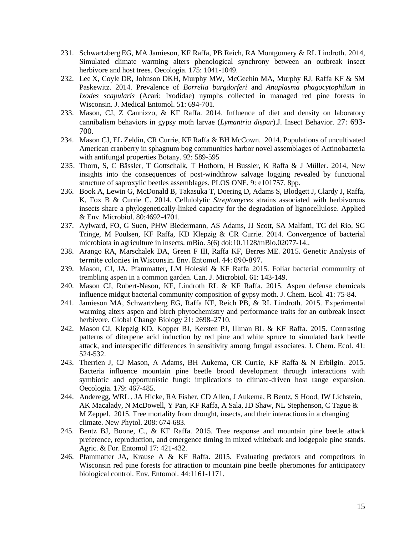- 231. Schwartzberg EG, MA Jamieson, KF Raffa, PB Reich, RA Montgomery & RL Lindroth. 2014, Simulated climate warming alters phenological synchrony between an outbreak insect herbivore and host trees. Oecologia. 175: 1041-1049.
- 232. Lee X, Coyle DR, Johnson DKH, Murphy MW, McGeehin MA, Murphy RJ, Raffa KF & SM Paskewitz. 2014. Prevalence of *Borrelia burgdorferi* and *Anaplasma phagocytophilum* in *Ixodes scapularis* (Acari: Ixodidae) nymphs collected in managed red pine forests in Wisconsin. J. Medical Entomol. 51: 694-701.
- 233. Mason, CJ, Z Cannizzo, & KF Raffa. 2014. Influence of diet and density on laboratory cannibalism behaviors in gypsy moth larvae (*Lymantria dispar*).J. Insect Behavior. 27: 693- 700.
- 234. Mason CJ, EL Zeldin, CR Currie, KF Raffa & BH McCown. 2014. Populations of uncultivated American cranberry in sphagnum bog communities harbor novel assemblages of Actinobacteria with antifungal properties Botany. 92: 589-595
- 235. Thorn, S, C Bässler, T Gottschalk, T Hothorn, H Bussler, K Raffa & J Müller. 2014, New insights into the consequences of post-windthrow salvage logging revealed by functional structure of saproxylic beetles assemblages. PLOS ONE. 9: e101757. 8pp.
- 236. Book A, Lewin G, McDonald B, Takasuka T, Doering D, Adams S, Blodgett J, Clardy J, Raffa, K, Fox B & Currie C. 2014. Cellulolytic *Streptomyces* strains associated with herbivorous insects share a phylogenetically-linked capacity for the degradation of lignocellulose. Applied & Env. Microbiol. 80:4692-4701.
- 237. Aylward, FO, G Suen, PHW Biedermann, AS Adams, JJ Scott, SA Malfatti, TG del Rio, SG Tringe, M Poulsen, KF Raffa, KD Klepzig & CR Currie. 2014. Convergence of bacterial microbiota in agriculture in insects. mBio. 5(6) doi:10.1128/mBio.02077-14..
- 238. Arango RA, Marschalek DA, Green F III, Raffa KF, Berres ME. 2015. Genetic Analysis of termite colonies in Wisconsin. Env. Entomol. 44: 890-897.
- 239. Mason, CJ, JA. Pfammatter, LM Holeski & KF Raffa 2015. Foliar bacterial community of trembling aspen in a common garden. Can. J. Microbiol. 61: 143-149.
- 240. Mason CJ, Rubert-Nason, KF, Lindroth RL & KF Raffa. 2015. Aspen defense chemicals influence midgut bacterial community composition of gypsy moth. J. Chem. Ecol. 41: 75-84.
- 241. Jamieson MA, Schwartzberg EG, Raffa KF, Reich PB, & RL Lindroth. 2015. Experimental warming alters aspen and birch phytochemistry and performance traits for an outbreak insect herbivore. Global Change Biology 21: 2698–2710.
- 242. Mason CJ, Klepzig KD, Kopper BJ, Kersten PJ, Illman BL & KF Raffa. 2015. Contrasting patterns of diterpene acid induction by red pine and white spruce to simulated bark beetle attack, and interspecific differences in sensitivity among fungal associates. J. Chem. Ecol. 41: 524-532.
- 243. Therrien J, CJ Mason, A Adams, BH Aukema, CR Currie, KF Raffa & N Erbilgin. 2015. Bacteria influence mountain pine beetle brood development through interactions with symbiotic and opportunistic fungi: implications to climate-driven host range expansion. Oecologia. 179: 467-485.
- 244. Anderegg, WRL , JA Hicke, RA Fisher, CD Allen, J Aukema, B Bentz, S Hood, JW Lichstein, AK Macalady, N McDowell, Y Pan, KF Raffa, A Sala, JD Shaw, NL Stephenson, C Tague & M Zeppel. 2015. Tree mortality from drought, insects, and their interactions in a changing climate. New Phytol. 208: 674-683.
- 245. Bentz BJ, Boone, C., & KF Raffa. 2015. Tree response and mountain pine beetle attack preference, reproduction, and emergence timing in mixed whitebark and lodgepole pine stands. Agric. & For. Entomol 17: 421-432.
- 246. Pfammatter JA, Krause A & KF Raffa. 2015. Evaluating predators and competitors in Wisconsin red pine forests for attraction to mountain pine beetle pheromones for anticipatory biological control. Env. Entomol. 44:1161-1171.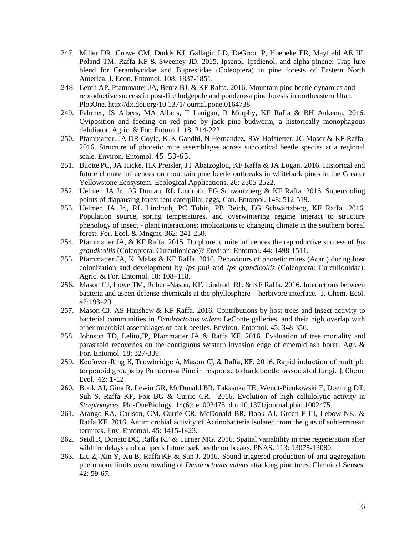- 247. Miller DR, Crowe CM, Dodds KJ, Gallagin LD, DeGroot P, Hoebeke ER, Mayfield AE III, Poland TM, Raffa KF & Sweeney JD. 2015. Ipsenol, ipsdienol, and alpha-pinene: Trap lure blend for Cerambycidae and Buprestidae (Coleoptera) in pine forests of Eastern North America. J. Econ. Entomol. 108: 1837-1851.
- 248. Lerch AP, Pfammatter JA, Bentz BJ, & KF Raffa. 2016. Mountain pine beetle dynamics and reproductive success in post-fire lodgepole and ponderosa pine forests in northeastern Utah. PlosOne. http://dx.doi.org/10.1371/journal.pone.0164738
- 249. Fahrner, JS Albers, MA Albers, T Lanigan, R Murphy, KF Raffa & BH Aukema. 2016. Oviposition and feeding on red pine by jack pine budworm, a historically monophagous defoliator. Agric. & For. Entomol. 18: 214-222.
- 250. Pfammatter, JA DR Coyle, KJK Gandhi, N Hernandez, RW Hofstetter, JC Moser & KF Raffa. 2016. Structure of phoretic mite assemblages across subcortical beetle species at a regional scale. Environ. Entomol. 45: 53-65.
- 251. Buotte PC, JA Hicke, HK Preisler, JT Abatzoglou, KF Raffa & JA Logan. 2016. Historical and future climate influences on mountain pine beetle outbreaks in whitebark pines in the Greater Yellowstone Ecosystem. Ecological Applications. 26: 2505-2522.
- 252. Uelmen JA Jr., JG Duman, RL Lindroth, EG Schwartzberg & KF Raffa. 2016. Supercooling points of diapausing forest tent caterpillar eggs, Can. Entomol. 148: 512-519.
- 253. Uelmen JA Jr., RL Lindroth, PC Tobin, PB Reich, EG Schwartzberg, KF Raffa. 2016. Population source, spring temperatures, and overwintering regime interact to structure phenology of insect - plant interactions: implications to changing climate in the southern boreal forest. For. Ecol. & Mngmt. 362: 241-250.
- 254. Pfammatter JA, & KF Raffa. 2015. Do phoretic mite influences the reproductive success of *Ips grandicollis* (Coleoptera: Curculionidae)? Environ. Entomol. 44: 1498-1511.
- 255. Pfammatter JA, K. Malas & KF Raffa. 2016. Behaviours of phoretic mites (Acari) during host colonization and development by *Ips pini* and *Ips grandicollis* (Coleoptera: Curculionidae). Agric. & For. Entomol. 18: 108–118.
- 256. Mason CJ, Lowe TM, Rubert-Nason, KF, Lindroth RL & KF Raffa. 2016. Interactions between bacteria and aspen defense chemicals at the phyllosphere – herbivore interface. J. Chem. Ecol. 42:193–201.
- 257. Mason CJ, AS Hanshew & KF Raffa. 2016. Contributions by host trees and insect activity to bacterial communities in *Dendroctonus valens* LeConte galleries, and their high overlap with other microbial assemblages of bark beetles. Environ. Entomol. 45: 348-356.
- 258. Johnson TD, Lelito,JP, Pfammatter JA & Raffa KF. 2016. Evaluation of tree mortality and parasitoid recoveries on the contiguous western invasion edge of emerald ash borer. Agr. & For. Entomol. 18: 327-339.
- 259. Keefover-Ring K, Trowbridge A, Mason CJ, & Raffa, KF. 2016. Rapid induction of multiple terpenoid groups by Ponderosa Pine in response to bark beetle -associated fungi. J. Chem. Ecol. 42: 1-12.
- 260. Book AJ, Gina R. Lewin GR, McDonald BR, Takasuka TE, Wendt-Pienkowski E, Doering DT, Suh S, Raffa KF, Fox BG & Currie CR. 2016. Evolution of high cellulolytic activity in *Streptomyces.* PlosOneBiology. 14(6): e1002475. doi:10.1371/journal.pbio.1002475.
- 261. Arango RA, Carlson, CM, Currie CR, McDonald BR, Book AJ, Green F III, Lebow NK, & Raffa KF. 2016. Antimicrobial activity of Actinobacteria isolated from the guts of subterranean termites. Env. Entomol. 45: 1415-1423.
- 262. Seidl R, Donato DC, Raffa KF & Turner MG. 2016. Spatial variability in tree regeneration after wildfire delays and dampens future bark beetle outbreaks. PNAS. 113: 13075-13080.
- 263. Liu Z, Xin Y, Xu B, Raffa KF & Sun J. 2016. Sound-triggered production of anti-aggregation pheromone limits overcrowding of *Dendroctonus valens* attacking pine trees. Chemical Senses. 42: 59-67.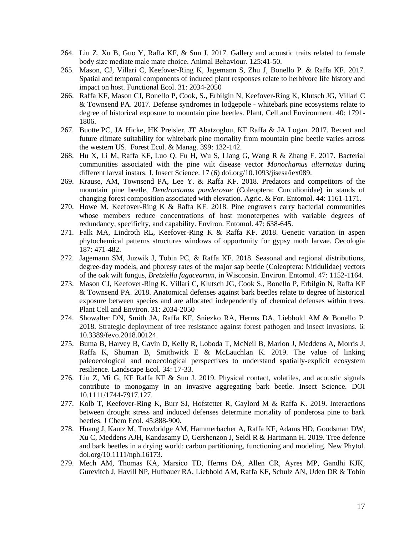- 264. Liu Z, Xu B, Guo Y, Raffa KF, & Sun J. 2017. Gallery and acoustic traits related to female body size mediate male mate choice. Animal Behaviour. 125:41-50.
- 265. Mason, CJ, Villari C, Keefover-Ring K, Jagemann S, Zhu J, Bonello P. & Raffa KF. 2017. Spatial and temporal components of induced plant responses relate to herbivore life history and impact on host. Functional Ecol. 31: 2034-2050
- 266. Raffa KF, Mason CJ, Bonello P, Cook, S., Erbilgin N, Keefover-Ring K, Klutsch JG, Villari C & Townsend PA. 2017. Defense syndromes in lodgepole - whitebark pine ecosystems relate to degree of historical exposure to mountain pine beetles. Plant, Cell and Environment. 40: 1791- 1806.
- 267. Buotte PC, JA Hicke, HK Preisler, JT Abatzoglou, KF Raffa & JA Logan. 2017. Recent and future climate suitability for whitebark pine mortality from mountain pine beetle varies across the western US. Forest Ecol. & Manag. 399: 132-142.
- 268. Hu X, Li M, Raffa KF, Luo Q, Fu H, Wu S, Liang G, Wang R & Zhang F. 2017. Bacterial communities associated with the pine wilt disease vector *Monochamus alternatus* during different larval instars. J. Insect Science. 17 (6) doi.org/10.1093/jisesa/iex089.
- 269. Krause, AM, Townsend PA, Lee Y. & Raffa KF. 2018. Predators and competitors of the mountain pine beetle, *Dendroctonus ponderosae* (Coleoptera: Curculionidae) in stands of changing forest composition associated with elevation. Agric. & For. Entomol. 44: 1161-1171.
- 270. Howe M, Keefover-Ring K & Raffa KF. 2018. Pine engravers carry bacterial communities whose members reduce concentrations of host monoterpenes with variable degrees of redundancy, specificity, and capability. Environ. Entomol. 47: 638-645.
- 271. Falk MA, Lindroth RL, Keefover-Ring K & Raffa KF. 2018. Genetic variation in aspen phytochemical patterns structures windows of opportunity for gypsy moth larvae. Oecologia 187: 471-482.
- 272. Jagemann SM, Juzwik J, Tobin PC, & Raffa KF. 2018. Seasonal and regional distributions, degree-day models, and phoresy rates of the major sap beetle (Coleoptera: Nitidulidae) vectors of the oak wilt fungus, *Bretziella fagacearum*, in Wisconsin. Environ. Entomol. 47: 1152-1164.
- 273. Mason CJ, Keefover-Ring K, Villari C, Klutsch JG, Cook S., Bonello P, Erbilgin N, Raffa KF & Townsend PA. 2018. Anatomical defenses against bark beetles relate to degree of historical exposure between species and are allocated independently of chemical defenses within trees. Plant Cell and Environ. 31: 2034-2050
- 274. Showalter DN, Smith JA, Raffa KF, Sniezko RA, Herms DA, Liebhold AM & Bonello P. 2018. Strategic deployment of tree resistance against forest pathogen and insect invasions. 6: 10.3389/fevo.2018.00124.
- 275. Buma B, Harvey B, Gavin D, Kelly R, Loboda T, McNeil B, Marlon J, Meddens A, Morris J, Raffa K, Shuman B, Smithwick E & McLauchlan K. 2019. The value of linking paleoecological and neoecological perspectives to understand spatially-explicit ecosystem resilience. Landscape Ecol. 34: 17-33.
- 276. Liu Z, Mi G, KF Raffa KF & Sun J. 2019. Physical contact, volatiles, and acoustic signals contribute to monogamy in an invasive aggregating bark beetle. Insect Science. DOI 10.1111/1744-7917.127.
- 277. Kolb T, Keefover-Ring K, Burr SJ, Hofstetter R, Gaylord M & Raffa K. 2019. Interactions between drought stress and induced defenses determine mortality of ponderosa pine to bark beetles. J Chem Ecol. 45:888-900.
- 278. Huang J, Kautz M, Trowbridge AM, Hammerbacher A, Raffa KF, Adams HD, Goodsman DW, Xu C, Meddens AJH, Kandasamy D, Gershenzon J, Seidl R & Hartmann H. 2019. Tree defence and bark beetles in a drying world: carbon partitioning, functioning and modeling. New Phytol. doi.org/10.1111/nph.16173.
- 279. Mech AM, Thomas KA, Marsico TD, Herms DA, Allen CR, Ayres MP, Gandhi KJK, Gurevitch J, Havill NP, Hufbauer RA, Liebhold AM, Raffa KF, Schulz AN, Uden DR & Tobin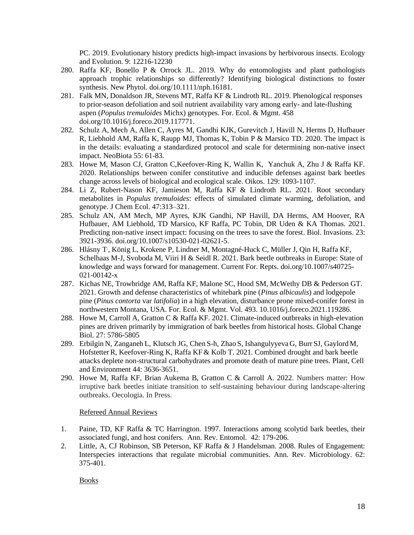PC. 2019. Evolutionary history predicts high-impact invasions by herbivorous insects. Ecology and Evolution. 9: 12216-12230

- 280. Raffa KF, Bonello P & Orrock JL. 2019. Why do entomologists and plant pathologists approach trophic relationships so differently? Identifying biological distinctions to foster synthesis. New Phytol. doi.org/10.1111/nph.16181.
- 281. Falk MN, Donaldson JR, Stevens MT, Raffa KF & Lindroth RL. 2019. Phenological responses to prior-season defoliation and soil nutrient availability vary among early- and late-flushing aspen (*Populus tremuloides* Michx) genotypes. For. Ecol. & Mgmt. 458 doi.org/10.1016/j.foreco.2019.117771.
- 282. Schulz A, Mech A, Allen C, Ayres M, Gandhi KJK, Gurevitch J, Havill N, Herms D, Hufbauer R, Liebhold AM, Raffa K, Raupp MJ, Thomas K, Tobin P & Marsico TD. 2020. The impact is in the details: evaluating a standardized protocol and scale for determining non-native insect impact. NeoBiota 55: 61-83.
- 283. Howe M, Mason CJ, Gratton C,Keefover-Ring K, Wallin K, Yanchuk A, Zhu J & Raffa KF. 2020. Relationships between conifer constitutive and inducible defenses against bark beetles change across levels of biological and ecological scale. Oikos. 129: 1093-1107.
- 284. Li Z, Rubert-Nason KF, Jamieson M, Raffa KF & Lindroth RL. 2021. Root secondary metabolites in *Populus tremuloides*: effects of simulated climate warming, defoliation, and genotype. J Chem Ecol. 47:313–321.
- 285. Schulz AN, AM Mech, MP Ayres, KJK Gandhi, NP Havill, DA Herms, AM Hoover, RA Hufbauer, AM Liebhold, TD Marsico, KF Raffa, PC Tobin, DR Uden & KA Thomas. 2021. Predicting non-native insect impact: focusing on the trees to save the forest. Biol. Invasions. 23: 3921-3936. doi.org/10.1007/s10530-021-02621-5.
- 286. Hlásny T, , König L, Krokene P, Lindner M, Montagné-Huck C, Müller J, Qin H, Raffa KF, Schelhaas M-J, Svoboda M, Viiri H & Seidl R. 2021. Bark beetle outbreaks in Europe: State of knowledge and ways forward for management. Current For. Repts. doi.org/10.1007/s40725- 021-00142-x
- 287. Kichas NE, Trowbridge AM, Raffa KF, Malone SC, Hood SM, McWethy DB & Pederson GT. 2021. Growth and defense characteristics of whitebark pine (*Pinus albicaulis*) and lodgepole pine (*Pinus contorta* var *latifolia*) in a high elevation, disturbance prone mixed-conifer forest in northwestern Montana, USA. For. Ecol. & Mgmt. Vol. 493. 10.1016/j.foreco.2021.119286.
- 288. Howe M, Carroll A, Gratton C & Raffa KF. 2021. Climate-induced outbreaks in high-elevation pines are driven primarily by immigration of bark beetles from historical hosts. Global Change Biol. 27: 5786-5805
- 289. Erbilgin N, Zanganeh L, Klutsch JG, Chen S-h, Zhao S, Ishangulyyeva G, Burr SJ, Gaylord M, HofstetterR, Keefover-Ring K, Raffa KF& Kolb T. 2021. Combined drought and bark beetle attacks deplete non-structural carbohydrates and promote death of mature pine trees. Plant, Cell and Environment 44: 3636-3651.
- 290. Howe M, Raffa KF, Brian Aukema B, Gratton C & Carroll A. 2022. Numbers matter: How irruptive bark beetles initiate transition to self-sustaining behaviour during landscape-altering outbreaks. Oecologia. In Press.

# Refereed Annual Reviews

- 1. Paine, TD, KF Raffa & TC Harrington. 1997. Interactions among scolytid bark beetles, their associated fungi, and host conifers. Ann. Rev. Entomol. 42: 179-206.
- 2. Little, A, CJ Robinson, SB Peterson, KF Raffa & J Handelsman. 2008. Rules of Engagement: Interspecies interactions that regulate microbial communities. Ann. Rev. Microbiology. 62: 375-401.

Books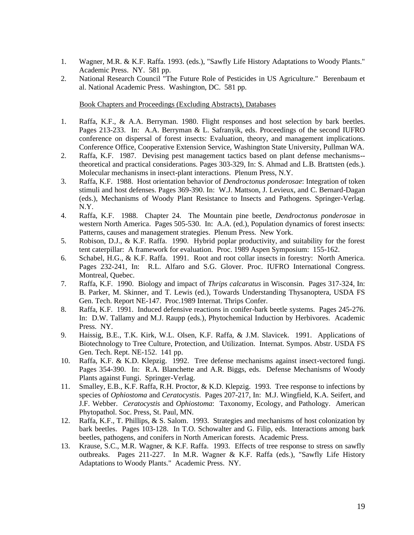- 1. Wagner, M.R. & K.F. Raffa. 1993. (eds.), "Sawfly Life History Adaptations to Woody Plants." Academic Press. NY. 581 pp.
- 2. National Research Council "The Future Role of Pesticides in US Agriculture." Berenbaum et al. National Academic Press. Washington, DC. 581 pp.

Book Chapters and Proceedings (Excluding Abstracts), Databases

- 1. Raffa, K.F., & A.A. Berryman. 1980. Flight responses and host selection by bark beetles. Pages 213-233. In: A.A. Berryman & L. Safranyik, eds. Proceedings of the second IUFRO conference on dispersal of forest insects: Evaluation, theory, and management implications. Conference Office, Cooperative Extension Service, Washington State University, Pullman WA.
- 2. Raffa, K.F. 1987. Devising pest management tactics based on plant defense mechanisms- theoretical and practical considerations. Pages 303-329, In: S. Ahmad and L.B. Brattsten (eds.). Molecular mechanisms in insect-plant interactions. Plenum Press, N.Y.
- 3. Raffa, K.F. 1988. Host orientation behavior of *Dendroctonus ponderosae*: Integration of token stimuli and host defenses. Pages 369-390. In: W.J. Mattson, J. Levieux, and C. Bernard-Dagan (eds.), Mechanisms of Woody Plant Resistance to Insects and Pathogens. Springer-Verlag. N.Y.
- 4. Raffa, K.F. 1988. Chapter 24. The Mountain pine beetle, *Dendroctonus ponderosae* in western North America. Pages 505-530. In: A.A. (ed.), Population dynamics of forest insects: Patterns, causes and management strategies. Plenum Press. New York.
- 5. Robison, D.J., & K.F. Raffa. 1990. Hybrid poplar productivity, and suitability for the forest tent caterpillar: A framework for evaluation. Proc. 1989 Aspen Symposium: 155-162.
- 6. Schabel, H.G., & K.F. Raffa. 1991. Root and root collar insects in forestry: North America. Pages 232-241, In: R.L. Alfaro and S.G. Glover. Proc. IUFRO International Congress. Montreal, Quebec.
- 7. Raffa, K.F. 1990. Biology and impact of *Thrips calcaratus* in Wisconsin. Pages 317-324, In: B. Parker, M. Skinner, and T. Lewis (ed.), Towards Understanding Thysanoptera, USDA FS Gen. Tech. Report NE-147. Proc.1989 Internat. Thrips Confer.
- 8. Raffa, K.F. 1991. Induced defensive reactions in conifer-bark beetle systems. Pages 245-276. In: D.W. Tallamy and M.J. Raupp (eds.), Phytochemical Induction by Herbivores. Academic Press. NY.
- 9. Haissig, B.E., T.K. Kirk, W.L. Olsen, K.F. Raffa, & J.M. Slavicek. 1991. Applications of Biotechnology to Tree Culture, Protection, and Utilization. Internat. Sympos. Abstr. USDA FS Gen. Tech. Rept. NE-152. 141 pp.
- 10. Raffa, K.F. & K.D. Klepzig. 1992. Tree defense mechanisms against insect-vectored fungi. Pages 354-390. In: R.A. Blanchette and A.R. Biggs, eds. Defense Mechanisms of Woody Plants against Fungi. Springer-Verlag.
- 11. Smalley, E.B., K.F. Raffa, R.H. Proctor, & K.D. Klepzig. 1993. Tree response to infections by species of *Ophiostoma* and *Ceratocystis*. Pages 207-217, In: M.J. Wingfield, K.A. Seifert, and J.F. Webber. *Ceratocystis* and *Ophiostoma*: Taxonomy, Ecology, and Pathology. American Phytopathol. Soc. Press, St. Paul, MN.
- 12. Raffa, K.F., T. Phillips, & S. Salom. 1993. Strategies and mechanisms of host colonization by bark beetles. Pages 103-128. In T.O. Schowalter and G. Filip, eds. Interactions among bark beetles, pathogens, and conifers in North American forests. Academic Press.
- 13. Krause, S.C., M.R. Wagner, & K.F. Raffa. 1993. Effects of tree response to stress on sawfly outbreaks. Pages 211-227. In M.R. Wagner & K.F. Raffa (eds.), "Sawfly Life History Adaptations to Woody Plants." Academic Press. NY.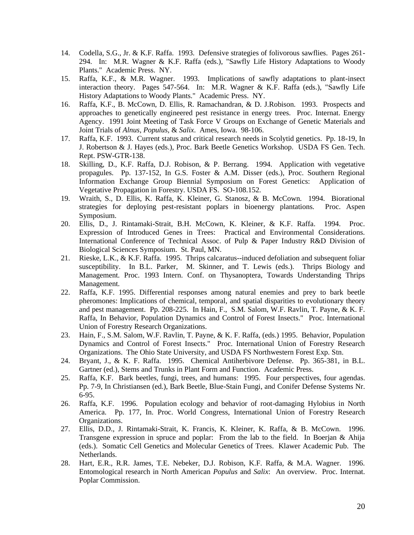- 14. Codella, S.G., Jr. & K.F. Raffa. 1993. Defensive strategies of folivorous sawflies. Pages 261- 294. In: M.R. Wagner & K.F. Raffa (eds.), "Sawfly Life History Adaptations to Woody Plants." Academic Press. NY.
- 15. Raffa, K.F., & M.R. Wagner. 1993. Implications of sawfly adaptations to plant-insect interaction theory. Pages 547-564. In: M.R. Wagner & K.F. Raffa (eds.), "Sawfly Life History Adaptations to Woody Plants." Academic Press. NY.
- 16. Raffa, K.F., B. McCown, D. Ellis, R. Ramachandran, & D. J.Robison. 1993. Prospects and approaches to genetically engineered pest resistance in energy trees. Proc. Internat. Energy Agency. 1991 Joint Meeting of Task Force V Groups on Exchange of Genetic Materials and Joint Trials of *Alnus, Populus,* & *Salix*. Ames, Iowa. 98-106.
- 17. Raffa, K.F. 1993. Current status and critical research needs in Scolytid genetics. Pp. 18-19, In J. Robertson & J. Hayes (eds.), Proc. Bark Beetle Genetics Workshop. USDA FS Gen. Tech. Rept. PSW-GTR-138.
- 18. Skilling, D., K.F. Raffa, D.J. Robison, & P. Berrang. 1994. Application with vegetative propagules. Pp. 137-152, In G.S. Foster & A.M. Disser (eds.), Proc. Southern Regional Information Exchange Group Biennial Symposium on Forest Genetics: Application of Vegetative Propagation in Forestry. USDA FS. SO-108.152.
- 19. Wraith, S., D. Ellis, K. Raffa, K. Kleiner, G. Stanosz, & B. McCown. 1994. Biorational strategies for deploying pest-resistant poplars in bioenergy plantations. Proc. Aspen Symposium.
- 20. Ellis, D., J. Rintamaki-Strait, B.H. McCown, K. Kleiner, & K.F. Raffa. 1994. Proc. Expression of Introduced Genes in Trees: Practical and Environmental Considerations. International Conference of Technical Assoc. of Pulp & Paper Industry R&D Division of Biological Sciences Symposium. St. Paul, MN.
- 21. Rieske, L.K., & K.F. Raffa. 1995. Thrips calcaratus--induced defoliation and subsequent foliar susceptibility. In B.L. Parker, M. Skinner, and T. Lewis (eds.). Thrips Biology and Management. Proc. 1993 Intern. Conf. on Thysanoptera, Towards Understanding Thrips Management.
- 22. Raffa, K.F. 1995. Differential responses among natural enemies and prey to bark beetle pheromones: Implications of chemical, temporal, and spatial disparities to evolutionary theory and pest management. Pp. 208-225. In Hain, F., S.M. Salom, W.F. Ravlin, T. Payne, & K. F. Raffa, In Behavior, Population Dynamics and Control of Forest Insects." Proc. International Union of Forestry Research Organizations.
- 23. Hain, F., S.M. Salom, W.F. Ravlin, T. Payne, & K. F. Raffa, (eds.) 1995. Behavior, Population Dynamics and Control of Forest Insects." Proc. International Union of Forestry Research Organizations. The Ohio State University, and USDA FS Northwestern Forest Exp. Stn.
- 24. Bryant, J., & K. F. Raffa. 1995. Chemical Antiherbivore Defense. Pp. 365-381, in B.L. Gartner (ed.), Stems and Trunks in Plant Form and Function. Academic Press.
- 25. Raffa, K.F. Bark beetles, fungi, trees, and humans: 1995. Four perspectives, four agendas. Pp. 7-9, In Christiansen (ed.), Bark Beetle, Blue-Stain Fungi, and Conifer Defense Systems Nr. 6-95.
- 26. Raffa, K.F. 1996. Population ecology and behavior of root-damaging Hylobius in North America. Pp. 177, In. Proc. World Congress, International Union of Forestry Research Organizations.
- 27. Ellis, D.D., J. Rintamaki-Strait, K. Francis, K. Kleiner, K. Raffa, & B. McCown. 1996. Transgene expression in spruce and poplar: From the lab to the field. In Boerjan & Ahija (eds.). Somatic Cell Genetics and Molecular Genetics of Trees. Klawer Academic Pub. The Netherlands.
- 28. Hart, E.R., R.R. James, T.E. Nebeker, D.J. Robison, K.F. Raffa, & M.A. Wagner. 1996. Entomological research in North American *Populus* and *Salix*: An overview. Proc. Internat. Poplar Commission.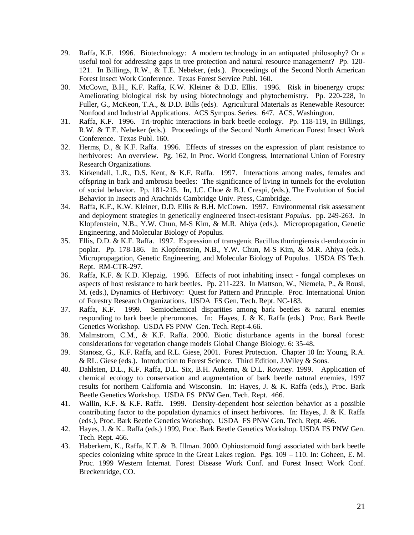- 29. Raffa, K.F. 1996. Biotechnology: A modern technology in an antiquated philosophy? Or a useful tool for addressing gaps in tree protection and natural resource management? Pp. 120- 121. In Billings, R.W., & T.E. Nebeker, (eds.). Proceedings of the Second North American Forest Insect Work Conference. Texas Forest Service Publ. 160.
- 30. McCown, B.H., K.F. Raffa, K.W. Kleiner & D.D. Ellis. 1996. Risk in bioenergy crops: Ameliorating biological risk by using biotechnology and phytochemistry. Pp. 220-228, In Fuller, G., McKeon, T.A., & D.D. Bills (eds). Agricultural Materials as Renewable Resource: Nonfood and Industrial Applications. ACS Sympos. Series. 647. ACS, Washington.
- 31. Raffa, K.F. 1996. Tri-trophic interactions in bark beetle ecology. Pp. 118-119, In Billings, R.W. & T.E. Nebeker (eds.). Proceedings of the Second North American Forest Insect Work Conference. Texas Publ. 160.
- 32. Herms, D., & K.F. Raffa. 1996. Effects of stresses on the expression of plant resistance to herbivores: An overview. Pg. 162, In Proc. World Congress, International Union of Forestry Research Organizations.
- 33. Kirkendall, L.R., D.S. Kent, & K.F. Raffa. 1997. Interactions among males, females and offspring in bark and ambrosia beetles: The significance of living in tunnels for the evolution of social behavior. Pp. 181-215. In, J.C. Choe & B.J. Crespi, (eds.), The Evolution of Social Behavior in Insects and Arachnids Cambridge Univ. Press, Cambridge.
- 34. Raffa, K.F., K.W. Kleiner, D.D. Ellis & B.H. McCown. 1997. Environmental risk assessment and deployment strategies in genetically engineered insect-resistant *Populus*. pp. 249-263. In Klopfenstein, N.B., Y.W. Chun, M-S Kim, & M.R. Ahiya (eds.). Micropropagation, Genetic Engineering, and Molecular Biology of Populus.
- 35. Ellis, D.D. & K.F. Raffa. 1997. Expression of transgenic Bacillus thuringiensis d-endotoxin in poplar. Pp. 178-186. In Klopfenstein, N.B., Y.W. Chun, M-S Kim, & M.R. Ahiya (eds.). Micropropagation, Genetic Engineering, and Molecular Biology of Populus. USDA FS Tech. Rept. RM-CTR-297.
- 36. Raffa, K.F. & K.D. Klepzig. 1996. Effects of root inhabiting insect fungal complexes on aspects of host resistance to bark beetles. Pp. 211-223. In Mattson, W., Niemela, P., & Rousi, M. (eds.), Dynamics of Herbivory: Quest for Pattern and Principle. Proc. International Union of Forestry Research Organizations. USDA FS Gen. Tech. Rept. NC-183.
- 37. Raffa, K.F. 1999. Semiochemical disparities among bark beetles & natural enemies responding to bark beetle pheromones. In: Hayes, J. & K. Raffa (eds.) Proc. Bark Beetle Genetics Workshop. USDA FS PNW Gen. Tech. Rept-4.66.
- 38. Malmstrom, C.M., & K.F. Raffa. 2000. Biotic disturbance agents in the boreal forest: considerations for vegetation change models Global Change Biology. 6: 35-48.
- 39. Stanosz, G., K.F. Raffa, and R.L. Giese, 2001. Forest Protection. Chapter 10 In: Young, R.A. & RL. Giese (eds.). Introduction to Forest Science. Third Edition. J.Wiley & Sons.
- 40. Dahlsten, D.L., K.F. Raffa, D.L. Six, B.H. Aukema, & D.L. Rowney. 1999. Application of chemical ecology to conservation and augmentation of bark beetle natural enemies, 1997 results for northern California and Wisconsin. In: Hayes, J. & K. Raffa (eds.), Proc. Bark Beetle Genetics Workshop. USDA FS PNW Gen. Tech. Rept. 466.
- 41. Wallin, K.F. & K.F. Raffa. 1999. Density-dependent host selection behavior as a possible contributing factor to the population dynamics of insect herbivores. In: Hayes, J. & K. Raffa (eds.), Proc. Bark Beetle Genetics Workshop. USDA FS PNW Gen. Tech. Rept. 466.
- 42. Hayes, J. & K.. Raffa (eds.) 1999, Proc. Bark Beetle Genetics Workshop. USDA FS PNW Gen. Tech. Rept. 466.
- 43. Haberkern, K., Raffa, K.F. & B. Illman. 2000. Ophiostomoid fungi associated with bark beetle species colonizing white spruce in the Great Lakes region. Pgs.  $109 - 110$ . In: Goheen, E. M. Proc. 1999 Western Internat. Forest Disease Work Conf. and Forest Insect Work Conf. Breckenridge, CO.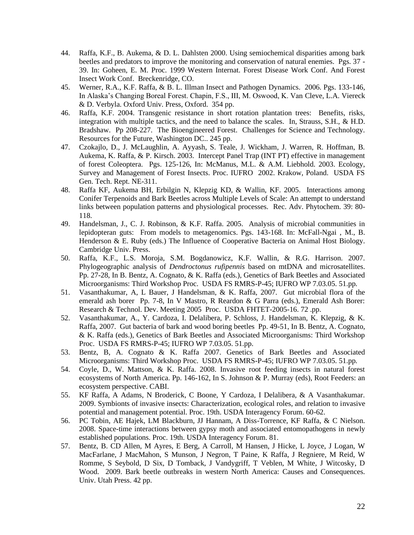- 44. Raffa, K.F., B. Aukema, & D. L. Dahlsten 2000. Using semiochemical disparities among bark beetles and predators to improve the monitoring and conservation of natural enemies. Pgs. 37 - 39. In: Goheen, E. M. Proc. 1999 Western Internat. Forest Disease Work Conf. And Forest Insect Work Conf. Breckenridge, CO.
- 45. Werner, R.A., K.F. Raffa, & B. L. Illman Insect and Pathogen Dynamics. 2006. Pgs. 133-146, In Alaska's Changing Boreal Forest. Chapin, F.S., III, M. Oswood, K. Van Cleve, L.A. Viereck & D. Verbyla. Oxford Univ. Press, Oxford. 354 pp.
- 46. Raffa, K.F. 2004. Transgenic resistance in short rotation plantation trees: Benefits, risks, integration with multiple tactics, and the need to balance the scales. In, Strauss, S.H., & H.D. Bradshaw. Pp 208-227. The Bioengineered Forest. Challenges for Science and Technology. Resources for the Future, Washington DC.. 245 pp.
- 47. Czokajlo, D., J. McLaughlin, A. Ayyash, S. Teale, J. Wickham, J. Warren, R. Hoffman, B. Aukema, K. Raffa, & P. Kirsch. 2003. Intercept Panel Trap (INT PT) effective in management of forest Coleoptera. Pgs. 125-126, In: McManus, M.L. & A.M. Liebhold. 2003. Ecology, Survey and Management of Forest Insects. Proc. IUFRO 2002. Krakow, Poland. USDA FS Gen. Tech. Rept. NE-311.
- 48. Raffa KF, Aukema BH, Erbilgin N, Klepzig KD, & Wallin, KF. 2005. Interactions among Conifer Terpenoids and Bark Beetles across Multiple Levels of Scale: An attempt to understand links between population patterns and physiological processes. Rec. Adv. Phytochem. 39: 80- 118.
- 49. Handelsman, J., C. J. Robinson, & K.F. Raffa. 2005. Analysis of microbial communities in lepidopteran guts: From models to metagenomics. Pgs. 143-168. In: McFall-Ngai , M., B. Henderson & E. Ruby (eds.) The Influence of Cooperative Bacteria on Animal Host Biology. Cambridge Univ. Press.
- 50. Raffa, K.F., L.S. Moroja, S.M. Bogdanowicz, K.F. Wallin, & R.G. Harrison. 2007. Phylogeographic analysis of *Dendroctonus rufipennis* based on mtDNA and microsatellites. Pp. 27-28, In B. Bentz, A. Cognato, & K. Raffa (eds.), Genetics of Bark Beetles and Associated Microorganisms: Third Workshop Proc. USDA FS RMRS-P-45; IUFRO WP 7.03.05. 51.pp.
- 51. Vasanthakumar, A, L Bauer, J Handelsman, & K. Raffa, 2007. Gut microbial flora of the emerald ash borer Pp. 7-8, In V Mastro, R Reardon & G Parra (eds.), Emerald Ash Borer: Research & Technol. Dev. Meeting 2005 Proc. USDA FHTET-2005-16. 72 .pp.
- 52. Vasanthakumar, A., Y. Cardoza, I. Delalibera, P. Schloss, J. Handelsman, K. Klepzig, & K. Raffa, 2007. Gut bacteria of bark and wood boring beetles Pp. 49-51, In B. Bentz, A. Cognato, & K. Raffa (eds.), Genetics of Bark Beetles and Associated Microorganisms: Third Workshop Proc. USDA FS RMRS-P-45; IUFRO WP 7.03.05. 51.pp.
- 53. Bentz, B, A. Cognato & K. Raffa 2007. Genetics of Bark Beetles and Associated Microorganisms: Third Workshop Proc. USDA FS RMRS-P-45; IUFRO WP 7.03.05. 51.pp.
- 54. Coyle, D., W. Mattson, & K. Raffa. 2008. Invasive root feeding insects in natural forest ecosystems of North America. Pp. 146-162, In S. Johnson & P. Murray (eds), Root Feeders: an ecosystem perspective. CABI.
- 55. KF Raffa, A Adams, N Broderick, C Boone, Y Cardoza, I Delalibera, & A Vasanthakumar. 2009. Symbionts of invasive insects: Characterization, ecological roles, and relation to invasive potential and management potential. Proc. 19th. USDA Interagency Forum. 60-62.
- 56. PC Tobin, AE Hajek, LM Blackburn, JJ Hannam, A Diss-Torrence, KF Raffa, & C Nielson. 2008. Space-time interactions between gypsy moth and associated entomopathogens in newly established populations. Proc. 19th. USDA Interagency Forum. 81.
- 57. Bentz, B. CD Allen, M Ayres, E Berg, A Carroll, M Hansen, J Hicke, L Joyce, J Logan, W MacFarlane, J MacMahon, S Munson, J Negron, T Paine, K Raffa, J Regniere, M Reid, W Romme, S Seybold, D Six, D Tomback, J Vandygriff, T Veblen, M White, J Witcosky, D Wood. 2009. Bark beetle outbreaks in western North America: Causes and Consequences. Univ. Utah Press. 42 pp.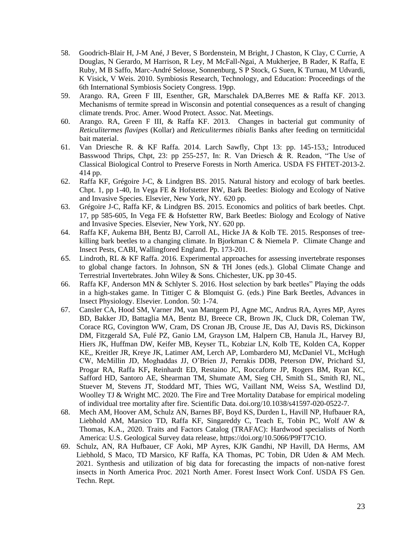- 58. Goodrich-Blair H, J-M Ané, J Bever, S Bordenstein, M Bright, J Chaston, K Clay, C Currie, A Douglas, N Gerardo, M Harrison, R Ley, M McFall-Ngai, A Mukherjee, B Rader, K Raffa, E Ruby, M B Saffo, Marc-André Selosse, Sonnenburg, S P Stock, G Suen, K Turnau, M Udvardi, K Visick, V Weis. 2010. Symbiosis Research, Technology, and Education: Proceedings of the 6th International Symbiosis Society Congress. 19pp.
- 59. Arango. RA, Green F III, Esenther, GR, Marschalek DA,Berres ME & Raffa KF. 2013. Mechanisms of termite spread in Wisconsin and potential consequences as a result of changing climate trends. Proc. Amer. Wood Protect. Assoc. Nat. Meetings.
- 60. Arango. RA, Green F III, & Raffa KF. 2013. Changes in bacterial gut community of *Reticulitermes flavipes* (Kollar) and *Reticulitermes tibialis* Banks after feeding on termiticidal bait material.
- 61. Van Driesche R. & KF Raffa. 2014. Larch Sawfly, Chpt 13: pp. 145-153,; Introduced Basswood Thrips, Chpt, 23: pp 255-257, In: R. Van Driesch & R. Readon, "The Use of Classical Biological Control to Preserve Forests in North America. USDA FS FHTET-2013-2. 414 pp.
- 62. Raffa KF, Grégoire J-C, & Lindgren BS. 2015. Natural history and ecology of bark beetles. Chpt. 1, pp 1-40, In Vega FE & Hofstetter RW, Bark Beetles: Biology and Ecology of Native and Invasive Species. Elsevier, New York, NY. 620 pp.
- 63. Grégoire J-C, Raffa KF, & Lindgren BS. 2015. Economics and politics of bark beetles. Chpt. 17, pp 585-605, In Vega FE & Hofstetter RW, Bark Beetles: Biology and Ecology of Native and Invasive Species. Elsevier, New York, NY. 620 pp.
- 64. Raffa KF, Aukema BH, Bentz BJ, Carroll AL, Hicke JA & Kolb TE. 2015. Responses of treekilling bark beetles to a changing climate. In Bjorkman C & Niemela P. Climate Change and Insect Pests, CABI, Wallingfored England. Pp. 173-201.
- 65. Lindroth, RL & KF Raffa. 2016. Experimental approaches for assessing invertebrate responses to global change factors. In Johnson, SN & TH Jones (eds.). Global Climate Change and Terrestrial Invertebrates. John Wiley & Sons. Chichester, UK. pp 30-45.
- 66. Raffa KF, Anderson MN & Schlyter S. 2016. Host selection by bark beetles" Playing the odds in a high-stakes game. In Tittiger C & Blomquist G. (eds.) Pine Bark Beetles, Advances in Insect Physiology. Elsevier. London. 50: 1-74.
- 67. Cansler CA, Hood SM, Varner JM, van Mantgem PJ, Agne MC, Andrus RA, Ayres MP, Ayres BD, Bakker JD, Battaglia MA, Bentz BJ, Breece CR, Brown JK, Cluck DR, Coleman TW, Corace RG, Covington WW, Cram, DS Cronan JB, Crouse JE, Das AJ, Davis RS, Dickinson DM, Fitzgerald SA, Fulé PZ, Ganio LM, Grayson LM, Halpern CB, Hanula JL, Harvey BJ, Hiers JK, Huffman DW, Keifer MB, Keyser TL, Kobziar LN, Kolb TE, Kolden CA, Kopper KE,, Kreitler JR, Kreye JK, Latimer AM, Lerch AP, Lombardero MJ, McDaniel VL, McHugh CW, McMillin JD, Moghaddas JJ, O'Brien JJ, Perrakis DDB, Peterson DW, Prichard SJ, Progar RA, Raffa KF**,** Reinhardt ED, Restaino JC, Roccaforte JP, Rogers BM, Ryan KC, Safford HD, Santoro AE, Shearman TM, Shumate AM, Sieg CH, Smith SL, Smith RJ, NL, Stuever M, Stevens JT, Stoddard MT, Thies WG, Vaillant NM, Weiss SA, Westlind DJ, Woolley TJ & Wright MC. 2020. The Fire and Tree Mortality Database for empirical modeling of individual tree mortality after fire. Scientific Data. doi.org/10.1038/s41597-020-0522-7.
- 68. Mech AM, Hoover AM, Schulz AN, Barnes BF, Boyd KS, Durden L, Havill NP, Hufbauer RA, Liebhold AM, Marsico TD, Raffa KF, Singareddy C, Teach E, Tobin PC, Wolf AW & Thomas, K.A., 2020. Traits and Factors Catalog (TRAFAC): Hardwood specialists of North America: U.S. Geological Survey data release, [https://doi.org/10.5066/P9FT7C1O.](https://doi.org/10.5066/P9FT7C1O)
- 69. Schulz, AN, RA Hufbauer, CF Aoki, MP Ayres, KJK Gandhi, NP Havill, DA Herms, AM Liebhold, S Maco, TD Marsico, KF Raffa, KA Thomas, PC Tobin, DR Uden & AM Mech. 2021. Synthesis and utilization of big data for forecasting the impacts of non-native forest insects in North America Proc. 2021 North Amer. Forest Insect Work Conf. USDA FS Gen. Techn. Rept.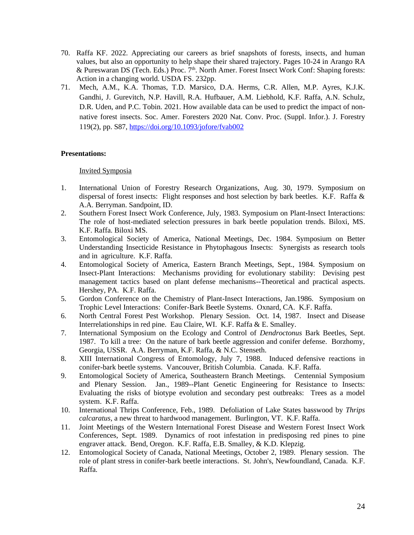- 70. Raffa KF. 2022. Appreciating our careers as brief snapshots of forests, insects, and human values, but also an opportunity to help shape their shared trajectory. Pages 10-24 in Arango RA & Pureswaran DS (Tech. Eds.) Proc. 7<sup>th</sup>. North Amer. Forest Insect Work Conf: Shaping forests: Action in a changing world. USDA FS. 232pp.
- 71. Mech, A.M., K.A. Thomas, T.D. Marsico, D.A. Herms, C.R. Allen, M.P. Ayres, K.J.K. Gandhi, J. Gurevitch, N.P. Havill, R.A. Hufbauer, A.M. Liebhold, K.F. Raffa, A.N. Schulz, D.R. Uden, and P.C. Tobin. 2021. How available data can be used to predict the impact of nonnative forest insects. Soc. Amer. Foresters 2020 Nat. Conv. Proc. (Suppl. Infor.). J. Forestry 119(2), pp. S87,<https://doi.org/10.1093/jofore/fvab002>

# **Presentations:**

# Invited Symposia

- 1. International Union of Forestry Research Organizations, Aug. 30, 1979. Symposium on dispersal of forest insects: Flight responses and host selection by bark beetles. K.F. Raffa  $\&$ A.A. Berryman. Sandpoint, ID.
- 2. Southern Forest Insect Work Conference, July, 1983. Symposium on Plant-Insect Interactions: The role of host-mediated selection pressures in bark beetle population trends. Biloxi, MS. K.F. Raffa. Biloxi MS.
- 3. Entomological Society of America, National Meetings, Dec. 1984. Symposium on Better Understanding Insecticide Resistance in Phytophagous Insects: Synergists as research tools and in agriculture. K.F. Raffa.
- 4. Entomological Society of America, Eastern Branch Meetings, Sept., 1984. Symposium on Insect-Plant Interactions: Mechanisms providing for evolutionary stability: Devising pest management tactics based on plant defense mechanisms--Theoretical and practical aspects. Hershey, PA. K.F. Raffa.
- 5. Gordon Conference on the Chemistry of Plant-Insect Interactions, Jan.1986. Symposium on Trophic Level Interactions: Conifer-Bark Beetle Systems. Oxnard, CA. K.F. Raffa.
- 6. North Central Forest Pest Workshop. Plenary Session. Oct. 14, 1987. Insect and Disease Interrelationships in red pine. Eau Claire, WI. K.F. Raffa & E. Smalley.
- 7. International Symposium on the Ecology and Control of *Dendroctonus* Bark Beetles, Sept. 1987. To kill a tree: On the nature of bark beetle aggression and conifer defense. Borzhomy, Georgia, USSR. A.A. Berryman, K.F. Raffa, & N.C. Stenseth.
- 8. XIII International Congress of Entomology, July 7, 1988. Induced defensive reactions in conifer-bark beetle systems. Vancouver, British Columbia. Canada. K.F. Raffa.
- 9. Entomological Society of America, Southeastern Branch Meetings. Centennial Symposium and Plenary Session. Jan., 1989--Plant Genetic Engineering for Resistance to Insects: Evaluating the risks of biotype evolution and secondary pest outbreaks: Trees as a model system. K.F. Raffa.
- 10. International Thrips Conference, Feb., 1989. Defoliation of Lake States basswood by *Thrips calcaratus*, a new threat to hardwood management. Burlington, VT. K.F. Raffa.
- 11. Joint Meetings of the Western International Forest Disease and Western Forest Insect Work Conferences, Sept. 1989. Dynamics of root infestation in predisposing red pines to pine engraver attack. Bend, Oregon. K.F. Raffa, E.B. Smalley, & K.D. Klepzig.
- 12. Entomological Society of Canada, National Meetings, October 2, 1989. Plenary session. The role of plant stress in conifer-bark beetle interactions. St. John's, Newfoundland, Canada. K.F. Raffa.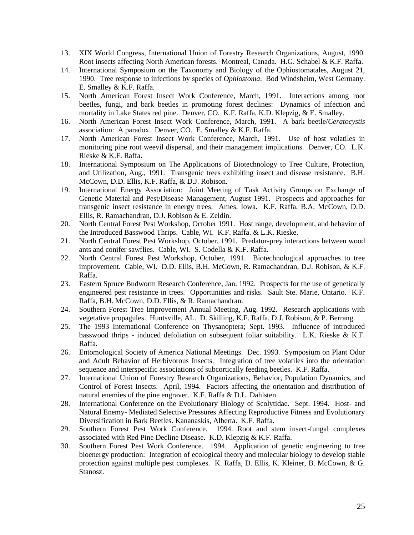- 13. XIX World Congress, International Union of Forestry Research Organizations, August, 1990. Root insects affecting North American forests. Montreal, Canada. H.G. Schabel & K.F. Raffa.
- 14. International Symposium on the Taxonomy and Biology of the Ophiostomatales, August 21, 1990. Tree response to infections by species of *Ophiostoma*. Bod Windsheim, West Germany. E. Smalley & K.F. Raffa.
- 15. North American Forest Insect Work Conference, March, 1991. Interactions among root beetles, fungi, and bark beetles in promoting forest declines: Dynamics of infection and mortality in Lake States red pine. Denver, CO. K.F. Raffa, K.D. Klepzig, & E. Smalley.
- 16. North American Forest Insect Work Conference, March, 1991. A bark beetle/*Ceratocystis* association: A paradox. Denver, CO. E. Smalley & K.F. Raffa.
- 17. North American Forest Insect Work Conference, March, 1991. Use of host volatiles in monitoring pine root weevil dispersal, and their management implications. Denver, CO. L.K. Rieske & K.F. Raffa.
- 18. International Symposium on The Applications of Biotechnology to Tree Culture, Protection, and Utilization, Aug., 1991. Transgenic trees exhibiting insect and disease resistance. B.H. McCown, D.D. Ellis, K.F. Raffa, & D.J. Robison.
- 19. International Energy Association: Joint Meeting of Task Activity Groups on Exchange of Genetic Material and Pest/Disease Management, August 1991. Prospects and approaches for transgenic insect resistance in energy trees. Ames, Iowa. K.F. Raffa, B.A. McCown, D.D. Ellis, R. Ramachandran, D.J. Robison & E. Zeldin.
- 20. North Central Forest Pest Workshop, October 1991. Host range, development, and behavior of the Introduced Basswood Thrips. Cable, WI. K.F. Raffa. & L.K. Rieske.
- 21. North Central Forest Pest Workshop, October, 1991. Predator-prey interactions between wood ants and conifer sawflies. Cable, WI. S. Codella & K.F. Raffa.
- 22. North Central Forest Pest Workshop, October, 1991. Biotechnological approaches to tree improvement. Cable, WI. D.D. Ellis, B.H. McCown, R. Ramachandran, D.J. Robison, & K.F. Raffa.
- 23. Eastern Spruce Budworm Research Conference, Jan. 1992. Prospects for the use of genetically engineered pest resistance in trees. Opportunities and risks. Sault Ste. Marie, Ontario. K.F. Raffa, B.H. McCown, D.D. Ellis, & R. Ramachandran.
- 24. Southern Forest Tree Improvement Annual Meeting, Aug. 1992. Research applications with vegetative propagules. Huntsville, AL. D. Skilling, K.F. Raffa, D.J. Robison, & P. Berrang.
- 25. The 1993 International Conference on Thysanoptera; Sept. 1993. Influence of introduced basswood thrips - induced defoliation on subsequent foliar suitability. L.K. Rieske & K.F. Raffa.
- 26. Entomological Society of America National Meetings. Dec. 1993. Symposium on Plant Odor and Adult Behavior of Herbivorous Insects. Integration of tree volatiles into the orientation sequence and interspecific associations of subcortically feeding beetles. K.F. Raffa.
- 27. International Union of Forestry Research Organizations, Behavior, Population Dynamics, and Control of Forest Insects. April, 1994. Factors affecting the orientation and distribution of natural enemies of the pine engraver. K.F. Raffa & D.L. Dahlsten.
- 28. International Conference on the Evolutionary Biology of Scolytidae. Sept. 1994. Host- and Natural Enemy- Mediated Selective Pressures Affecting Reproductive Fitness and Evolutionary Diversification in Bark Beetles. Kananaskis, Alberta. K.F. Raffa.
- 29. Southern Forest Pest Work Conference. 1994. Root and stem insect-fungal complexes associated with Red Pine Decline Disease. K.D. Klepzig & K.F. Raffa.
- 30. Southern Forest Pest Work Conference. 1994. Application of genetic engineering to tree bioenergy production: Integration of ecological theory and molecular biology to develop stable protection against multiple pest complexes. K. Raffa, D. Ellis, K. Kleiner, B. McCown, & G. Stanosz.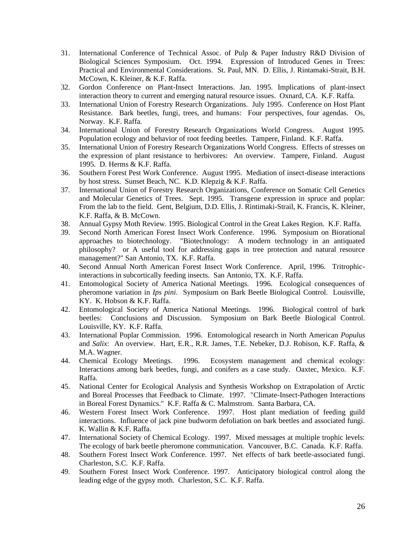- 31. International Conference of Technical Assoc. of Pulp & Paper Industry R&D Division of Biological Sciences Symposium. Oct. 1994. Expression of Introduced Genes in Trees: Practical and Environmental Considerations. St. Paul, MN. D. Ellis, J. Rintamaki-Strait, B.H. McCown, K. Kleiner, & K.F. Raffa.
- 32. Gordon Conference on Plant-Insect Interactions. Jan. 1995. Implications of plant-insect interaction theory to current and emerging natural resource issues. Oxnard, CA. K.F. Raffa.
- 33. International Union of Forestry Research Organizations. July 1995. Conference on Host Plant Resistance. Bark beetles, fungi, trees, and humans: Four perspectives, four agendas. Os, Norway. K.F. Raffa.
- 34. International Union of Forestry Research Organizations World Congress. August 1995. Population ecology and behavior of root feeding beetles. Tampere, Finland. K.F. Raffa.
- 35. International Union of Forestry Research Organizations World Congress. Effects of stresses on the expression of plant resistance to herbivores: An overview. Tampere, Finland. August 1995. D. Herms & K.F. Raffa.
- 36. Southern Forest Pest Work Conference. August 1995. Mediation of insect-disease interactions by host stress. Sunset Beach, NC. K.D. Klepzig & K.F. Raffa.
- 37. International Union of Forestry Research Organizations, Conference on Somatic Cell Genetics and Molecular Genetics of Trees. Sept. 1995. Transgene expression in spruce and poplar: From the lab to the field. Gent, Belgium, D.D. Ellis, J. Rintimaki-Strail, K. Francis, K. Kleiner, K.F. Raffa, & B. McCown.
- 38. Annual Gypsy Moth Review. 1995. Biological Control in the Great Lakes Region. K.F. Raffa.
- 39. Second North American Forest Insect Work Conference. 1996. Symposium on Biorational approaches to biotechnology. "Biotechnology: A modern technology in an antiquated philosophy? or A useful tool for addressing gaps in tree protection and natural resource management?" San Antonio, TX. K.F. Raffa.
- 40. Second Annual North American Forest Insect Work Conference. April, 1996. Tritrophicinteractions in subcortically feeding insects. San Antonio, TX. K.F. Raffa.
- 41. Entomological Society of America National Meetings. 1996. Ecological consequences of pheromone variation in *Ips pini*. Symposium on Bark Beetle Biological Control. Louisville, KY. K. Hobson & K.F. Raffa.
- 42. Entomological Society of America National Meetings. 1996. Biological control of bark beetles: Conclusions and Discussion. Symposium on Bark Beetle Biological Control. Louisville, KY. K.F. Raffa.
- 43. International Poplar Commission. 1996. Entomological research in North American *Populus*  and *Salix*: An overview. Hart, E.R., R.R. James, T.E. Nebeker, D.J. Robison, K.F. Raffa, & M.A. Wagner.
- 44. Chemical Ecology Meetings. 1996. Ecosystem management and chemical ecology: Interactions among bark beetles, fungi, and conifers as a case study. Oaxtec, Mexico. K.F. Raffa.
- 45. National Center for Ecological Analysis and Synthesis Workshop on Extrapolation of Arctic and Boreal Processes that Feedback to Climate. 1997. "Climate-Insect-Pathogen Interactions in Boreal Forest Dynamics." K.F. Raffa & C. Malmstrom. Santa Barbara, CA.
- 46. Western Forest Insect Work Conference. 1997. Host plant mediation of feeding guild interactions. Influence of jack pine budworm defoliation on bark beetles and associated fungi. K. Wallin & K.F. Raffa.
- 47. International Society of Chemical Ecology. 1997. Mixed messages at multiple trophic levels: The ecology of bark beetle pheromone communication. Vancouver, B.C. Canada. K.F. Raffa.
- 48. Southern Forest Insect Work Conference. 1997. Net effects of bark beetle-associated fungi. Charleston, S.C. K.F. Raffa.
- 49. Southern Forest Insect Work Conference. 1997. Anticipatory biological control along the leading edge of the gypsy moth. Charleston, S.C. K.F. Raffa.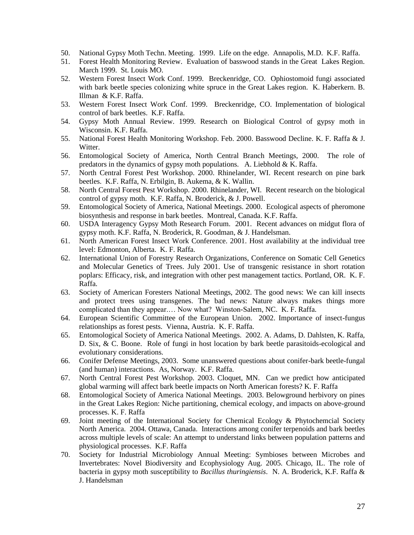- 50. National Gypsy Moth Techn. Meeting. 1999. Life on the edge. Annapolis, M.D. K.F. Raffa.
- 51. Forest Health Monitoring Review. Evaluation of basswood stands in the Great Lakes Region. March 1999. St. Louis MO.
- 52. Western Forest Insect Work Conf. 1999. Breckenridge, CO. Ophiostomoid fungi associated with bark beetle species colonizing white spruce in the Great Lakes region. K. Haberkern. B. Illman & K.F. Raffa.
- 53. Western Forest Insect Work Conf. 1999. Breckenridge, CO. Implementation of biological control of bark beetles. K.F. Raffa.
- 54. Gypsy Moth Annual Review. 1999. Research on Biological Control of gypsy moth in Wisconsin. K.F. Raffa.
- 55. National Forest Health Monitoring Workshop. Feb. 2000. Basswood Decline. K. F. Raffa & J. Witter.
- 56. Entomological Society of America, North Central Branch Meetings, 2000. The role of predators in the dynamics of gypsy moth populations. A. Liebhold & K. Raffa.
- 57. North Central Forest Pest Workshop. 2000. Rhinelander, WI. Recent research on pine bark beetles. K.F. Raffa, N. Erbilgin, B. Aukema, & K. Wallin.
- 58. North Central Forest Pest Workshop. 2000. Rhinelander, WI. Recent research on the biological control of gypsy moth. K.F. Raffa, N. Broderick, & J. Powell.
- 59. Entomological Society of America, National Meetings. 2000. Ecological aspects of pheromone biosynthesis and response in bark beetles. Montreal, Canada. K.F. Raffa.
- 60. USDA Interagency Gypsy Moth Research Forum. 2001. Recent advances on midgut flora of gypsy moth. K.F. Raffa, N. Broderick, R. Goodman, & J. Handelsman.
- 61. North American Forest Insect Work Conference. 2001. Host availability at the individual tree level: Edmonton, Alberta. K. F. Raffa.
- 62. International Union of Forestry Research Organizations, Conference on Somatic Cell Genetics and Molecular Genetics of Trees. July 2001. Use of transgenic resistance in short rotation poplars: Efficacy, risk, and integration with other pest management tactics. Portland, OR. K. F. Raffa.
- 63. Society of American Foresters National Meetings, 2002. The good news: We can kill insects and protect trees using transgenes. The bad news: Nature always makes things more complicated than they appear.… Now what? Winston-Salem, NC. K. F. Raffa.
- 64. European Scientific Committee of the European Union. 2002. Importance of insect-fungus relationships as forest pests. Vienna, Austria. K. F. Raffa.
- 65. Entomological Society of America National Meetings. 2002. A. Adams, D. Dahlsten, K. Raffa, D. Six, & C. Boone. Role of fungi in host location by bark beetle parasitoids-ecological and evolutionary considerations.
- 66. Conifer Defense Meetings, 2003. Some unanswered questions about conifer-bark beetle-fungal (and human) interactions. As, Norway. K.F. Raffa.
- 67. North Central Forest Pest Workshop. 2003. Cloquet, MN. Can we predict how anticipated global warming will affect bark beetle impacts on North American forests? K. F. Raffa
- 68. Entomological Society of America National Meetings. 2003. Belowground herbivory on pines in the Great Lakes Region: Niche partitioning, chemical ecology, and impacts on above-ground processes. K. F. Raffa
- 69. Joint meeting of the International Society for Chemical Ecology & Phytochemcial Society North America. 2004. Ottawa, Canada. Interactions among conifer terpenoids and bark beetles across multiple levels of scale: An attempt to understand links between population patterns and physiological processes. K.F. Raffa
- 70. Society for Industrial Microbiology Annual Meeting: Symbioses between Microbes and Invertebrates: Novel Biodiversity and Ecophysiology Aug. 2005. Chicago, IL. The role of bacteria in gypsy moth susceptibility to *Bacillus thuringiensis*. N. A. Broderick, K.F. Raffa & J. Handelsman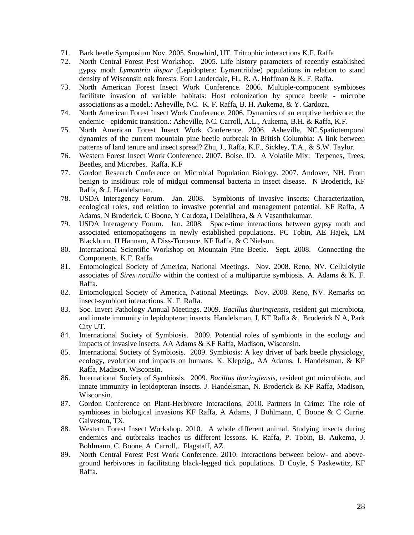- 71. Bark beetle Symposium Nov. 2005. Snowbird, UT. Tritrophic interactions K.F. Raffa
- 72. North Central Forest Pest Workshop. 2005. Life history parameters of recently established gypsy moth *Lymantria dispar* (Lepidoptera: Lymantriidae) populations in relation to stand density of Wisconsin oak forests. Fort Lauderdale, FL. R. A. Hoffman & K. F. Raffa.
- 73. North American Forest Insect Work Conference. 2006. Multiple-component symbioses facilitate invasion of variable habitats: Host colonization by spruce beetle - microbe associations as a model.: Asheville, NC. K. F. Raffa, B. H. Aukema, & Y. Cardoza.
- 74. North American Forest Insect Work Conference. 2006. Dynamics of an eruptive herbivore: the endemic - epidemic transition.: Asheville, NC. Carroll, A.L., Aukema, B.H. & Raffa, K.F.
- 75. North American Forest Insect Work Conference. 2006. Asheville, NC.Spatiotemporal dynamics of the current mountain pine beetle outbreak in British Columbia: A link between patterns of land tenure and insect spread? Zhu, J., Raffa, K.F., Sickley, T.A., & S.W. Taylor.
- 76. Western Forest Insect Work Conference. 2007. Boise, ID. A Volatile Mix: Terpenes, Trees, Beetles, and Microbes. Raffa, K.F
- 77. Gordon Research Conference on Microbial Population Biology. 2007. Andover, NH. From benign to insidious: role of midgut commensal bacteria in insect disease. N Broderick, KF Raffa, & J. Handelsman.
- 78. USDA Interagency Forum. Jan. 2008. Symbionts of invasive insects: Characterization, ecological roles, and relation to invasive potential and management potential. KF Raffa, A Adams, N Broderick, C Boone, Y Cardoza, I Delalibera, & A Vasanthakumar.
- 79. USDA Interagency Forum. Jan. 2008. Space-time interactions between gypsy moth and associated entomopathogens in newly established populations. PC Tobin, AE Hajek, LM Blackburn, JJ Hannam, A Diss-Torrence, KF Raffa, & C Nielson.
- 80. International Scientific Workshop on Mountain Pine Beetle. Sept. 2008. Connecting the Components. K.F. Raffa.
- 81. Entomological Society of America, National Meetings. Nov. 2008. Reno, NV. Cellulolytic associates of *Sirex noctilio* within the context of a multipartite symbiosis. A. Adams & K. F. Raffa.
- 82. Entomological Society of America, National Meetings. Nov. 2008. Reno, NV. Remarks on insect-symbiont interactions. K. F. Raffa.
- 83. Soc. Invert Pathology Annual Meetings. 2009. *Bacillus thuringiensis*, resident gut microbiota, and innate immunity in lepidopteran insects. Handelsman, J, KF Raffa &. Broderick N A, Park City UT.
- 84. International Society of Symbiosis. 2009. Potential roles of symbionts in the ecology and impacts of invasive insects. AA Adams & KF Raffa, Madison, Wisconsin.
- 85. International Society of Symbiosis. 2009. Symbiosis: A key driver of bark beetle physiology, ecology, evolution and impacts on humans. K. Klepzig,, AA Adams, J. Handelsman, & KF Raffa, Madison, Wisconsin.
- 86. International Society of Symbiosis. 2009. *Bacillus thuringiensis*, resident gut microbiota, and innate immunity in lepidopteran insects. J. Handelsman, N. Broderick & KF Raffa, Madison, Wisconsin.
- 87. Gordon Conference on Plant-Herbivore Interactions. 2010. Partners in Crime: The role of symbioses in biological invasions KF Raffa, A Adams, J Bohlmann, C Boone & C Currie. Galveston, TX.
- 88. Western Forest Insect Workshop. 2010. A whole different animal. Studying insects during endemics and outbreaks teaches us different lessons. K. Raffa, P. Tobin, B. Aukema, J. Bohlmann, C. Boone, A. Carroll,. Flagstaff, AZ.
- 89. North Central Forest Pest Work Conference. 2010. Interactions between below- and aboveground herbivores in facilitating black-legged tick populations. D Coyle, S Paskewtitz, KF Raffa.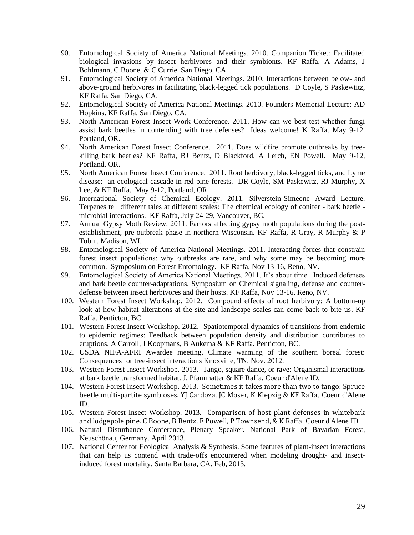- 90. Entomological Society of America National Meetings. 2010. Companion Ticket: Facilitated biological invasions by insect herbivores and their symbionts. KF Raffa, A Adams, J Bohlmann, C Boone, & C Currie. San Diego, CA.
- 91. Entomological Society of America National Meetings. 2010. Interactions between below- and above-ground herbivores in facilitating black-legged tick populations. D Coyle, S Paskewtitz, KF Raffa. San Diego, CA.
- 92. Entomological Society of America National Meetings. 2010. Founders Memorial Lecture: AD Hopkins. KF Raffa. San Diego, CA.
- 93. North American Forest Insect Work Conference. 2011. How can we best test whether fungi assist bark beetles in contending with tree defenses? Ideas welcome! K Raffa. May 9-12. Portland, OR.
- 94. North American Forest Insect Conference. 2011. Does wildfire promote outbreaks by treekilling bark beetles? KF Raffa, BJ Bentz, D Blackford, A Lerch, EN Powell. May 9-12, Portland, OR.
- 95. North American Forest Insect Conference. 2011. Root herbivory, black-legged ticks, and Lyme disease: an ecological cascade in red pine forests. DR Coyle, SM Paskewitz, RJ Murphy, X Lee, & KF Raffa. May 9-12, Portland, OR.
- 96. International Society of Chemical Ecology. 2011. Silverstein-Simeone Award Lecture. Terpenes tell different tales at different scales: The chemical ecology of conifer - bark beetle microbial interactions. KF Raffa, July 24-29, Vancouver, BC.
- 97. Annual Gypsy Moth Review. 2011. Factors affecting gypsy moth populations during the postestablishment, pre-outbreak phase in northern Wisconsin. KF Raffa, R Gray, R Murphy & P Tobin. Madison, WI.
- 98. Entomological Society of America National Meetings. 2011. Interacting forces that constrain forest insect populations: why outbreaks are rare, and why some may be becoming more common. Symposium on Forest Entomology. KF Raffa, Nov 13-16, Reno, NV.
- 99. Entomological Society of America National Meetings. 2011. It's about time. Induced defenses and bark beetle counter-adaptations. Symposium on Chemical signaling, defense and counterdefense between insect herbivores and their hosts. KF Raffa, Nov 13-16, Reno, NV.
- 100. Western Forest Insect Workshop. 2012. Compound effects of root herbivory: A bottom-up look at how habitat alterations at the site and landscape scales can come back to bite us. KF Raffa. Penticton, BC.
- 101. Western Forest Insect Workshop. 2012. Spatiotemporal dynamics of transitions from endemic to epidemic regimes: Feedback between population density and distribution contributes to eruptions. A Carroll, J Koopmans, B Aukema & KF Raffa. Penticton, BC.
- 102. USDA NIFA-AFRI Awardee meeting. Climate warming of the southern boreal forest: Consequences for tree-insect interactions Knoxville, TN. Nov. 2012.
- 103. Western Forest Insect Workshop. 2013. Tango, square dance, or rave: Organismal interactions at bark beetle transformed habitat. J. Pfammatter & KF Raffa. Coeur d'Alene ID.
- 104. Western Forest Insect Workshop. 2013. Sometimes it takes more than two to tango: Spruce beetle multi-partite symbioses. YJ Cardoza, JC Moser, K Klepzig & KF Raffa. Coeur d'Alene ID.
- 105. Western Forest Insect Workshop. 2013. Comparison of host plant defenses in whitebark and lodgepole pine. C Boone, B Bentz, E Powell, P Townsend, & K Raffa. Coeur d'Alene ID.
- 106. Natural Disturbance Conference, Plenary Speaker. National Park of Bavarian Forest, Neuschönau, Germany. April 2013.
- 107. National Center for Ecological Analysis & Synthesis. Some features of plant-insect interactions that can help us contend with trade-offs encountered when modeling drought- and insectinduced forest mortality. Santa Barbara, CA. Feb, 2013.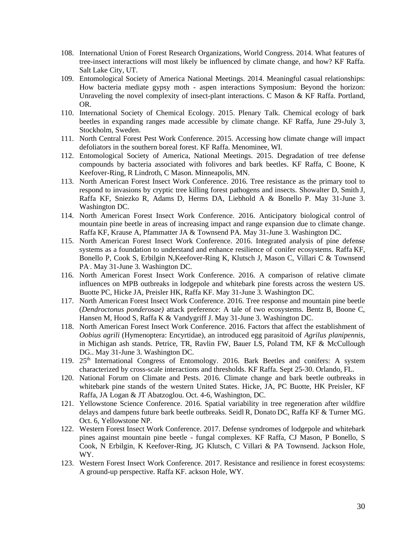- 108. International Union of Forest Research Organizations, World Congress. 2014. What features of tree-insect interactions will most likely be influenced by climate change, and how? KF Raffa. Salt Lake City, UT.
- 109. Entomological Society of America National Meetings. 2014. Meaningful casual relationships: How bacteria mediate gypsy moth - aspen interactions Symposium: Beyond the horizon: Unraveling the novel complexity of insect-plant interactions. C Mason & KF Raffa. Portland, OR.
- 110. International Society of Chemical Ecology. 2015. Plenary Talk. Chemical ecology of bark beetles in expanding ranges made accessible by climate change. KF Raffa, June 29-July 3, Stockholm, Sweden.
- 111. North Central Forest Pest Work Conference. 2015. Accessing how climate change will impact defoliators in the southern boreal forest. KF Raffa. Menominee, WI.
- 112. Entomological Society of America, National Meetings. 2015. Degradation of tree defense compounds by bacteria associated with folivores and bark beetles. KF Raffa, C Boone, K Keefover-Ring, R Lindroth, C Mason. Minneapolis, MN.
- 113. North American Forest Insect Work Conference. 2016. Tree resistance as the primary tool to respond to invasions by cryptic tree killing forest pathogens and insects. Showalter D, Smith J, Raffa KF, Sniezko R, Adams D, Herms DA, Liebhold A & Bonello P. May 31-June 3. Washington DC.
- 114. North American Forest Insect Work Conference. 2016. Anticipatory biological control of mountain pine beetle in areas of increasing impact and range expansion due to climate change. Raffa KF, Krause A, Pfammatter JA & Townsend PA. May 31-June 3. Washington DC.
- 115. North American Forest Insect Work Conference. 2016. Integrated analysis of pine defense systems as a foundation to understand and enhance resilience of conifer ecosystems. Raffa KF, Bonello P, Cook S, Erbilgin N,Keefover-Ring K, Klutsch J, Mason C, Villari C & Townsend PA. . May 31-June 3. Washington DC.
- 116. North American Forest Insect Work Conference. 2016. A comparison of relative climate influences on MPB outbreaks in lodgepole and whitebark pine forests across the western US. Buotte PC, Hicke JA, Preisler HK, Raffa KF. May 31-June 3. Washington DC.
- 117. North American Forest Insect Work Conference. 2016. Tree response and mountain pine beetle (*Dendroctonus ponderosae)* attack preference: A tale of two ecosystems. Bentz B, Boone C, Hansen M, Hood S, Raffa K & Vandygriff J. May 31-June 3. Washington DC.
- 118. North American Forest Insect Work Conference. 2016. Factors that affect the establishment of *Oobius agrili* (Hymenoptera: Encyrtidae), an introduced egg parasitoid of *Agrilus planipennis*, in Michigan ash stands. Petrice, TR, Ravlin FW, Bauer LS, Poland TM, KF & McCullough DG.. May 31-June 3. Washington DC.
- 119. 25<sup>th</sup> International Congress of Entomology. 2016. Bark Beetles and conifers: A system characterized by cross-scale interactions and thresholds. KF Raffa. Sept 25-30. Orlando, FL.
- 120. National Forum on Climate and Pests. 2016. Climate change and bark beetle outbreaks in whitebark pine stands of the western United States. Hicke, JA, PC Buotte, HK Preisler, KF Raffa, JA Logan & JT Abatzoglou. Oct. 4-6, Washington, DC.
- 121. Yellowstone Science Conference. 2016. Spatial variability in tree regeneration after wildfire delays and dampens future bark beetle outbreaks. Seidl R, Donato DC, Raffa KF & Turner MG. Oct. 6, Yellowstone NP.
- 122. Western Forest Insect Work Conference. 2017. Defense syndromes of lodgepole and whitebark pines against mountain pine beetle - fungal complexes. KF Raffa, CJ Mason, P Bonello, S Cook, N Erbilgin, K Keefover-Ring, JG Klutsch, C Villari & PA Townsend. Jackson Hole, WY.
- 123. Western Forest Insect Work Conference. 2017. Resistance and resilience in forest ecosystems: A ground-up perspective. Raffa KF. ackson Hole, WY.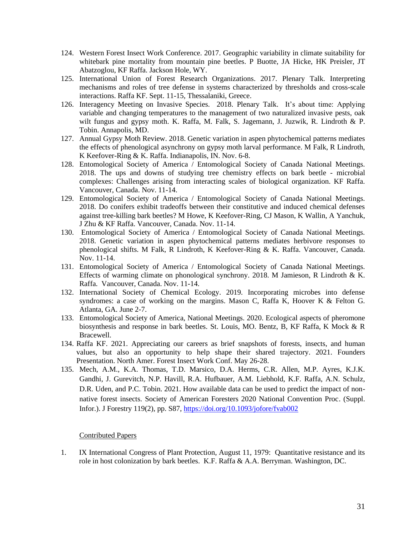- 124. Western Forest Insect Work Conference. 2017. Geographic variability in climate suitability for whitebark pine mortality from mountain pine beetles. P Buotte, JA Hicke, HK Preisler, JT Abatzoglou, KF Raffa. Jackson Hole, WY.
- 125. International Union of Forest Research Organizations. 2017. Plenary Talk. Interpreting mechanisms and roles of tree defense in systems characterized by thresholds and cross-scale interactions. Raffa KF. Sept. 11-15, Thessalaniki, Greece.
- 126. Interagency Meeting on Invasive Species. 2018. Plenary Talk. It's about time: Applying variable and changing temperatures to the management of two naturalized invasive pests, oak wilt fungus and gypsy moth. K. Raffa, M. Falk, S. Jagemann, J. Juzwik, R. Lindroth & P. Tobin. Annapolis, MD.
- 127. Annual Gypsy Moth Review. 2018. Genetic variation in aspen phytochemical patterns mediates the effects of phenological asynchrony on gypsy moth larval performance. M Falk, R Lindroth, K Keefover-Ring & K. Raffa. Indianapolis, IN. Nov. 6-8.
- 128. Entomological Society of America / Entomological Society of Canada National Meetings. 2018. The ups and downs of studying tree chemistry effects on bark beetle - microbial complexes: Challenges arising from interacting scales of biological organization. KF Raffa. Vancouver, Canada. Nov. 11-14.
- 129. Entomological Society of America / Entomological Society of Canada National Meetings. 2018. Do conifers exhibit tradeoffs between their constitutive and induced chemical defenses against tree-killing bark beetles? M Howe, K Keefover-Ring, CJ Mason, K Wallin, A Yanchuk, J Zhu & KF Raffa. Vancouver, Canada. Nov. 11-14.
- 130. Entomological Society of America / Entomological Society of Canada National Meetings. 2018. Genetic variation in aspen phytochemical patterns mediates herbivore responses to phenological shifts. M Falk, R Lindroth, K Keefover-Ring & K. Raffa. Vancouver, Canada. Nov. 11-14.
- 131. Entomological Society of America / Entomological Society of Canada National Meetings. Effects of warming climate on phonological synchrony. 2018. M Jamieson, R Lindroth & K. Raffa. Vancouver, Canada. Nov. 11-14.
- 132. International Society of Chemical Ecology. 2019. Incorporating microbes into defense syndromes: a case of working on the margins. Mason C, Raffa K, Hoover K & Felton G. Atlanta, GA. June 2-7.
- 133. Entomological Society of America, National Meetings. 2020. Ecological aspects of pheromone biosynthesis and response in bark beetles. St. Louis, MO. Bentz, B, KF Raffa, K Mock & R Bracewell.
- 134. Raffa KF. 2021. Appreciating our careers as brief snapshots of forests, insects, and human values, but also an opportunity to help shape their shared trajectory. 2021. Founders Presentation. North Amer. Forest Insect Work Conf. May 26-28.
- 135. Mech, A.M., K.A. Thomas, T.D. Marsico, D.A. Herms, C.R. Allen, M.P. Ayres, K.J.K. Gandhi, J. Gurevitch, N.P. Havill, R.A. Hufbauer, A.M. Liebhold, K.F. Raffa, A.N. Schulz, D.R. Uden, and P.C. Tobin. 2021. How available data can be used to predict the impact of nonnative forest insects. Society of American Foresters 2020 National Convention Proc. (Suppl. Infor.). J Forestry 119(2), pp. S87[, https://doi.org/10.1093/jofore/fvab002](https://doi.org/10.1093/jofore/fvab002)

# Contributed Papers

1. IX International Congress of Plant Protection, August 11, 1979: Quantitative resistance and its role in host colonization by bark beetles. K.F. Raffa & A.A. Berryman. Washington, DC.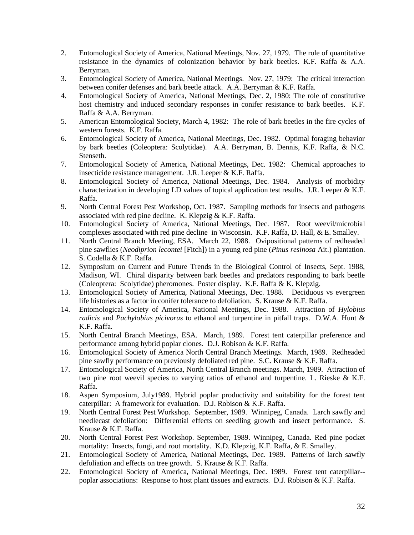- 2. Entomological Society of America, National Meetings, Nov. 27, 1979. The role of quantitative resistance in the dynamics of colonization behavior by bark beetles. K.F. Raffa & A.A. Berryman.
- 3. Entomological Society of America, National Meetings. Nov. 27, 1979: The critical interaction between conifer defenses and bark beetle attack. A.A. Berryman & K.F. Raffa.
- 4. Entomological Society of America, National Meetings, Dec. 2, 1980: The role of constitutive host chemistry and induced secondary responses in conifer resistance to bark beetles. K.F. Raffa & A.A. Berryman.
- 5. American Entomological Society, March 4, 1982: The role of bark beetles in the fire cycles of western forests. K.F. Raffa.
- 6. Entomological Society of America, National Meetings, Dec. 1982. Optimal foraging behavior by bark beetles (Coleoptera: Scolytidae). A.A. Berryman, B. Dennis, K.F. Raffa, & N.C. Stenseth.
- 7. Entomological Society of America, National Meetings, Dec. 1982: Chemical approaches to insecticide resistance management. J.R. Leeper & K.F. Raffa.
- 8. Entomological Society of America, National Meetings, Dec. 1984. Analysis of morbidity characterization in developing LD values of topical application test results. J.R. Leeper & K.F. Raffa.
- 9. North Central Forest Pest Workshop, Oct. 1987. Sampling methods for insects and pathogens associated with red pine decline. K. Klepzig & K.F. Raffa.
- 10. Entomological Society of America, National Meetings, Dec. 1987. Root weevil/microbial complexes associated with red pine decline in Wisconsin. K.F. Raffa, D. Hall, & E. Smalley.
- 11. North Central Branch Meeting, ESA. March 22, 1988. Ovipositional patterns of redheaded pine sawflies (*Neodiprion lecontei* [Fitch]) in a young red pine (*Pinus resinosa* Ait.) plantation. S. Codella & K.F. Raffa.
- 12. Symposium on Current and Future Trends in the Biological Control of Insects, Sept. 1988, Madison, WI. Chiral disparity between bark beetles and predators responding to bark beetle (Coleoptera: Scolytidae) pheromones. Poster display. K.F. Raffa & K. Klepzig.
- 13. Entomological Society of America, National Meetings, Dec. 1988. Deciduous vs evergreen life histories as a factor in conifer tolerance to defoliation. S. Krause & K.F. Raffa.
- 14. Entomological Society of America, National Meetings, Dec. 1988. Attraction of *Hylobius radicis* and *Pachylobius picivorus* to ethanol and turpentine in pitfall traps. D.W.A. Hunt & K.F. Raffa.
- 15. North Central Branch Meetings, ESA. March, 1989. Forest tent caterpillar preference and performance among hybrid poplar clones. D.J. Robison & K.F. Raffa.
- 16. Entomological Society of America North Central Branch Meetings. March, 1989. Redheaded pine sawfly performance on previously defoliated red pine. S.C. Krause & K.F. Raffa.
- 17. Entomological Society of America, North Central Branch meetings. March, 1989. Attraction of two pine root weevil species to varying ratios of ethanol and turpentine. L. Rieske & K.F. Raffa.
- 18. Aspen Symposium, July1989. Hybrid poplar productivity and suitability for the forest tent caterpillar: A framework for evaluation. D.J. Robison & K.F. Raffa.
- 19. North Central Forest Pest Workshop. September, 1989. Winnipeg, Canada. Larch sawfly and needlecast defoliation: Differential effects on seedling growth and insect performance. S. Krause & K.F. Raffa.
- 20. North Central Forest Pest Workshop. September, 1989. Winnipeg, Canada. Red pine pocket mortality: Insects, fungi, and root mortality. K.D. Klepzig, K.F. Raffa, & E. Smalley.
- 21. Entomological Society of America, National Meetings, Dec. 1989. Patterns of larch sawfly defoliation and effects on tree growth. S. Krause & K.F. Raffa.
- 22. Entomological Society of America, National Meetings, Dec. 1989. Forest tent caterpillar- poplar associations: Response to host plant tissues and extracts. D.J. Robison & K.F. Raffa.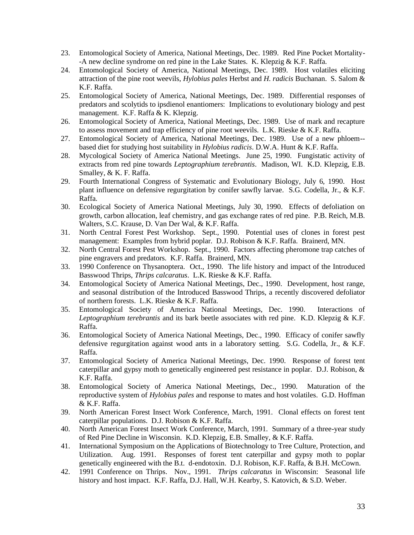- 23. Entomological Society of America, National Meetings, Dec. 1989. Red Pine Pocket Mortality- -A new decline syndrome on red pine in the Lake States. K. Klepzig & K.F. Raffa.
- 24. Entomological Society of America, National Meetings, Dec. 1989. Host volatiles eliciting attraction of the pine root weevils, *Hylobius pales* Herbst and *H. radicis* Buchanan. S. Salom & K.F. Raffa.
- 25. Entomological Society of America, National Meetings, Dec. 1989. Differential responses of predators and scolytids to ipsdienol enantiomers: Implications to evolutionary biology and pest management. K.F. Raffa & K. Klepzig.
- 26. Entomological Society of America, National Meetings, Dec. 1989. Use of mark and recapture to assess movement and trap efficiency of pine root weevils. L.K. Rieske & K.F. Raffa.
- 27. Entomological Society of America, National Meetings, Dec. 1989. Use of a new phloem- based diet for studying host suitability in *Hylobius radicis*. D.W.A. Hunt & K.F. Raffa.
- 28. Mycological Society of America National Meetings. June 25, 1990. Fungistatic activity of extracts from red pine towards *Leptographium terebrantis*. Madison, WI. K.D. Klepzig, E.B. Smalley, & K. F. Raffa.
- 29. Fourth International Congress of Systematic and Evolutionary Biology, July 6, 1990. Host plant influence on defensive regurgitation by conifer sawfly larvae. S.G. Codella, Jr., & K.F. Raffa.
- 30. Ecological Society of America National Meetings, July 30, 1990. Effects of defoliation on growth, carbon allocation, leaf chemistry, and gas exchange rates of red pine. P.B. Reich, M.B. Walters, S.C. Krause, D. Van Der Wal, & K.F. Raffa.
- 31. North Central Forest Pest Workshop. Sept., 1990. Potential uses of clones in forest pest management: Examples from hybrid poplar. D.J. Robison & K.F. Raffa. Brainerd, MN.
- 32. North Central Forest Pest Workshop. Sept., 1990. Factors affecting pheromone trap catches of pine engravers and predators. K.F. Raffa. Brainerd, MN.
- 33. 1990 Conference on Thysanoptera. Oct., 1990. The life history and impact of the Introduced Basswood Thrips, *Thrips calcaratus*. L.K. Rieske & K.F. Raffa.
- 34. Entomological Society of America National Meetings, Dec., 1990. Development, host range, and seasonal distribution of the Introduced Basswood Thrips, a recently discovered defoliator of northern forests. L.K. Rieske & K.F. Raffa.
- 35. Entomological Society of America National Meetings, Dec. 1990. Interactions of *Leptographium terebrantis* and its bark beetle associates with red pine. K.D. Klepzig & K.F. Raffa.
- 36. Entomological Society of America National Meetings, Dec., 1990. Efficacy of conifer sawfly defensive regurgitation against wood ants in a laboratory setting. S.G. Codella, Jr., & K.F. Raffa.
- 37. Entomological Society of America National Meetings, Dec. 1990. Response of forest tent caterpillar and gypsy moth to genetically engineered pest resistance in poplar. D.J. Robison, & K.F. Raffa.
- 38. Entomological Society of America National Meetings, Dec., 1990. Maturation of the reproductive system of *Hylobius pales* and response to mates and host volatiles. G.D. Hoffman & K.F. Raffa.
- 39. North American Forest Insect Work Conference, March, 1991. Clonal effects on forest tent caterpillar populations. D.J. Robison & K.F. Raffa.
- 40. North American Forest Insect Work Conference, March, 1991. Summary of a three-year study of Red Pine Decline in Wisconsin. K.D. Klepzig, E.B. Smalley, & K.F. Raffa.
- 41. International Symposium on the Applications of Biotechnology to Tree Culture, Protection, and Utilization. Aug. 1991. Responses of forest tent caterpillar and gypsy moth to poplar genetically engineered with the B.t. d-endotoxin. D.J. Robison, K.F. Raffa, & B.H. McCown.
- 42. 1991 Conference on Thrips. Nov., 1991. *Thrips calcaratus* in Wisconsin: Seasonal life history and host impact. K.F. Raffa, D.J. Hall, W.H. Kearby, S. Katovich, & S.D. Weber.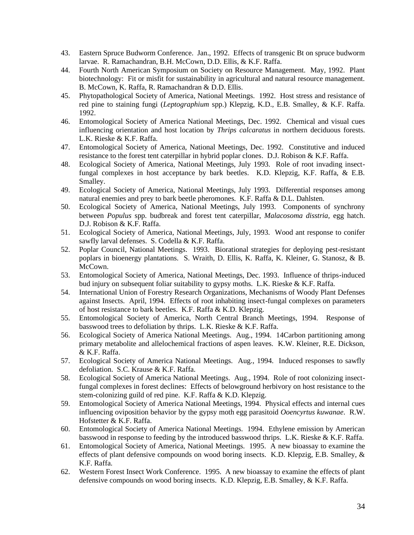- 43. Eastern Spruce Budworm Conference. Jan., 1992. Effects of transgenic Bt on spruce budworm larvae. R. Ramachandran, B.H. McCown, D.D. Ellis, & K.F. Raffa.
- 44. Fourth North American Symposium on Society on Resource Management. May, 1992. Plant biotechnology: Fit or misfit for sustainability in agricultural and natural resource management. B. McCown, K. Raffa, R. Ramachandran & D.D. Ellis.
- 45. Phytopathological Society of America, National Meetings. 1992. Host stress and resistance of red pine to staining fungi (*Leptographium* spp.) Klepzig, K.D., E.B. Smalley, & K.F. Raffa. 1992.
- 46. Entomological Society of America National Meetings, Dec. 1992. Chemical and visual cues influencing orientation and host location by *Thrips calcaratus* in northern deciduous forests. L.K. Rieske & K.F. Raffa.
- 47. Entomological Society of America, National Meetings, Dec. 1992. Constitutive and induced resistance to the forest tent caterpillar in hybrid poplar clones. D.J. Robison & K.F. Raffa.
- 48. Ecological Society of America, National Meetings, July 1993. Role of root invading insectfungal complexes in host acceptance by bark beetles. K.D. Klepzig, K.F. Raffa, & E.B. Smalley.
- 49. Ecological Society of America, National Meetings, July 1993. Differential responses among natural enemies and prey to bark beetle pheromones. K.F. Raffa & D.L. Dahlsten.
- 50. Ecological Society of America, National Meetings, July 1993. Components of synchrony between *Populus* spp. budbreak and forest tent caterpillar, *Malacosoma disstria,* egg hatch. D.J. Robison & K.F. Raffa.
- 51. Ecological Society of America, National Meetings, July, 1993. Wood ant response to conifer sawfly larval defenses. S. Codella & K.F. Raffa.
- 52. Poplar Council, National Meetings. 1993. Biorational strategies for deploying pest-resistant poplars in bioenergy plantations. S. Wraith, D. Ellis, K. Raffa, K. Kleiner, G. Stanosz, & B. McCown.
- 53. Entomological Society of America, National Meetings, Dec. 1993. Influence of thrips-induced bud injury on subsequent foliar suitability to gypsy moths. L.K. Rieske & K.F. Raffa.
- 54. International Union of Forestry Research Organizations, Mechanisms of Woody Plant Defenses against Insects. April, 1994. Effects of root inhabiting insect-fungal complexes on parameters of host resistance to bark beetles. K.F. Raffa & K.D. Klepzig.
- 55. Entomological Society of America, North Central Branch Meetings, 1994. Response of basswood trees to defoliation by thrips. L.K. Rieske & K.F. Raffa.
- 56. Ecological Society of America National Meetings. Aug., 1994. 14Carbon partitioning among primary metabolite and allelochemical fractions of aspen leaves. K.W. Kleiner, R.E. Dickson, & K.F. Raffa.
- 57. Ecological Society of America National Meetings. Aug., 1994. Induced responses to sawfly defoliation. S.C. Krause & K.F. Raffa.
- 58. Ecological Society of America National Meetings. Aug., 1994. Role of root colonizing insectfungal complexes in forest declines: Effects of belowground herbivory on host resistance to the stem-colonizing guild of red pine. K.F. Raffa & K.D. Klepzig.
- 59. Entomological Society of America National Meetings, 1994. Physical effects and internal cues influencing oviposition behavior by the gypsy moth egg parasitoid *Ooencyrtus kuwanae*. R.W. Hofstetter & K.F. Raffa.
- 60. Entomological Society of America National Meetings. 1994. Ethylene emission by American basswood in response to feeding by the introduced basswood thrips. L.K. Rieske & K.F. Raffa.
- 61. Entomological Society of America, National Meetings. 1995. A new bioassay to examine the effects of plant defensive compounds on wood boring insects. K.D. Klepzig, E.B. Smalley, & K.F. Raffa.
- 62. Western Forest Insect Work Conference. 1995. A new bioassay to examine the effects of plant defensive compounds on wood boring insects. K.D. Klepzig, E.B. Smalley, & K.F. Raffa.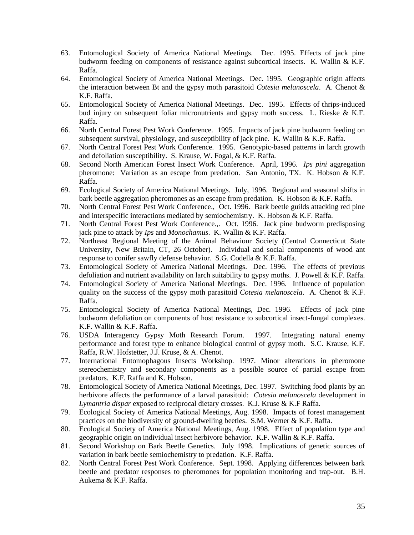- 63. Entomological Society of America National Meetings. Dec. 1995. Effects of jack pine budworm feeding on components of resistance against subcortical insects. K. Wallin & K.F. Raffa.
- 64. Entomological Society of America National Meetings. Dec. 1995. Geographic origin affects the interaction between Bt and the gypsy moth parasitoid *Cotesia melanoscela*. A. Chenot & K.F. Raffa.
- 65. Entomological Society of America National Meetings. Dec. 1995. Effects of thrips-induced bud injury on subsequent foliar micronutrients and gypsy moth success. L. Rieske & K.F. Raffa.
- 66. North Central Forest Pest Work Conference. 1995. Impacts of jack pine budworm feeding on subsequent survival, physiology, and susceptibility of jack pine. K. Wallin & K.F. Raffa.
- 67. North Central Forest Pest Work Conference. 1995. Genotypic-based patterns in larch growth and defoliation susceptibility. S. Krause, W. Fogal, & K.F. Raffa.
- 68. Second North American Forest Insect Work Conference. April, 1996. *Ips pini* aggregation pheromone: Variation as an escape from predation. San Antonio, TX. K. Hobson & K.F. Raffa.
- 69. Ecological Society of America National Meetings. July, 1996. Regional and seasonal shifts in bark beetle aggregation pheromones as an escape from predation. K. Hobson & K.F. Raffa.
- 70. North Central Forest Pest Work Conference., Oct. 1996. Bark beetle guilds attacking red pine and interspecific interactions mediated by semiochemistry. K. Hobson & K.F. Raffa.
- 71. North Central Forest Pest Work Conference.,. Oct. 1996. Jack pine budworm predisposing jack pine to attack by *Ips* and *Monochamus*. K. Wallin & K.F. Raffa.
- 72. Northeast Regional Meeting of the Animal Behaviour Society (Central Connecticut State University, New Britain, CT, 26 October). Individual and social components of wood ant response to conifer sawfly defense behavior. S.G. Codella & K.F. Raffa.
- 73. Entomological Society of America National Meetings. Dec. 1996. The effects of previous defoliation and nutrient availability on larch suitability to gypsy moths. J. Powell & K.F. Raffa.
- 74. Entomological Society of America National Meetings. Dec. 1996. Influence of population quality on the success of the gypsy moth parasitoid *Cotesia melanoscela*. A. Chenot & K.F. Raffa.
- 75. Entomological Society of America National Meetings, Dec. 1996. Effects of jack pine budworm defoliation on components of host resistance to subcortical insect-fungal complexes. K.F. Wallin & K.F. Raffa.
- 76. USDA Interagency Gypsy Moth Research Forum. 1997. Integrating natural enemy performance and forest type to enhance biological control of gypsy moth. S.C. Krause, K.F. Raffa, R.W. Hofstetter, J.J. Kruse, & A. Chenot.
- 77. International Entomophagous Insects Workshop. 1997. Minor alterations in pheromone stereochemistry and secondary components as a possible source of partial escape from predators. K.F. Raffa and K. Hobson.
- 78. Entomological Society of America National Meetings, Dec. 1997. Switching food plants by an herbivore affects the performance of a larval parasitoid: *Cotesia melanoscela* development in *Lymantria dispar* exposed to reciprocal dietary crosses. K.J. Kruse & K.F Raffa.
- 79. Ecological Society of America National Meetings, Aug. 1998. Impacts of forest management practices on the biodiversity of ground-dwelling beetles. S.M. Werner & K.F. Raffa.
- 80. Ecological Society of America National Meetings, Aug. 1998. Effect of population type and geographic origin on individual insect herbivore behavior. K.F. Wallin & K.F. Raffa.
- 81. Second Workshop on Bark Beetle Genetics. July 1998. Implications of genetic sources of variation in bark beetle semiochemistry to predation. K.F. Raffa.
- 82. North Central Forest Pest Work Conference. Sept. 1998. Applying differences between bark beetle and predator responses to pheromones for population monitoring and trap-out. B.H. Aukema & K.F. Raffa.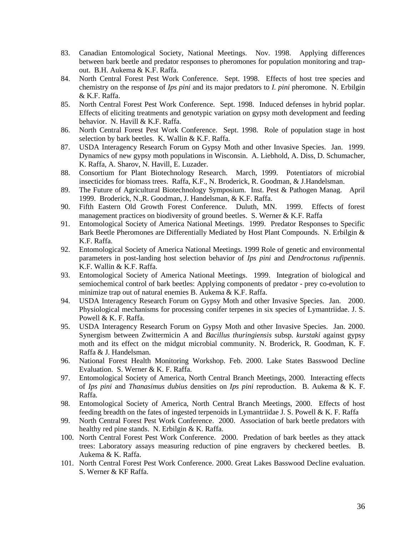- 83. Canadian Entomological Society, National Meetings. Nov. 1998. Applying differences between bark beetle and predator responses to pheromones for population monitoring and trapout. B.H. Aukema & K.F. Raffa.
- 84. North Central Forest Pest Work Conference. Sept. 1998. Effects of host tree species and chemistry on the response of *Ips pini* and its major predators to *I. pini* pheromone. N. Erbilgin & K.F. Raffa.
- 85. North Central Forest Pest Work Conference. Sept. 1998. Induced defenses in hybrid poplar. Effects of eliciting treatments and genotypic variation on gypsy moth development and feeding behavior. N. Havill & K.F. Raffa.
- 86. North Central Forest Pest Work Conference. Sept. 1998. Role of population stage in host selection by bark beetles. K. Wallin & K.F. Raffa.
- 87. USDA Interagency Research Forum on Gypsy Moth and other Invasive Species. Jan. 1999. Dynamics of new gypsy moth populations in Wisconsin. A. Liebhold, A. Diss, D. Schumacher, K. Raffa, A. Sharov, N. Havill, E. Luzader.
- 88. Consortium for Plant Biotechnology Research. March, 1999. Potentiators of microbial insecticides for biomass trees. Raffa, K.F., N. Broderick, R. Goodman, & J.Handelsman.
- 89. The Future of Agricultural Biotechnology Symposium. Inst. Pest & Pathogen Manag. April 1999. Broderick, N.,R. Goodman, J. Handelsman, & K.F. Raffa.
- 90. Fifth Eastern Old Growth Forest Conference. Duluth, MN. 1999. Effects of forest management practices on biodiversity of ground beetles. S. Werner & K.F. Raffa
- 91. Entomological Society of America National Meetings. 1999. Predator Responses to Specific Bark Beetle Pheromones are Differentially Mediated by Host Plant Compounds. N. Erbilgin & K.F. Raffa.
- 92. Entomological Society of America National Meetings. 1999 Role of genetic and environmental parameters in post-landing host selection behavior of *Ips pini* and *Dendroctonus rufipennis*. K.F. Wallin & K.F. Raffa.
- 93. Entomological Society of America National Meetings. 1999. Integration of biological and semiochemical control of bark beetles: Applying components of predator - prey co-evolution to minimize trap out of natural enemies B. Aukema & K.F. Raffa.
- 94. USDA Interagency Research Forum on Gypsy Moth and other Invasive Species. Jan. 2000. Physiological mechanisms for processing conifer terpenes in six species of Lymantriidae. J. S. Powell & K. F. Raffa.
- 95. USDA Interagency Research Forum on Gypsy Moth and other Invasive Species. Jan. 2000. Synergism between Zwittermicin A and *Bacillus thuringiensis* subsp*. kurstaki* against gypsy moth and its effect on the midgut microbial community. N. Broderick, R. Goodman, K. F. Raffa & J. Handelsman.
- 96. National Forest Health Monitoring Workshop. Feb. 2000. Lake States Basswood Decline Evaluation. S. Werner & K. F. Raffa.
- 97. Entomological Society of America, North Central Branch Meetings, 2000. Interacting effects of *Ips pini* and *Thanasimus dubius* densities on *Ips pini* reproduction. B. Aukema & K. F. Raffa.
- 98. Entomological Society of America, North Central Branch Meetings, 2000. Effects of host feeding breadth on the fates of ingested terpenoids in Lymantriidae J. S. Powell & K. F. Raffa
- 99. North Central Forest Pest Work Conference. 2000. Association of bark beetle predators with healthy red pine stands. N. Erbilgin & K. Raffa.
- 100. North Central Forest Pest Work Conference. 2000. Predation of bark beetles as they attack trees: Laboratory assays measuring reduction of pine engravers by checkered beetles. B. Aukema & K. Raffa.
- 101. North Central Forest Pest Work Conference. 2000. Great Lakes Basswood Decline evaluation. S. Werner & KF Raffa.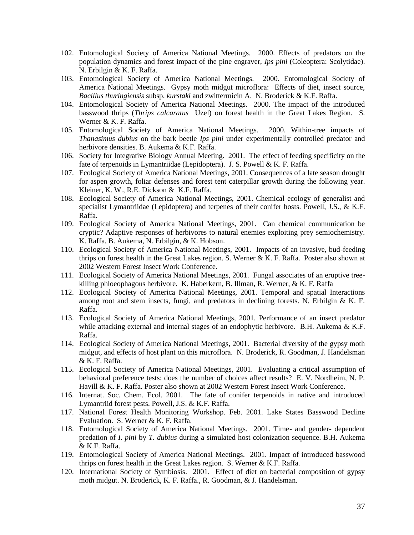- 102. Entomological Society of America National Meetings. 2000. Effects of predators on the population dynamics and forest impact of the pine engraver, *Ips pini* (Coleoptera: Scolytidae). N. Erbilgin & K. F. Raffa.
- 103. Entomological Society of America National Meetings. 2000. Entomological Society of America National Meetings. Gypsy moth midgut microflora: Effects of diet, insect source, *Bacillus thuringiensis* subsp. *kurstaki* and zwittermicin A. N. Broderick & K.F. Raffa.
- 104. Entomological Society of America National Meetings. 2000. The impact of the introduced basswood thrips (*Thrips calcaratus* Uzel) on forest health in the Great Lakes Region. S. Werner & K. F. Raffa.
- 105. Entomological Society of America National Meetings. 2000. Within-tree impacts of *Thanasimus dubius* on the bark beetle *Ips pini* under experimentally controlled predator and herbivore densities. B. Aukema & K.F. Raffa.
- 106. Society for Integrative Biology Annual Meeting. 2001. The effect of feeding specificity on the fate of terpenoids in Lymantriidae (Lepidoptera). J. S. Powell & K. F. Raffa.
- 107. Ecological Society of America National Meetings, 2001. Consequences of a late season drought for aspen growth, foliar defenses and forest tent caterpillar growth during the following year. Kleiner, K. W., R.E. Dickson & K.F. Raffa.
- 108. Ecological Society of America National Meetings, 2001. Chemical ecology of generalist and specialist Lymantriidae (Lepidoptera) and terpenes of their conifer hosts. Powell, J.S., & K.F. Raffa.
- 109. Ecological Society of America National Meetings, 2001. Can chemical communication be cryptic? Adaptive responses of herbivores to natural enemies exploiting prey semiochemistry. K. Raffa, B. Aukema, N. Erbilgin, & K. Hobson.
- 110. Ecological Society of America National Meetings, 2001. Impacts of an invasive, bud-feeding thrips on forest health in the Great Lakes region. S. Werner & K. F. Raffa. Poster also shown at 2002 Western Forest Insect Work Conference.
- 111. Ecological Society of America National Meetings, 2001. Fungal associates of an eruptive treekilling phloeophagous herbivore. K. Haberkern, B. Illman, R. Werner, & K. F. Raffa
- 112. Ecological Society of America National Meetings, 2001. Temporal and spatial Interactions among root and stem insects, fungi, and predators in declining forests. N. Erbilgin & K. F. Raffa.
- 113. Ecological Society of America National Meetings, 2001. Performance of an insect predator while attacking external and internal stages of an endophytic herbivore. B.H. Aukema & K.F. Raffa.
- 114. Ecological Society of America National Meetings, 2001. Bacterial diversity of the gypsy moth midgut, and effects of host plant on this microflora. N. Broderick, R. Goodman, J. Handelsman & K. F. Raffa.
- 115. Ecological Society of America National Meetings, 2001. Evaluating a critical assumption of behavioral preference tests: does the number of choices affect results? E. V. Nordheim, N. P. Havill & K. F. Raffa. Poster also shown at 2002 Western Forest Insect Work Conference.
- 116. Internat. Soc. Chem. Ecol. 2001. The fate of conifer terpenoids in native and introduced Lymantriid forest pests. Powell, J.S. & K.F. Raffa.
- 117. National Forest Health Monitoring Workshop. Feb. 2001. Lake States Basswood Decline Evaluation. S. Werner & K. F. Raffa.
- 118. Entomological Society of America National Meetings. 2001. Time- and gender- dependent predation of *I. pini* by *T. dubius* during a simulated host colonization sequence. B.H. Aukema & K.F. Raffa.
- 119. Entomological Society of America National Meetings. 2001. Impact of introduced basswood thrips on forest health in the Great Lakes region. S. Werner & K.F. Raffa.
- 120. International Society of Symbiosis. 2001. Effect of diet on bacterial composition of gypsy moth midgut. N. Broderick, K. F. Raffa., R. Goodman, & J. Handelsman.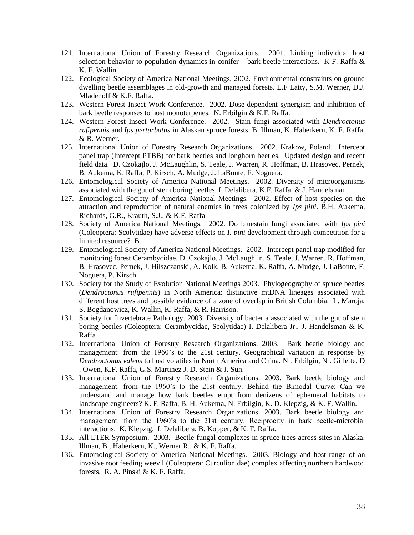- 121. International Union of Forestry Research Organizations. 2001. Linking individual host selection behavior to population dynamics in conifer – bark beetle interactions. K F. Raffa  $\&$ K. F. Wallin.
- 122. Ecological Society of America National Meetings, 2002. Environmental constraints on ground dwelling beetle assemblages in old-growth and managed forests. E.F Latty, S.M. Werner, D.J. Mladenoff & K.F. Raffa.
- 123. Western Forest Insect Work Conference. 2002. Dose-dependent synergism and inhibition of bark beetle responses to host monoterpenes. N. Erbilgin & K.F. Raffa.
- 124. Western Forest Insect Work Conference. 2002. Stain fungi associated with *Dendroctonus rufipennis* and *Ips perturbatus* in Alaskan spruce forests. B. Illman, K. Haberkern, K. F. Raffa, & R. Werner.
- 125. International Union of Forestry Research Organizations. 2002. Krakow, Poland. Intercept panel trap (Intercept PTBB) for bark beetles and longhorn beetles. Updated design and recent field data. D. Czokajlo, J. McLaughlin, S. Teale, J. Warren, R. Hoffman, B. Hrasovec, Pernek, B. Aukema, K. Raffa, P. Kirsch, A. Mudge, J. LaBonte, F. Noguera.
- 126. Entomological Society of America National Meetings. 2002. Diversity of microorganisms associated with the gut of stem boring beetles. I. Delalibera, K.F. Raffa, & J. Handelsman.
- 127. Entomological Society of America National Meetings. 2002. Effect of host species on the attraction and reproduction of natural enemies in trees colonized by *Ips pini*. B.H. Aukema, Richards, G.R., Krauth, S.J., & K.F. Raffa
- 128. Society of America National Meetings. 2002. Do bluestain fungi associated with *Ips pini* (Coleoptera: Scolytidae) have adverse effects on *I. pini* development through competition for a limited resource? B.
- 129. Entomological Society of America National Meetings. 2002. Intercept panel trap modified for monitoring forest Cerambycidae. D. Czokajlo, J. McLaughlin, S. Teale, J. Warren, R. Hoffman, B. Hrasovec, Pernek, J. Hilszczanski, A. Kolk, B. Aukema, K. Raffa, A. Mudge, J. LaBonte, F. Noguera, P. Kirsch.
- 130. Society for the Study of Evolution National Meetings 2003. Phylogeography of spruce beetles (*Dendroctonus rufipennis*) in North America: distinctive mtDNA lineages associated with different host trees and possible evidence of a zone of overlap in British Columbia. L. Maroja, S. Bogdanowicz, K. Wallin, K. Raffa, & R. Harrison.
- 131. Society for Invertebrate Pathology. 2003. Diversity of bacteria associated with the gut of stem boring beetles (Coleoptera: Cerambycidae, Scolytidae) I. Delalibera Jr., J. Handelsman & K. Raffa
- 132. International Union of Forestry Research Organizations. 2003. Bark beetle biology and management: from the 1960's to the 21st century. Geographical variation in response by *Dendroctonus valens* to host volatiles in North America and China. N . Erbilgin, N . Gillette, D . Owen, K.F. Raffa, G.S. Martinez J. D. Stein & J. Sun.
- 133. International Union of Forestry Research Organizations. 2003. Bark beetle biology and management: from the 1960's to the 21st century. Behind the Bimodal Curve: Can we understand and manage how bark beetles erupt from denizens of ephemeral habitats to landscape engineers? K. F. Raffa, B. H. Aukema, N. Erbilgin, K. D. Klepzig, & K. F. Wallin.
- 134. International Union of Forestry Research Organizations. 2003. Bark beetle biology and management: from the 1960's to the 21st century. Reciprocity in bark beetle-microbial interactions. K. Klepzig, I. Delalibera, B. Kopper, & K. F. Raffa.
- 135. All LTER Symposium. 2003. Beetle-fungal complexes in spruce trees across sites in Alaska. Illman, B., Haberkern, K., Werner R., & K. F. Raffa.
- 136. Entomological Society of America National Meetings. 2003. Biology and host range of an invasive root feeding weevil (Coleoptera: Curculionidae) complex affecting northern hardwood forests. R. A. Pinski & K. F. Raffa.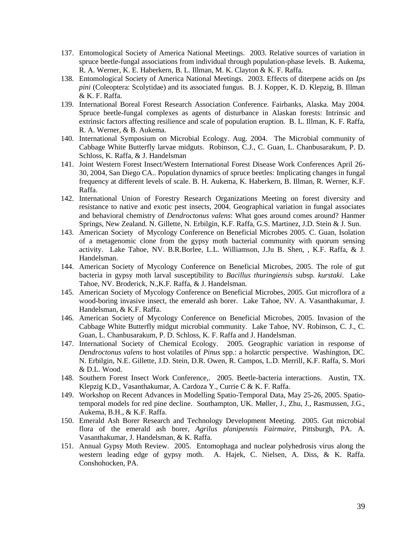- 137. Entomological Society of America National Meetings. 2003. Relative sources of variation in spruce beetle-fungal associations from individual through population-phase levels. B. Aukema, R. A. Werner, K. E. Haberkern, B. L. Illman, M. K. Clayton & K. F. Raffa.
- 138. Entomological Society of America National Meetings. 2003. Effects of diterpene acids on *Ips pini* (Coleoptera: Scolytidae) and its associated fungus. B. J. Kopper, K. D. Klepzig, B. Illman & K. F. Raffa.
- 139. International Boreal Forest Research Association Conference. Fairbanks, Alaska. May 2004. Spruce beetle-fungal complexes as agents of disturbance in Alaskan forests: Intrinsic and extrinsic factors affecting resilience and scale of population eruption. B. L. Illman, K. F. Raffa, R. A. Werner, & B. Aukema.
- 140. International Symposium on Microbial Ecology. Aug. 2004. The Microbial community of Cabbage White Butterfly larvae midguts. Robinson, C.J., C. Guan, L. Chanbusarakum, P. D. Schloss, K. Raffa, & J. Handelsman
- 141. Joint Western Forest Insect/Western International Forest Disease Work Conferences April 26- 30, 2004, San Diego CA.. Population dynamics of spruce beetles: Implicating changes in fungal frequency at different levels of scale. B. H. Aukema, K. Haberkern, B. Illman, R. Werner, K.F. Raffa.
- 142. International Union of Forestry Research Organizations Meeting on forest diversity and resistance to native and exotic pest insects, 2004. Geographical variation in fungal associates and behavioral chemistry of *Dendroctonus valens*: What goes around comes around? Hanmer Springs, New Zealand. N. Gillette, N. Erbilgin, K.F. Raffa, G.S. Martinez, J.D. Stein & J. Sun.
- 143. American Society of Mycology Conference on Beneficial Microbes 2005. C. Guan, Isolation of a metagenomic clone from the gypsy moth bacterial community with quorum sensing activity. Lake Tahoe, NV. B.R.Borlee, L.L. Williamson, J.Ju B. Shen, , K.F. Raffa, & J. Handelsman.
- 144. American Society of Mycology Conference on Beneficial Microbes, 2005. The role of gut bacteria in gypsy moth larval susceptibility to *Bacillus thuringiensis* subsp*. kurstaki*. Lake Tahoe, NV. Broderick, N.,K.F. Raffa, & J. Handelsman.
- 145. American Society of Mycology Conference on Beneficial Microbes, 2005. Gut microflora of a wood-boring invasive insect, the emerald ash borer. Lake Tahoe, NV. A. Vasanthakumar, J. Handelsman, & K.F. Raffa.
- 146. American Society of Mycology Conference on Beneficial Microbes, 2005. Invasion of the Cabbage White Butterfly midgut microbial community. Lake Tahoe, NV. Robinson, C. J., C. Guan, L. Chanbusarakum, P. D. Schloss, K. F. Raffa and J. Handelsman.
- 147. International Society of Chemical Ecology. 2005. Geographic variation in response of *Dendroctonus valens* to host volatiles of *Pinus* spp.: a holarctic perspective. Washington, DC. N. Erbilgin, N.E. Gillette, J.D. Stein, D.R. Owen, R. Campos, L.D. Merrill, K.F. Raffa, S. Mori & D.L. Wood.
- 148. Southern Forest Insect Work Conference,. 2005. Beetle-bacteria interactions. Austin, TX. Klepzig K.D., Vasanthakumar, A. Cardoza Y., Currie C & K. F. Raffa.
- 149. Workshop on Recent Advances in Modelling Spatio-Temporal Data, May 25-26, 2005. Spatiotemporal models for red pine decline. Southampton, UK. Møller, J., Zhu, J., Rasmussen, J.G., Aukema, B.H., & K.F. Raffa.
- 150. Emerald Ash Borer Research and Technology Development Meeting. 2005. Gut microbial flora of the emerald ash borer, *Agrilus planipennis Fairmaire*, Pittsburgh, PA. A. Vasanthakumar, J. Handelsman, & K. Raffa.
- 151. Annual Gypsy Moth Review. 2005. Entomophaga and nuclear polyhedrosis virus along the western leading edge of gypsy moth. A. Hajek, C. Nielsen, A. Diss, & K. Raffa. Conshohocken, PA.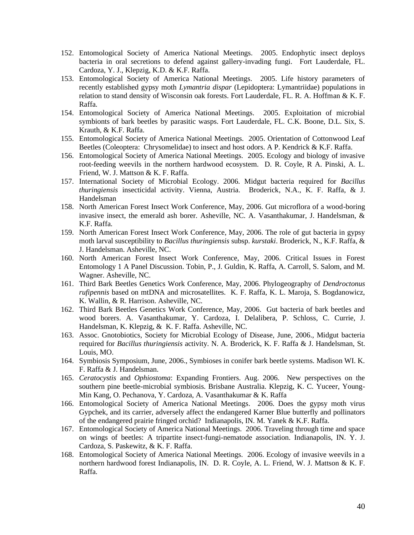- 152. Entomological Society of America National Meetings. 2005. Endophytic insect deploys bacteria in oral secretions to defend against gallery-invading fungi. Fort Lauderdale, FL. Cardoza, Y. J., Klepzig, K.D. & K.F. Raffa.
- 153. Entomological Society of America National Meetings. 2005. Life history parameters of recently established gypsy moth *Lymantria dispar* (Lepidoptera: Lymantriidae) populations in relation to stand density of Wisconsin oak forests. Fort Lauderdale, FL. R. A. Hoffman & K. F. Raffa.
- 154. Entomological Society of America National Meetings. 2005. Exploitation of microbial symbionts of bark beetles by parasitic wasps. Fort Lauderdale, FL. C.K. Boone, D.L. Six, S. Krauth, & K.F. Raffa.
- 155. Entomological Society of America National Meetings. 2005. Orientation of Cottonwood Leaf Beetles (Coleoptera: Chrysomelidae) to insect and host odors. A P. Kendrick & K.F. Raffa.
- 156. Entomological Society of America National Meetings. 2005. Ecology and biology of invasive root-feeding weevils in the northern hardwood ecosystem. D. R. Coyle, R A. Pinski, A. L. Friend, W. J. Mattson & K. F. Raffa.
- 157. International Society of Microbial Ecology. 2006. Midgut bacteria required for *Bacillus thuringiensis* insecticidal activity. Vienna, Austria. Broderick, N.A., K. F. Raffa, & J. Handelsman
- 158. North American Forest Insect Work Conference, May, 2006. Gut microflora of a wood-boring invasive insect, the emerald ash borer. Asheville, NC. A. Vasanthakumar, J. Handelsman, & K.F. Raffa.
- 159. North American Forest Insect Work Conference, May, 2006. The role of gut bacteria in gypsy moth larval susceptibility to *Bacillus thuringiensis* subsp. *kurstaki*. Broderick, N., K.F. Raffa, & J. Handelsman. Asheville, NC.
- 160. North American Forest Insect Work Conference, May, 2006. Critical Issues in Forest Entomology 1 A Panel Discussion. Tobin, P., J. Guldin, K. Raffa, A. Carroll, S. Salom, and M. Wagner. Asheville, NC.
- 161. Third Bark Beetles Genetics Work Conference, May, 2006. Phylogeography of *Dendroctonus rufipennis* based on mtDNA and microsatellites. K. F. Raffa, K. L. Maroja, S. Bogdanowicz, K. Wallin, & R. Harrison. Asheville, NC.
- 162. Third Bark Beetles Genetics Work Conference, May, 2006. Gut bacteria of bark beetles and wood borers. A. Vasanthakumar, Y. Cardoza, I. Delalibera, P. Schloss, C. Currie, J. Handelsman, K. Klepzig, & K. F. Raffa. Asheville, NC.
- 163. Assoc. Gnotobiotics, Society for Microbial Ecology of Disease, June, 2006., Midgut bacteria required for *Bacillus thuringiensis* activity. N. A. Broderick, K. F. Raffa & J. Handelsman, St. Louis, MO.
- 164. Symbiosis Symposium, June, 2006., Symbioses in conifer bark beetle systems. Madison WI. K. F. Raffa & J. Handelsman.
- 165. *Ceratocystis* and *Ophiostoma*: Expanding Frontiers. Aug. 2006. New perspectives on the southern pine beetle-microbial symbiosis. Brisbane Australia. Klepzig, K. C. Yuceer, Young-Min Kang, O. Pechanova, Y. Cardoza, A. Vasanthakumar & K. Raffa
- 166. Entomological Society of America National Meetings. 2006. Does the gypsy moth virus Gypchek, and its carrier, adversely affect the endangered Karner Blue butterfly and pollinators of the endangered prairie fringed orchid? Indianapolis, IN. M. Yanek & K.F. Raffa.
- 167. Entomological Society of America National Meetings. 2006. Traveling through time and space on wings of beetles: A tripartite insect-fungi-nematode association. Indianapolis, IN. Y. J. Cardoza, S. Paskewitz, & K. F. Raffa.
- 168. Entomological Society of America National Meetings. 2006. Ecology of invasive weevils in a northern hardwood forest Indianapolis, IN. D. R. Coyle, A. L. Friend, W. J. Mattson & K. F. Raffa.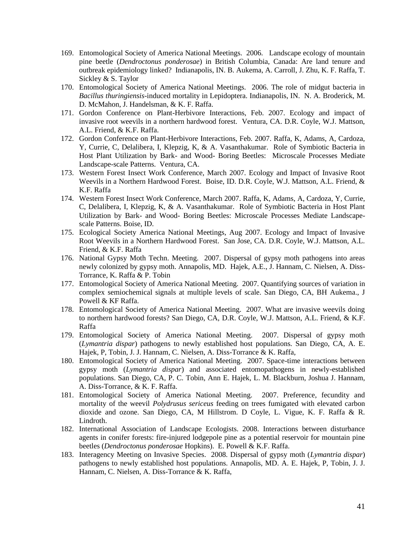- 169. Entomological Society of America National Meetings. 2006. Landscape ecology of mountain pine beetle (*Dendroctonus ponderosae*) in British Columbia, Canada: Are land tenure and outbreak epidemiology linked? Indianapolis, IN. B. Aukema, A. Carroll, J. Zhu, K. F. Raffa, T. Sickley & S. Taylor
- 170. Entomological Society of America National Meetings. 2006. The role of midgut bacteria in *Bacillus thuringiensis-*induced mortality in Lepidoptera. Indianapolis, IN. N. A. Broderick, M. D. McMahon, J. Handelsman, & K. F. Raffa.
- 171. Gordon Conference on Plant-Herbivore Interactions, Feb. 2007. Ecology and impact of invasive root weevils in a northern hardwood forest. Ventura, CA. D.R. Coyle, W.J. Mattson, A.L. Friend, & K.F. Raffa.
- 172. Gordon Conference on Plant-Herbivore Interactions, Feb. 2007. Raffa, K, Adams, A, Cardoza, Y, Currie, C, Delalibera, I, Klepzig, K, & A. Vasanthakumar. Role of Symbiotic Bacteria in Host Plant Utilization by Bark- and Wood- Boring Beetles: Microscale Processes Mediate Landscape-scale Patterns. Ventura, CA.
- 173. Western Forest Insect Work Conference, March 2007. Ecology and Impact of Invasive Root Weevils in a Northern Hardwood Forest. Boise, ID. D.R. Coyle, W.J. Mattson, A.L. Friend, & K.F. Raffa
- 174. Western Forest Insect Work Conference, March 2007. Raffa, K, Adams, A, Cardoza, Y, Currie, C, Delalibera, I, Klepzig, K, & A. Vasanthakumar. Role of Symbiotic Bacteria in Host Plant Utilization by Bark- and Wood- Boring Beetles: Microscale Processes Mediate Landscapescale Patterns. Boise, ID.
- 175. Ecological Society America National Meetings, Aug 2007. Ecology and Impact of Invasive Root Weevils in a Northern Hardwood Forest. San Jose, CA. D.R. Coyle, W.J. Mattson, A.L. Friend, & K.F. Raffa
- 176. National Gypsy Moth Techn. Meeting. 2007. Dispersal of gypsy moth pathogens into areas newly colonized by gypsy moth. Annapolis, MD. Hajek, A.E., J. Hannam, C. Nielsen, A. Diss-Torrance, K. Raffa & P. Tobin
- 177. Entomological Society of America National Meeting. 2007. Quantifying sources of variation in complex semiochemical signals at multiple levels of scale. San Diego, CA, BH Aukema., J Powell & KF Raffa.
- 178. Entomological Society of America National Meeting. 2007. What are invasive weevils doing to northern hardwood forests? San Diego, CA, D.R. Coyle, W.J. Mattson, A.L. Friend, & K.F. Raffa
- 179. Entomological Society of America National Meeting. 2007. Dispersal of gypsy moth (*Lymantria dispar*) pathogens to newly established host populations. San Diego, CA, A. E. Hajek, P, Tobin, J. J. Hannam, C. Nielsen, A. Diss-Torrance & K. Raffa,
- 180. Entomological Society of America National Meeting. 2007. Space-time interactions between gypsy moth (*Lymantria dispar*) and associated entomopathogens in newly-established populations. San Diego, CA, P. C. Tobin, Ann E. Hajek, L. M. Blackburn, Joshua J. Hannam, A. Diss-Torrance, & K. F. Raffa.
- 181. Entomological Society of America National Meeting. 2007. Preference, fecundity and mortality of the weevil *Polydrusus sericeus* feeding on trees fumigated with elevated carbon dioxide and ozone. San Diego, CA, M Hillstrom. D Coyle, L. Vigue, K. F. Raffa & R. Lindroth.
- 182. International Association of Landscape Ecologists. 2008. Interactions between disturbance agents in conifer forests: fire-injured lodgepole pine as a potential reservoir for mountain pine beetles (*Dendroctonus ponderosae* Hopkins). E. Powell & K.F. Raffa.
- 183. Interagency Meeting on Invasive Species. 2008. Dispersal of gypsy moth (*Lymantria dispar*) pathogens to newly established host populations. Annapolis, MD. A. E. Hajek, P, Tobin, J. J. Hannam, C. Nielsen, A. Diss-Torrance & K. Raffa,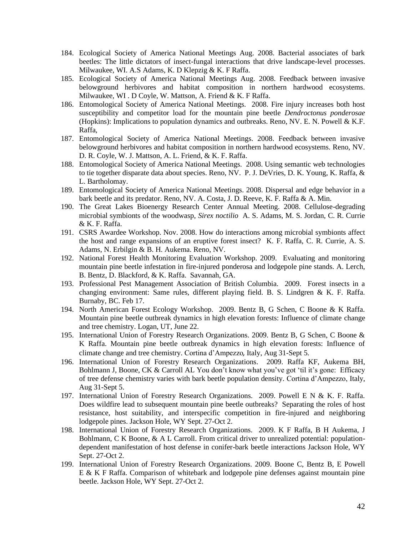- 184. Ecological Society of America National Meetings Aug. 2008. Bacterial associates of bark beetles: The little dictators of insect-fungal interactions that drive landscape-level processes. Milwaukee, WI. A.S Adams, K. D Klepzig & K. F Raffa.
- 185. Ecological Society of America National Meetings Aug. 2008. Feedback between invasive belowground herbivores and habitat composition in northern hardwood ecosystems. Milwaukee, WI . D Coyle, W. Mattson, A. Friend & K. F Raffa.
- 186. Entomological Society of America National Meetings. 2008. Fire injury increases both host susceptibility and competitor load for the mountain pine beetle *Dendroctonus ponderosae* (Hopkins): Implications to population dynamics and outbreaks. Reno, NV. E. N. Powell & K.F. Raffa,
- 187. Entomological Society of America National Meetings. 2008. Feedback between invasive belowground herbivores and habitat composition in northern hardwood ecosystems. Reno, NV. D. R. Coyle, W. J. Mattson, A. L. Friend, & K. F. Raffa.
- 188. Entomological Society of America National Meetings. 2008. Using semantic web technologies to tie together disparate data about species. Reno, NV. P. J. DeVries, D. K. Young, K. Raffa, & L. Bartholomay.
- 189. Entomological Society of America National Meetings. 2008. Dispersal and edge behavior in a bark beetle and its predator. Reno, NV. A. Costa, J. D. Reeve, K. F. Raffa & A. Min.
- 190. The Great Lakes Bioenergy Research Center Annual Meeting. 2008. Cellulose-degrading microbial symbionts of the woodwasp, *Sirex noctilio* A. S. Adams, M. S. Jordan, C. R. Currie & K. F. Raffa.
- 191. CSRS Awardee Workshop. Nov. 2008. How do interactions among microbial symbionts affect the host and range expansions of an eruptive forest insect? K. F. Raffa, C. R. Currie, A. S. Adams, N. Erbilgin & B. H. Aukema. Reno, NV.
- 192. National Forest Health Monitoring Evaluation Workshop. 2009. Evaluating and monitoring mountain pine beetle infestation in fire-injured ponderosa and lodgepole pine stands. A. Lerch, B. Bentz, D. Blackford, & K. Raffa. Savannah, GA.
- 193. Professional Pest Management Association of British Columbia. 2009. Forest insects in a changing environment: Same rules, different playing field. B. S. Lindgren & K. F. Raffa. Burnaby, BC. Feb 17.
- 194. North American Forest Ecology Workshop. 2009. Bentz B, G Schen, C Boone & K Raffa. Mountain pine beetle outbreak dynamics in high elevation forests: Influence of climate change and tree chemistry. Logan, UT, June 22.
- 195. International Union of Forestry Research Organizations. 2009. Bentz B, G Schen, C Boone & K Raffa. Mountain pine beetle outbreak dynamics in high elevation forests: Influence of climate change and tree chemistry. Cortina d'Ampezzo*,* Italy, Aug 31-Sept 5.
- 196. International Union of Forestry Research Organizations. 2009. Raffa KF, Aukema BH, Bohlmann J, Boone, CK & Carroll AL You don't know what you've got 'til it's gone: Efficacy of tree defense chemistry varies with bark beetle population density. Cortina d'Ampezzo, Italy, Aug 31-Sept 5.
- 197. International Union of Forestry Research Organizations. 2009. Powell E N & K. F. Raffa. Does wildfire lead to subsequent mountain pine beetle outbreaks? Separating the roles of host resistance, host suitability, and interspecific competition in fire-injured and neighboring lodgepole pines. Jackson Hole, WY Sept. 27-Oct 2.
- 198. International Union of Forestry Research Organizations. 2009. K F Raffa, B H Aukema, J Bohlmann, C K Boone, & A L Carroll. From critical driver to unrealized potential: populationdependent manifestation of host defense in conifer-bark beetle interactions Jackson Hole, WY Sept. 27-Oct 2.
- 199. International Union of Forestry Research Organizations. 2009. Boone C, Bentz B, E Powell E & K F Raffa. Comparison of whitebark and lodgepole pine defenses against mountain pine beetle. Jackson Hole, WY Sept. 27-Oct 2.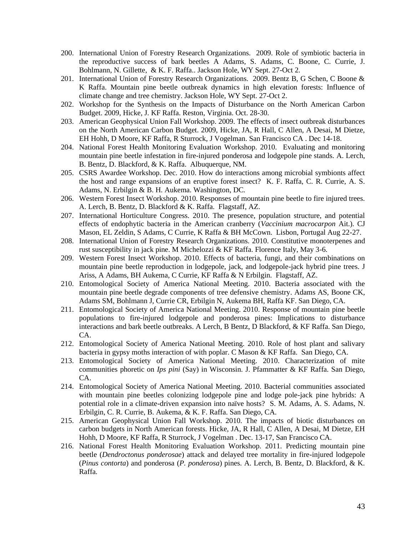- 200. International Union of Forestry Research Organizations. 2009. Role of symbiotic bacteria in the reproductive success of bark beetles A Adams, S. Adams, C. Boone, C. Currie, J. Bohlmann, N. Gillette, & K. F. Raffa.. Jackson Hole, WY Sept. 27-Oct 2.
- 201. International Union of Forestry Research Organizations. 2009. Bentz B, G Schen, C Boone & K Raffa. Mountain pine beetle outbreak dynamics in high elevation forests: Influence of climate change and tree chemistry. Jackson Hole, WY Sept. 27-Oct 2.
- 202. Workshop for the Synthesis on the Impacts of Disturbance on the North American Carbon Budget. 2009, Hicke, J. KF Raffa. Reston, Virginia. Oct. 28-30.
- 203. American Geophysical Union Fall Workshop. 2009. The effects of insect outbreak disturbances on the North American Carbon Budget. 2009, Hicke, JA, R Hall, C Allen, A Desai, M Dietze, EH Hohh, D Moore, KF Raffa, R Sturrock, J Vogelman. San Francisco CA . Dec 14-18.
- 204. National Forest Health Monitoring Evaluation Workshop. 2010. Evaluating and monitoring mountain pine beetle infestation in fire-injured ponderosa and lodgepole pine stands. A. Lerch, B. Bentz, D. Blackford, & K. Raffa. Albuquerque, NM.
- 205. CSRS Awardee Workshop. Dec. 2010. How do interactions among microbial symbionts affect the host and range expansions of an eruptive forest insect? K. F. Raffa, C. R. Currie, A. S. Adams, N. Erbilgin & B. H. Aukema. Washington, DC.
- 206. Western Forest Insect Workshop. 2010. Responses of mountain pine beetle to fire injured trees. A. Lerch, B. Bentz, D. Blackford & K. Raffa. Flagstaff, AZ.
- 207. International Horticulture Congress. 2010. The presence, population structure, and potential effects of endophytic bacteria in the American cranberry (*Vaccinium macrocarpon* Ait.). CJ Mason, EL Zeldin, S Adams, C Currie, K Raffa & BH McCown. Lisbon, Portugal Aug 22-27.
- 208. International Union of Forestry Research Organizations. 2010. Constitutive monoterpenes and rust susceptibility in jack pine. M Michelozzi & KF Raffa. Florence Italy, May 3-6.
- 209. Western Forest Insect Workshop. 2010. Effects of bacteria, fungi, and their combinations on mountain pine beetle reproduction in lodgepole, jack, and lodgepole-jack hybrid pine trees. J Ariss, A Adams, BH Aukema, C Currie, KF Raffa & N Erbilgin. Flagstaff, AZ.
- 210. Entomological Society of America National Meeting. 2010. Bacteria associated with the mountain pine beetle degrade components of tree defensive chemistry. Adams AS, Boone CK, Adams SM, Bohlmann J, Currie CR, Erbilgin N, Aukema BH, Raffa KF. San Diego, CA.
- 211. Entomological Society of America National Meeting. 2010. Response of mountain pine beetle populations to fire-injured lodgepole and ponderosa pines: Implications to disturbance interactions and bark beetle outbreaks. A Lerch, B Bentz, D Blackford, & KF Raffa. San Diego, CA.
- 212. Entomological Society of America National Meeting. 2010. Role of host plant and salivary bacteria in gypsy moths interaction of with poplar. C Mason & KF Raffa. San Diego, CA.
- 213. Entomological Society of America National Meeting. 2010. Characterization of mite communities phoretic on *Ips pini* (Say) in Wisconsin. J. Pfammatter & KF Raffa. San Diego, CA.
- 214. Entomological Society of America National Meeting. 2010. Bacterial communities associated with mountain pine beetles colonizing lodgepole pine and lodge pole-jack pine hybrids: A potential role in a climate-driven expansion into naïve hosts? S. M. Adams, A. S. Adams, N. Erbilgin, C. R. Currie, B. Aukema, & K. F. Raffa. San Diego, CA.
- 215. American Geophysical Union Fall Workshop. 2010. The impacts of biotic disturbances on carbon budgets in North American forests. Hicke, JA, R Hall, C Allen, A Desai, M Dietze, EH Hohh, D Moore, KF Raffa, R Sturrock, J Vogelman . Dec. 13-17, San Francisco CA.
- 216. National Forest Health Monitoring Evaluation Workshop. 2011. Predicting mountain pine beetle (*Dendroctonus ponderosae*) attack and delayed tree mortality in fire-injured lodgepole (*Pinus contorta*) and ponderosa (*P. ponderosa*) pines. A. Lerch, B. Bentz, D. Blackford, & K. Raffa.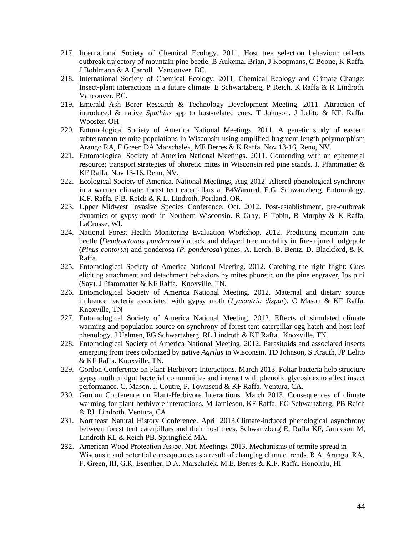- 217. International Society of Chemical Ecology. 2011. Host tree selection behaviour reflects outbreak trajectory of mountain pine beetle. B Aukema, Brian, J Koopmans, C Boone, K Raffa, J Bohlmann & A Carroll. Vancouver, BC.
- 218. International Society of Chemical Ecology. 2011. Chemical Ecology and Climate Change: Insect-plant interactions in a future climate. E Schwartzberg, P Reich, K Raffa & R Lindroth. Vancouver, BC.
- 219. Emerald Ash Borer Research & Technology Development Meeting. 2011. Attraction of introduced & native *Spathius* spp to host-related cues. T Johnson, J Lelito & KF. Raffa. Wooster, OH.
- 220. Entomological Society of America National Meetings. 2011. A genetic study of eastern subterranean termite populations in Wisconsin using amplified fragment length polymorphism Arango RA, F Green DA Marschalek, ME Berres & K Raffa. Nov 13-16, Reno, NV.
- 221. Entomological Society of America National Meetings. 2011. Contending with an ephemeral resource; transport strategies of phoretic mites in Wisconsin red pine stands. J. Pfammatter & KF Raffa. Nov 13-16, Reno, NV.
- 222. Ecological Society of America, National Meetings, Aug 2012. Altered phenological synchrony in a warmer climate: forest tent caterpillars at B4Warmed. E.G. Schwartzberg, Entomology, K.F. Raffa, P.B. Reich & R.L. Lindroth. Portland, OR.
- 223. Upper Midwest Invasive Species Conference, Oct. 2012. Post-establishment, pre-outbreak dynamics of gypsy moth in Northern Wisconsin. R Gray, P Tobin, R Murphy & K Raffa. LaCrosse, WI.
- 224. National Forest Health Monitoring Evaluation Workshop. 2012. Predicting mountain pine beetle (*Dendroctonus ponderosae*) attack and delayed tree mortality in fire-injured lodgepole (*Pinus contorta*) and ponderosa (*P. ponderosa*) pines. A. Lerch, B. Bentz, D. Blackford, & K. Raffa.
- 225. Entomological Society of America National Meeting. 2012. Catching the right flight: Cues eliciting attachment and detachment behaviors by mites phoretic on the pine engraver, Ips pini (Say). J Pfammatter & KF Raffa. Knoxville, TN.
- 226. Entomological Society of America National Meeting. 2012. Maternal and dietary source influence bacteria associated with gypsy moth (*Lymantria dispar*). C Mason & KF Raffa. Knoxville, TN
- 227. Entomological Society of America National Meeting. 2012. Effects of simulated climate warming and population source on synchrony of forest tent caterpillar egg hatch and host leaf phenology. J Uelmen, EG Schwartzberg, RL Lindroth & KF Raffa. Knoxville, TN.
- 228. Entomological Society of America National Meeting. 2012. Parasitoids and associated insects emerging from trees colonized by native *Agrilus* in Wisconsin. TD Johnson, S Krauth, JP Lelito & KF Raffa. Knoxville, TN.
- 229. Gordon Conference on Plant-Herbivore Interactions. March 2013. Foliar bacteria help structure gypsy moth midgut bacterial communities and interact with phenolic glycosides to affect insect performance. C. Mason, J. Coutre, P. Townsend & KF Raffa. Ventura, CA.
- 230. Gordon Conference on Plant-Herbivore Interactions. March 2013. Consequences of climate warming for plant-herbivore interactions. M Jamieson, KF Raffa, EG Schwartzberg, PB Reich & RL Lindroth. Ventura, CA.
- 231. Northeast Natural History Conference. April 2013.Climate-induced phenological asynchrony between forest tent caterpillars and their host trees. Schwartzberg E, Raffa KF, Jamieson M, Lindroth RL & Reich PB. Springfield MA.
- 232. American Wood Protection Assoc. Nat. Meetings. 2013. Mechanisms of termite spread in Wisconsin and potential consequences as a result of changing climate trends. R.A. Arango. RA, F. Green, III, G.R. Esenther, D.A. Marschalek, M.E. Berres & K.F. Raffa. Honolulu, HI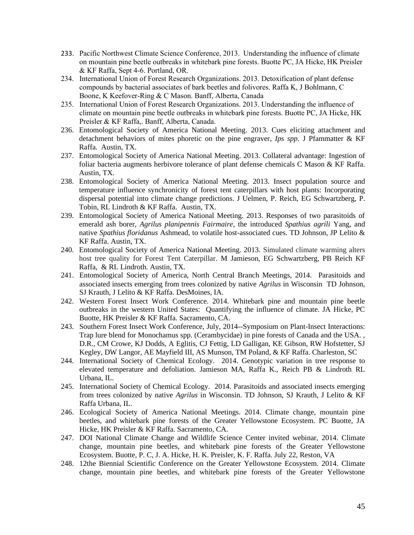- 233. Pacific Northwest Climate Science Conference, 2013. Understanding the influence of climate on mountain pine beetle outbreaks in whitebark pine forests. Buotte PC, JA Hicke, HK Preisler & KF Raffa, Sept 4-6. Portland, OR.
- 234. International Union of Forest Research Organizations. 2013. Detoxification of plant defense compounds by bacterial associates of bark beetles and folivores. Raffa K, J Bohlmann, C Boone, K Keefover-Ring & C Mason. Banff, Alberta, Canada
- 235. International Union of Forest Research Organizations. 2013. Understanding the influence of climate on mountain pine beetle outbreaks in whitebark pine forests. Buotte PC, JA Hicke, HK Preisler & KF Raffa,. Banff, Alberta, Canada.
- 236. Entomological Society of America National Meeting. 2013. Cues eliciting attachment and detachment behaviors of mites phoretic on the pine engraver, *Ips spp*. J Pfammatter & KF Raffa. Austin, TX.
- 237. Entomological Society of America National Meeting. 2013. Collateral advantage: Ingestion of foliar bacteria augments herbivore tolerance of plant defense chemicals C Mason & KF Raffa. Austin, TX.
- 238. Entomological Society of America National Meeting. 2013. Insect population source and temperature influence synchronicity of forest tent caterpillars with host plants: Incorporating dispersal potential into climate change predictions. J Uelmen, P. Reich, EG Schwartzberg, P. Tobin, RL Lindroth & KF Raffa. Austin, TX.
- 239. Entomological Society of America National Meeting. 2013. Responses of two parasitoids of emerald ash borer, *Agrilus planipennis Fairmaire*, the introduced *Spathius agrili* Yang, and native *Spathius floridanus* Ashmead, to volatile host-associated cues. TD Johnson, JP Lelito & KF Raffa. Austin, TX.
- 240. Entomological Society of America National Meeting. 2013. Simulated climate warming alters host tree quality for Forest Tent Caterpillar. M Jamieson, EG Schwartzberg, PB Reich KF Raffa, & RL Lindroth. Austin, TX.
- 241. Entomological Society of America, North Central Branch Meetings, 2014. Parasitoids and associated insects emerging from trees colonized by native *Agrilus* in Wisconsin TD Johnson, SJ Krauth, J Lelito & KF Raffa. DesMoines, IA.
- 242. Western Forest Insect Work Conference. 2014. Whitebark pine and mountain pine beetle outbreaks in the western United States: Quantifying the influence of climate. JA Hicke, PC Buotte, HK Preisler & KF Raffa. Sacramento, CA.
- 243. Southern Forest Insect Work Conference, July, 2014--Symposium on Plant-Insect Interactions: Trap lure blend for Monochamus spp. (Cerambycidae) in pine forests of Canada and the USA. , D.R., CM Crowe, KJ Dodds, A Eglitis, CJ Fettig, LD Galligan, KE Gibson, RW Hofstetter, SJ Kegley, DW Langor, AE Mayfield III, AS Munson, TM Poland, & KF Raffa. Charleston, SC
- 244. International Society of Chemical Ecology. 2014. Genotypic variation in tree response to elevated temperature and defoliation. Jamieson MA, Raffa K., Reich PB & Lindroth RL Urbana, IL.
- 245. International Society of Chemical Ecology. 2014. Parasitoids and associated insects emerging from trees colonized by native *Agrilus* in Wisconsin. TD Johnson, SJ Krauth, J Lelito & KF Raffa Urbana, IL.
- 246. Ecological Society of America National Meetings. 2014. Climate change, mountain pine beetles, and whitebark pine forests of the Greater Yellowstone Ecosystem. PC Buotte, JA Hicke, HK Preisler & KF Raffa. Sacramento, CA.
- 247. DOI National Climate Change and Wildlife Science Center invited webinar, 2014. Climate change, mountain pine beetles, and whitebark pine forests of the Greater Yellowstone Ecosystem. Buotte, P. C, J. A. Hicke, H. K. Preisler, K. F. Raffa. July 22, Reston, VA
- 248. 12the Biennial Scientific Conference on the Greater Yellowstone Ecosystem. 2014. Climate change, mountain pine beetles, and whitebark pine forests of the Greater Yellowstone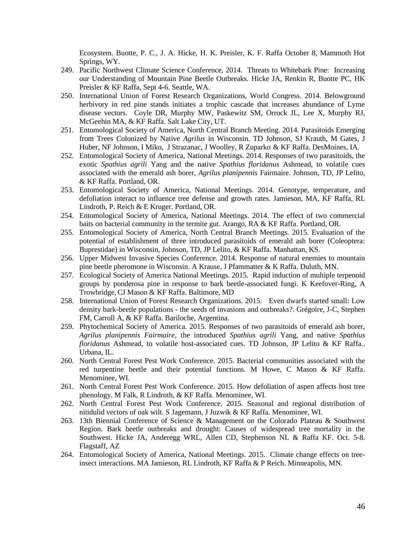Ecosystem. Buotte, P. C., J. A. Hicke, H. K. Preisler, K. F. Raffa October 8, Mammoth Hot Springs, WY.

- 249. Pacific Northwest Climate Science Conference, 2014. Threats to Whitebark Pine: Increasing our Understanding of Mountain Pine Beetle Outbreaks. Hicke JA, Renkin R, Buotte PC, HK Preisler & KF Raffa, Sept 4-6. Seattle, WA.
- 250. International Union of Forest Research Organizations, World Congress. 2014. Belowground herbivory in red pine stands initiates a trophic cascade that increases abundance of Lyme disease vectors. Coyle DR, Murphy MW, Paskewitz SM, Orrock JL, Lee X, Murphy RJ, McGeehin MA, & KF Raffa. Salt Lake City, UT.
- 251. Entomological Society of America, North Central Branch Meeting. 2014. Parasitoids Emerging from Trees Colonized by Native *Agrilus* in Wisconsin. TD Johnson, SJ Krauth, M Gates, J Huber, NF Johnson, I Míko, J Strazanac, J Woolley, R Zuparko & KF Raffa. DesMoines, IA.
- 252. Entomological Society of America, National Meetings. 2014. Responses of two parasitoids, the exotic *Spathius agrili* Yang and the native *Spathius floridanus* Ashmead, to volatile cues associated with the emerald ash borer, *Agrilus planipennis* Fairmaire. Johnson, TD, JP Lelito, & KF Raffa. Portland, OR.
- 253. Entomological Society of America, National Meetings. 2014. Genotype, temperature, and defoliation interact to influence tree defense and growth rates. Jamieson, MA, KF Raffa, RL Lindroth, P. Reich & E Kruger. Portland, OR.
- 254. Entomological Society of America, National Meetings. 2014. The effect of two commercial baits on bacterial community in the termite gut. Arango, RA & KF Raffa. Portland, OR.
- 255. Entomological Society of America, North Central Branch Meetings. 2015. Evaluation of the potential of establishment of three introduced parasitoids of emerald ash borer (Coleoptera: Buprestidae) in Wisconsin, Johnson, TD, JP Lelito, & KF Raffa. Manhattan, KS.
- 256. Upper Midwest Invasive Species Conference. 2014. Response of natural enemies to mountain pine beetle pheromone in Wisconsin. A Krause, J Pfammatter & K Raffa. Duluth, MN.
- 257. Ecological Society of America National Meetings. 2015. Rapid induction of multiple terpenoid groups by ponderosa pine in response to bark beetle-associated fungi. K Keefover-Ring, A Trowbridge,CJ Mason & KF Raffa. Baltimore, MD
- 258. International Union of Forest Research Organizations. 2015. Even dwarfs started small: Low density bark-beetle populations - the seeds of invasions and outbreaks?. Grégoire, J-C, Stephen FM, Carroll A, & KF Raffa. Bariloche, Argentina.
- 259. Phytochemical Society of America. 2015. Responses of two parasitoids of emerald ash borer, *Agrilus planipennis Fairmaire*, the introduced *Spathius agrili* Yang, and native *Spathius floridanus* Ashmead, to volatile host-associated cues. TD Johnson, JP Lelito & KF Raffa.. Urbana, IL.
- 260. North Central Forest Pest Work Conference. 2015. Bacterial communities associated with the red turpentine beetle and their potential functions. M Howe, C Mason & KF Raffa. Menominee, WI.
- 261. North Central Forest Pest Work Conference. 2015. How defoliation of aspen affects host tree phenology. M Falk, R Lindroth, & KF Raffa. Menominee, WI.
- 262. North Central Forest Pest Work Conference. 2015. Seasonal and regional distribution of nitidulid vectors of oak wilt. S Jagemann, J Juzwik & KF Raffa. Menominee, WI.
- 263. 13th Biennial Conference of Science & Management on the Colorado Plateau & Southwest Region. Bark beetle outbreaks and drought: Causes of widespread tree mortality in the Southwest. Hicke JA, Anderegg WRL, Allen CD, Stephenson NL & Raffa KF. Oct. 5-8. Flagstaff, AZ
- 264. Entomological Society of America, National Meetings. 2015. Climate change effects on treeinsect interactions. MA Jamieson, RL Lindroth, KF Raffa & P Reich. Minneapolis, MN.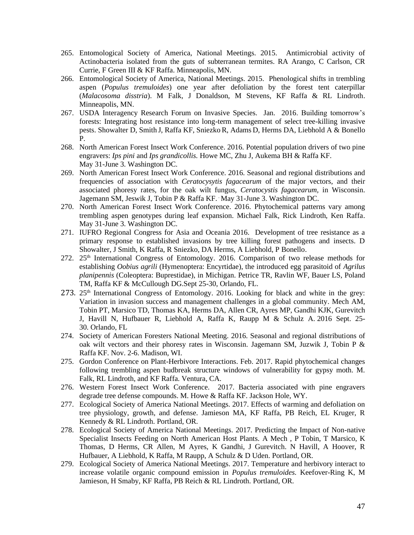- 265. Entomological Society of America, National Meetings. 2015. Antimicrobial activity of Actinobacteria isolated from the guts of subterranean termites. RA Arango, C Carlson, CR Currie, F Green III & KF Raffa. Minneapolis, MN.
- 266. Entomological Society of America, National Meetings. 2015. Phenological shifts in trembling aspen (*Populus tremuloides*) one year after defoliation by the forest tent caterpillar (*Malacosoma disstria*). M Falk, J Donaldson, M Stevens, KF Raffa & RL Lindroth. Minneapolis, MN.
- 267. USDA Interagency Research Forum on Invasive Species. Jan. 2016. Building tomorrow's forests: Integrating host resistance into long-term management of select tree-killing invasive pests. Showalter D, Smith J, Raffa KF, Sniezko R, Adams D, Herms DA, Liebhold A & Bonello P.
- 268. North American Forest Insect Work Conference. 2016. Potential population drivers of two pine engravers: *Ips pini* and *Ips grandicollis.* Howe MC, Zhu J, Aukema BH & Raffa KF. May 31-June 3. Washington DC.
- 269. North American Forest Insect Work Conference. 2016. Seasonal and regional distributions and frequencies of association with *Ceratocysytis fagacearum* of the major vectors, and their associated phoresy rates, for the oak wilt fungus, *Ceratocystis fagacearum,* in Wisconsin. Jagemann SM, Jeswik J, Tobin P & Raffa KF. . May 31-June 3. Washington DC.
- 270. North American Forest Insect Work Conference. 2016. Phytochemical patterns vary among trembling aspen genotypes during leaf expansion. Michael Falk, Rick Lindroth, Ken Raffa. May 31-June 3. Washington DC.
- 271. IUFRO Regional Congress for Asia and Oceania 2016. Development of tree resistance as a primary response to established invasions by tree killing forest pathogens and insects. D Showalter, J Smith, K Raffa, R Sniezko, DA Herms, A Liebhold, P Bonello.
- 272. 25th International Congress of Entomology. 2016. Comparison of two release methods for establishing *Oobius agrili* (Hymenoptera: Encyrtidae), the introduced egg parasitoid of *Agrilus planipennis* (Coleoptera: Buprestidae), in Michigan. Petrice TR, Ravlin WF, Bauer LS, Poland TM, Raffa KF & McCullough DG.Sept 25-30, Orlando, FL.
- 273.  $25<sup>th</sup>$  International Congress of Entomology. 2016. Looking for black and white in the grey: Variation in invasion success and management challenges in a global community. Mech AM, Tobin PT, Marsico TD, Thomas KA, Herms DA, Allen CR, Ayres MP, Gandhi KJK, Gurevitch J, Havill N, Hufbauer R, Liebhold A, Raffa K, Raupp M & Schulz A. 2016 Sept. 25- 30. Orlando, FL
- 274. Society of American Foresters National Meeting. 2016. Seasonal and regional distributions of oak wilt vectors and their phoresy rates in Wisconsin. Jagemann SM, Juzwik J, Tobin P & Raffa KF. Nov. 2-6. Madison, WI.
- 275. Gordon Conference on Plant-Herbivore Interactions. Feb. 2017. Rapid phytochemical changes following trembling aspen budbreak structure windows of vulnerability for gypsy moth. M. Falk, RL Lindroth, and KF Raffa. Ventura, CA.
- 276. Western Forest Insect Work Conference. 2017. Bacteria associated with pine engravers degrade tree defense compounds. M. Howe & Raffa KF. Jackson Hole, WY.
- 277. Ecological Society of America National Meetings. 2017. Effects of warming and defoliation on tree physiology, growth, and defense. Jamieson MA, KF Raffa, PB Reich, EL Kruger, R Kennedy & RL Lindroth. Portland, OR.
- 278. Ecological Society of America National Meetings. 2017. Predicting the Impact of Non-native Specialist Insects Feeding on North American Host Plants. A Mech , P Tobin, T Marsico, K Thomas, D Herms, CR Allen, M Ayres, K Gandhi, J Gurevitch. N Havill, A Hoover, R Hufbauer, A Liebhold, K Raffa, M Raupp, A Schulz & D Uden. Portland, OR.
- 279. Ecological Society of America National Meetings. 2017. Temperature and herbivory interact to increase volatile organic compound emission in *Populus tremuloides.* Keefover-Ring K, M Jamieson, H Smaby, KF Raffa, PB Reich & RL Lindroth. Portland, OR.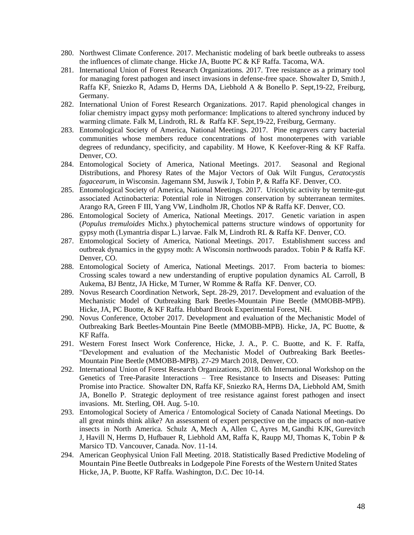- 280. Northwest Climate Conference. 2017. Mechanistic modeling of bark beetle outbreaks to assess the influences of climate change. Hicke JA, Buotte PC & KF Raffa. Tacoma, WA.
- 281. International Union of Forest Research Organizations. 2017. Tree resistance as a primary tool for managing forest pathogen and insect invasions in defense-free space. Showalter D, Smith J, Raffa KF, Sniezko R, Adams D, Herms DA, Liebhold A & Bonello P. Sept,19-22, Freiburg, Germany.
- 282. International Union of Forest Research Organizations. 2017. Rapid phenological changes in foliar chemistry impact gypsy moth performance: Implications to altered synchrony induced by warming climate. Falk M, Lindroth, RL & Raffa KF. Sept,19-22, Freiburg, Germany.
- 283. Entomological Society of America, National Meetings. 2017. Pine engravers carry bacterial communities whose members reduce concentrations of host monoterpenes with variable degrees of redundancy, specificity, and capability. M Howe, K Keefover-Ring & KF Raffa. Denver, CO.
- 284. Entomological Society of America, National Meetings. 2017. Seasonal and Regional Distributions, and Phoresy Rates of the Major Vectors of Oak Wilt Fungus, *Ceratocystis fagacearum*, in Wisconsin. Jagemann SM, Juswik J, Tobin P, & Raffa KF. Denver, CO.
- 285. Entomological Society of America, National Meetings. 2017. Uricolytic activity by termite-gut associated Actinobacteria: Potential role in Nitrogen conservation by subterranean termites. Arango RA, Green F III, Yang VW, Lindholm JR, Chotlos NP & Raffa KF. Denver, CO.
- 286. Entomological Society of America, National Meetings. 2017. Genetic variation in aspen (*Populus tremuloides* Michx.) phytochemical patterns structure windows of opportunity for gypsy moth (Lymantria dispar L.) larvae. Falk M, Lindroth RL & Raffa KF. Denver, CO.
- 287. Entomological Society of America, National Meetings. 2017. Establishment success and outbreak dynamics in the gypsy moth: A Wisconsin northwoods paradox. Tobin P & Raffa KF. Denver, CO.
- 288. Entomological Society of America, National Meetings. 2017. [From bacteria to biomes:](https://esa.confex.com/esa/2017/meetingapp.cgi/Paper/126960)  [Crossing scales toward a new understanding of eruptive population dynamics A](https://esa.confex.com/esa/2017/meetingapp.cgi/Paper/126960)L Carroll, B Aukema, BJ Bentz, JA Hicke, M Turner, W Romme & Raffa KF. Denver, CO.
- 289. Novus Research Coordination Network, Sept. 28-29, 2017. Development and evaluation of the Mechanistic Model of Outbreaking Bark Beetles-Mountain Pine Beetle (MMOBB-MPB). Hicke, JA, PC Buotte, & KF Raffa. Hubbard Brook Experimental Forest, NH.
- 290. Novus Conference, October 2017. Development and evaluation of the Mechanistic Model of Outbreaking Bark Beetles-Mountain Pine Beetle (MMOBB-MPB). Hicke, JA, PC Buotte, & KF Raffa.
- 291. Western Forest Insect Work Conference, Hicke, J. A., P. C. Buotte, and K. F. Raffa, "Development and evaluation of the Mechanistic Model of Outbreaking Bark Beetles-Mountain Pine Beetle (MMOBB-MPB). 27-29 March 2018, Denver, CO.
- 292. International Union of Forest Research Organizations, 2018. 6th International Workshop on the Genetics of Tree-Parasite Interactions – Tree Resistance to Insects and Diseases: Putting Promise into Practice. Showalter DN, Raffa KF, Sniezko RA, Herms DA, Liebhold AM, Smith JA, Bonello P. Strategic deployment of tree resistance against forest pathogen and insect invasions. Mt. Sterling, OH. Aug. 5-10.
- 293. Entomological Society of America / Entomological Society of Canada National Meetings. Do all great minds think alike? An assessment of expert perspective on the impacts of non-native insects in North America. Schulz A, Mech A, Allen C, Ayres M, Gandhi KJK, Gurevitch J, Havill N, Herms D, Hufbauer R, Liebhold AM, Raffa K, Raupp MJ, Thomas K, Tobin P & Marsico TD. Vancouver, Canada. Nov. 11-14.
- 294. American Geophysical Union Fall Meeting. 2018. Statistically Based Predictive Modeling of Mountain Pine Beetle Outbreaks in Lodgepole Pine Forests of the Western United States Hicke, JA, P. Buotte, KF Raffa. Washington, D.C. Dec 10-14.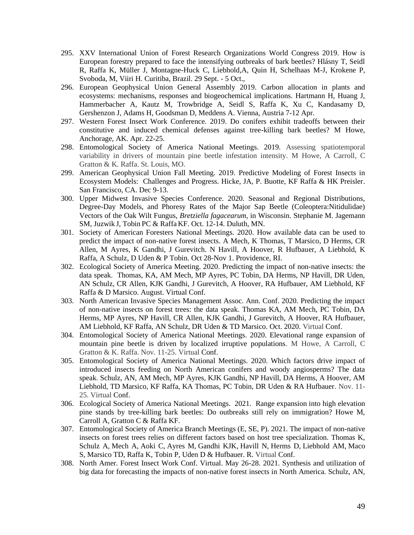- 295. XXV International Union of Forest Research Organizations World Congress 2019. How is European forestry prepared to face the intensifying outbreaks of bark beetles? Hlásny T, Seidl R, Raffa K, Müller J, Montagne-Huck C, Liebhold,A, Quin H, Schelhaas M-J, Krokene P, Svoboda, M, Viiri H. Curitiba, Brazil. 29 Sept. - 5 Oct.,
- 296. European Geophysical Union General Assembly 2019. Carbon allocation in plants and ecosystems: mechanisms, responses and biogeochemical implications. Hartmann H, Huang J, Hammerbacher A, Kautz M, Trowbridge A, Seidl S, Raffa K, Xu C, Kandasamy D, Gershenzon J, Adams H, Goodsman D, Meddens A. Vienna, Austria 7-12 Apr.
- 297. Western Forest Insect Work Conference. 2019. Do conifers exhibit tradeoffs between their constitutive and induced chemical defenses against tree-killing bark beetles? M Howe, Anchorage, AK. Apr. 22-25.
- 298. Entomological Society of America National Meetings. 2019. Assessing spatiotemporal variability in drivers of mountain pine beetle infestation intensity. M Howe, A Carroll, C Gratton & K. Raffa. St. Louis, MO.
- 299. American Geophysical Union Fall Meeting. 2019. Predictive Modeling of Forest Insects in Ecosystem Models: Challenges and Progress. Hicke, JA, P. Buotte, KF Raffa & HK Preisler. San Francisco, CA. Dec 9-13.
- 300. Upper Midwest Invasive Species Conference. 2020. Seasonal and Regional Distributions, Degree-Day Models, and Phoresy Rates of the Major Sap Beetle (Coleoptera:Nitidulidae) Vectors of the Oak Wilt Fungus, *Bretziella fagacearum*, in Wisconsin. Stephanie M. Jagemann SM, Juzwik J, Tobin PC & Raffa KF. Oct. 12-14. Duluth, MN.
- 301. Society of American Foresters National Meetings. 2020. How available data can be used to predict the impact of non-native forest insects. A Mech, K Thomas, T Marsico, D Herms, CR Allen, M Ayres, K Gandhi, J Gurevitch. N Havill, A Hoover, R Hufbauer, A Liebhold, K Raffa, A Schulz, D Uden & P Tobin. Oct 28-Nov 1. Providence, RI.
- 302. Ecological Society of America Meeting. 2020. Predicting the impact of non-native insects: the data speak. Thomas, KA, AM Mech, MP Ayres, PC Tobin, DA Herms, NP Havill, DR Uden, AN Schulz, CR Allen, KJK Gandhi, J Gurevitch, A Hoover, RA Hufbauer, AM Liebhold, KF Raffa & D Marsico. August. Virtual Conf.
- 303. North American Invasive Species Management Assoc. Ann. Conf. 2020. Predicting the impact of non-native insects on forest trees: the data speak. Thomas KA, AM Mech, PC Tobin, DA Herms, MP Ayres, NP Havill, CR Allen, KJK Gandhi, J Gurevitch, A Hoover, RA Hufbauer, AM Liebhold, KF Raffa, AN Schulz, DR Uden & TD Marsico. Oct. 2020. Virtual Conf.
- 304. Entomological Society of America National Meetings. 2020. Elevational range expansion of mountain pine beetle is driven by localized irruptive populations. M Howe, A Carroll, C Gratton & K. Raffa. Nov. 11-25. Virtual Conf.
- 305. Entomological Society of America National Meetings. 2020. Which factors drive impact of introduced insects feeding on North American conifers and woody angiosperms? The data speak*.* Schulz, AN, AM Mech, MP Ayres, KJK Gandhi, NP Havill, DA Herms, A Hoover, AM Liebhold, TD Marsico, KF Raffa, KA Thomas, PC Tobin, DR Uden & RA Hufbauer. Nov. 11- 25. Virtual Conf.
- 306. Ecological Society of America National Meetings. 2021. Range expansion into high elevation pine stands by tree-killing bark beetles: Do outbreaks still rely on immigration? Howe M, Carroll A, Gratton C & Raffa KF.
- 307. Entomological Society of America Branch Meetings (E, SE, P). 2021. The impact of non-native insects on forest trees relies on different factors based on host tree specialization. Thomas K, Schulz A, Mech A, Aoki C, Ayres M, Gandhi KJK, Havill N, Herms D, Liebhold AM, Maco S, Marsico TD, Raffa K, Tobin P, Uden D & Hufbauer. R. Virtual Conf.
- 308. North Amer. Forest Insect Work Conf. Virtual. May 26-28. 2021. Synthesis and utilization of big data for forecasting the impacts of non-native forest insects in North America. Schulz, AN,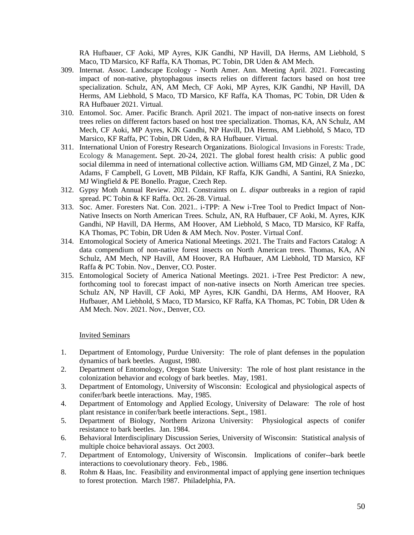RA Hufbauer, CF Aoki, MP Ayres, KJK Gandhi, NP Havill, DA Herms, AM Liebhold, S Maco, TD Marsico, KF Raffa, KA Thomas, PC Tobin, DR Uden & AM Mech.

- 309. Internat. Assoc. Landscape Ecology North Amer. Ann. Meeting April. 2021. Forecasting impact of non-native, phytophagous insects relies on different factors based on host tree specialization. Schulz, AN, AM Mech, CF Aoki, MP Ayres, KJK Gandhi, NP Havill, DA Herms, AM Liebhold, S Maco, TD Marsico, KF Raffa, KA Thomas, PC Tobin, DR Uden & RA Hufbauer 2021. Virtual.
- 310. Entomol. Soc. Amer. Pacific Branch. April 2021. The impact of non-native insects on forest trees relies on different factors based on host tree specialization. Thomas, KA, AN Schulz, AM Mech, CF Aoki, MP Ayres, KJK Gandhi, NP Havill, DA Herms, AM Liebhold, S Maco, TD Marsico, KF Raffa, PC Tobin, DR Uden, & RA Hufbauer. Virtual.
- 311. International Union of Forestry Research Organizations. Biological Invasions in Forests: Trade, Ecology & Management**.** Sept. 20-24, 2021. The global forest health crisis: A public good social dilemma in need of international collective action. Williams GM, MD Ginzel, Z Ma , DC Adams, F Campbell, G Lovett, MB Pildain, KF Raffa, KJK Gandhi, A Santini, RA Sniezko, MJ Wingfield & PE Bonello. Prague, Czech Rep.
- 312. Gypsy Moth Annual Review. 2021. Constraints on *L. dispar* outbreaks in a region of rapid spread. PC Tobin & KF Raffa. Oct. 26-28. Virtual.
- 313. Soc. Amer. Foresters Nat. Con. 2021.. i-TPP: A New i-Tree Tool to Predict Impact of Non-Native Insects on North American Trees. Schulz, AN, RA Hufbauer, CF Aoki, M. Ayres, KJK Gandhi, NP Havill, DA Herms, AM Hoover, AM Liebhold, S Maco, TD Marsico, KF Raffa, KA Thomas, PC Tobin, DR Uden & AM Mech. Nov. Poster. Virtual Conf.
- 314. Entomological Society of America National Meetings. 2021. The Traits and Factors Catalog: A data compendium of non-native forest insects on North American trees. Thomas, KA, AN Schulz, AM Mech, NP Havill, AM Hoover, RA Hufbauer, AM Liebhold, TD Marsico, KF Raffa & PC Tobin. Nov., Denver, CO. Poster.
- 315. Entomological Society of America National Meetings. 2021. i-Tree Pest Predictor: A new, forthcoming tool to forecast impact of non-native insects on North American tree species. Schulz AN, NP Havill, CF Aoki, MP Ayres, KJK Gandhi, DA Herms, AM Hoover, RA Hufbauer, AM Liebhold, S Maco, TD Marsico, KF Raffa, KA Thomas, PC Tobin, DR Uden & AM Mech. Nov. 2021. Nov., Denver, CO.

## Invited Seminars

- 1. Department of Entomology, Purdue University: The role of plant defenses in the population dynamics of bark beetles. August, 1980.
- 2. Department of Entomology, Oregon State University: The role of host plant resistance in the colonization behavior and ecology of bark beetles. May, 1981.
- 3. Department of Entomology, University of Wisconsin: Ecological and physiological aspects of conifer/bark beetle interactions. May, 1985.
- 4. Department of Entomology and Applied Ecology, University of Delaware: The role of host plant resistance in conifer/bark beetle interactions. Sept., 1981.
- 5. Department of Biology, Northern Arizona University: Physiological aspects of conifer resistance to bark beetles. Jan. 1984.
- 6. Behavioral Interdisciplinary Discussion Series, University of Wisconsin: Statistical analysis of multiple choice behavioral assays. Oct 2003.
- 7. Department of Entomology, University of Wisconsin. Implications of conifer--bark beetle interactions to coevolutionary theory. Feb., 1986.
- 8. Rohm & Haas, Inc. Feasibility and environmental impact of applying gene insertion techniques to forest protection. March 1987. Philadelphia, PA.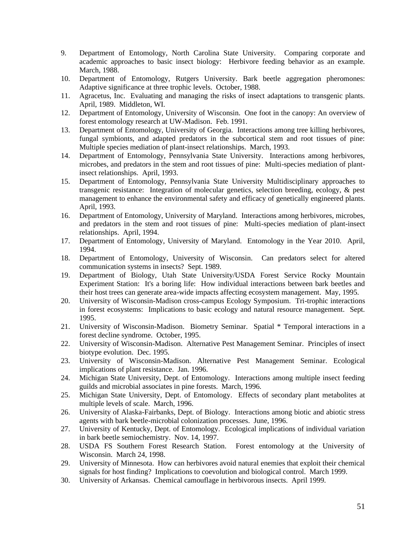- 9. Department of Entomology, North Carolina State University. Comparing corporate and academic approaches to basic insect biology: Herbivore feeding behavior as an example. March, 1988.
- 10. Department of Entomology, Rutgers University. Bark beetle aggregation pheromones: Adaptive significance at three trophic levels. October, 1988.
- 11. Agracetus, Inc. Evaluating and managing the risks of insect adaptations to transgenic plants. April, 1989. Middleton, WI.
- 12. Department of Entomology, University of Wisconsin. One foot in the canopy: An overview of forest entomology research at UW-Madison. Feb. 1991.
- 13. Department of Entomology, University of Georgia. Interactions among tree killing herbivores, fungal symbionts, and adapted predators in the subcortical stem and root tissues of pine: Multiple species mediation of plant-insect relationships. March, 1993.
- 14. Department of Entomology, Pennsylvania State University. Interactions among herbivores, microbes, and predators in the stem and root tissues of pine: Multi-species mediation of plantinsect relationships. April, 1993.
- 15. Department of Entomology, Pennsylvania State University Multidisciplinary approaches to transgenic resistance: Integration of molecular genetics, selection breeding, ecology, & pest management to enhance the environmental safety and efficacy of genetically engineered plants. April, 1993.
- 16. Department of Entomology, University of Maryland. Interactions among herbivores, microbes, and predators in the stem and root tissues of pine: Multi-species mediation of plant-insect relationships. April, 1994.
- 17. Department of Entomology, University of Maryland. Entomology in the Year 2010. April, 1994.
- 18. Department of Entomology, University of Wisconsin. Can predators select for altered communication systems in insects? Sept. 1989.
- 19. Department of Biology, Utah State University/USDA Forest Service Rocky Mountain Experiment Station: It's a boring life: How individual interactions between bark beetles and their host trees can generate area-wide impacts affecting ecosystem management. May, 1995.
- 20. University of Wisconsin-Madison cross-campus Ecology Symposium. Tri-trophic interactions in forest ecosystems: Implications to basic ecology and natural resource management. Sept. 1995.
- 21. University of Wisconsin-Madison. Biometry Seminar. Spatial \* Temporal interactions in a forest decline syndrome. October, 1995.
- 22. University of Wisconsin-Madison. Alternative Pest Management Seminar. Principles of insect biotype evolution. Dec. 1995.
- 23. University of Wisconsin-Madison. Alternative Pest Management Seminar. Ecological implications of plant resistance. Jan. 1996.
- 24. Michigan State University, Dept. of Entomology. Interactions among multiple insect feeding guilds and microbial associates in pine forests. March, 1996.
- 25. Michigan State University, Dept. of Entomology. Effects of secondary plant metabolites at multiple levels of scale. March, 1996.
- 26. University of Alaska-Fairbanks, Dept. of Biology. Interactions among biotic and abiotic stress agents with bark beetle-microbial colonization processes. June, 1996.
- 27. University of Kentucky, Dept. of Entomology. Ecological implications of individual variation in bark beetle semiochemistry. Nov. 14, 1997.
- 28. USDA FS Southern Forest Research Station. Forest entomology at the University of Wisconsin. March 24, 1998.
- 29. University of Minnesota. How can herbivores avoid natural enemies that exploit their chemical signals for host finding? Implications to coevolution and biological control. March 1999.
- 30. University of Arkansas. Chemical camouflage in herbivorous insects. April 1999.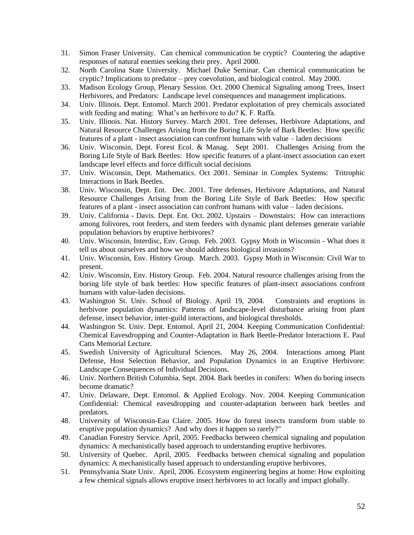- 31. Simon Fraser University. Can chemical communication be cryptic? Countering the adaptive responses of natural enemies seeking their prey. April 2000.
- 32. North Carolina State University. Michael Duke Seminar. Can chemical communication be cryptic? Implications to predator – prey coevolution, and biological control. May 2000.
- 33. Madison Ecology Group, Plenary Session. Oct. 2000 Chemical Signaling among Trees, Insect Herbivores, and Predators: Landscape level consequences and management implications.
- 34. Univ. Illinois. Dept. Entomol. March 2001. Predator exploitation of prey chemicals associated with feeding and mating: What's an herbivore to do? K. F. Raffa.
- 35. Univ. Illinois. Nat. History Survey. March 2001. Tree defenses, Herbivore Adaptations, and Natural Resource Challenges Arising from the Boring Life Style of Bark Beetles: How specific features of a plant - insect association can confront humans with value – laden decisions
- 36. Univ. Wisconsin, Dept. Forest Ecol. & Manag. Sept 2001. Challenges Arising from the Boring Life Style of Bark Beetles: How specific features of a plant-insect association can exert landscape level effects and force difficult social decisions
- 37. Univ. Wisconsin, Dept. Mathematics. Oct 2001. Seminar in Complex Systems: Tritrophic Interactions in Bark Beetles.
- 38. Univ. Wisconsin, Dept. Ent. Dec. 2001. Tree defenses, Herbivore Adaptations, and Natural Resource Challenges Arising from the Boring Life Style of Bark Beetles: How specific features of a plant - insect association can confront humans with value – laden decisions.
- 39. Univ. California Davis. Dept. Ent. Oct. 2002. Upstairs Downstairs: How can interactions among folivores, root feeders, and stem feeders with dynamic plant defenses generate variable population behaviors by eruptive herbivores?
- 40. Univ. Wisconsin, Interdisc, Env. Group. Feb. 2003. Gypsy Moth in Wisconsin What does it tell us about ourselves and how we should address biological invasions?
- 41. Univ. Wisconsin, Env. History Group. March. 2003. Gypsy Moth in Wisconsin: Civil War to present.
- 42. Univ. Wisconsin, Env. History Group. Feb. 2004. Natural resource challenges arising from the boring life style of bark beetles: How specific features of plant-insect associations confront humans with value-laden decisions.
- 43. Washington St. Univ. School of Biology. April 19, 2004. Constraints and eruptions in herbivore population dynamics: Patterns of landscape-level disturbance arising from plant defense, insect behavior, inter-guild interactions, and biological thresholds.
- 44. Washington St. Univ. Dept. Entomol. April 21, 2004. Keeping Communication Confidential: Chemical Eavesdropping and Counter-Adaptation in Bark Beetle-Predator Interactions E. Paul Catts Memorial Lecture.
- 45. Swedish University of Agricultural Sciences. May 26, 2004. Interactions among Plant Defense, Host Selection Behavior, and Population Dynamics in an Eruptive Herbivore: Landscape Consequences of Individual Decisions.
- 46. Univ. Northern British Columbia. Sept. 2004. Bark beetles in conifers: When do boring insects become dramatic?
- 47. Univ. Delaware, Dept. Entomol. & Applied Ecology. Nov. 2004. Keeping Communication Confidential: Chemical eavesdropping and counter-adaptation between bark beetles and predators.
- 48. University of Wisconsin-Eau Claire. 2005. How do forest insects transform from stable to eruptive population dynamics? And why does it happen so rarely?"
- 49. Canadian Forestry Service. April, 2005. Feedbacks between chemical signaling and population dynamics: A mechanistically based approach to understanding eruptive herbivores.
- 50. University of Quebec. April, 2005. Feedbacks between chemical signaling and population dynamics: A mechanistically based approach to understanding eruptive herbivores.
- 51. Pennsylvania State Univ. April, 2006. Ecosystem engineering begins at home: How exploiting a few chemical signals allows eruptive insect herbivores to act locally and impact globally.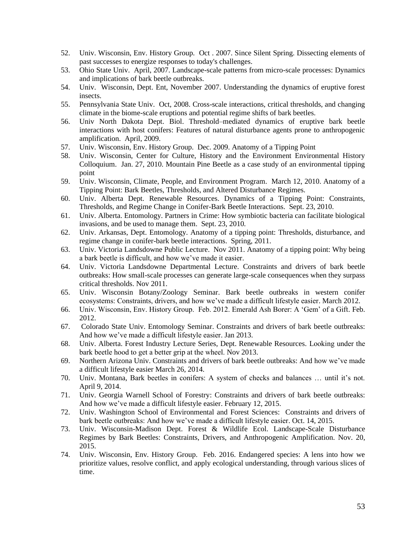- 52. Univ. Wisconsin, Env. History Group. Oct . 2007. Since Silent Spring. Dissecting elements of past successes to energize responses to today's challenges.
- 53. Ohio State Univ. April, 2007. Landscape-scale patterns from micro-scale processes: Dynamics and implications of bark beetle outbreaks.
- 54. Univ. Wisconsin, Dept. Ent, November 2007. Understanding the dynamics of eruptive forest insects.
- 55. Pennsylvania State Univ. Oct, 2008. Cross-scale interactions, critical thresholds, and changing climate in the biome-scale eruptions and potential regime shifts of bark beetles.
- 56. Univ North Dakota Dept. Biol. Threshold–mediated dynamics of eruptive bark beetle interactions with host conifers: Features of natural disturbance agents prone to anthropogenic amplification. April, 2009.
- 57. Univ. Wisconsin, Env. History Group. Dec. 2009. Anatomy of a Tipping Point
- 58. Univ. Wisconsin, Center for Culture, History and the Environment Environmental History Colloquium. Jan. 27, 2010. Mountain Pine Beetle as a case study of an environmental tipping point
- 59. Univ. Wisconsin, Climate, People, and Environment Program. March 12, 2010. Anatomy of a Tipping Point: Bark Beetles, Thresholds, and Altered Disturbance Regimes.
- 60. Univ. Alberta Dept. Renewable Resources. Dynamics of a Tipping Point: Constraints, Thresholds, and Regime Change in Conifer-Bark Beetle Interactions. Sept. 23, 2010.
- 61. Univ. Alberta. Entomology. Partners in Crime: How symbiotic bacteria can facilitate biological invasions, and be used to manage them. Sept. 23, 2010.
- 62. Univ. Arkansas, Dept. Entomology. Anatomy of a tipping point: Thresholds, disturbance, and regime change in conifer-bark beetle interactions. Spring, 2011.
- 63. Univ. Victoria Landsdowne Public Lecture. Nov 2011. Anatomy of a tipping point: Why being a bark beetle is difficult, and how we've made it easier.
- 64. Univ. Victoria Landsdowne Departmental Lecture. Constraints and drivers of bark beetle outbreaks: How small-scale processes can generate large-scale consequences when they surpass critical thresholds. Nov 2011.
- 65. Univ. Wisconsin Botany/Zoology Seminar. Bark beetle outbreaks in western conifer ecosystems: Constraints, drivers, and how we've made a difficult lifestyle easier. March 2012.
- 66. Univ. Wisconsin, Env. History Group. Feb. 2012. Emerald Ash Borer: A 'Gem' of a Gift. Feb. 2012.
- 67. Colorado State Univ. Entomology Seminar. Constraints and drivers of bark beetle outbreaks: And how we've made a difficult lifestyle easier. Jan 2013.
- 68. Univ. Alberta. Forest Industry Lecture Series, Dept. Renewable Resources. Looking under the bark beetle hood to get a better grip at the wheel. Nov 2013.
- 69. Northern Arizona Univ. Constraints and drivers of bark beetle outbreaks: And how we've made a difficult lifestyle easier March 26, 2014.
- 70. Univ. Montana, Bark beetles in conifers: A system of checks and balances … until it's not. April 9, 2014.
- 71. Univ. Georgia Warnell School of Forestry: Constraints and drivers of bark beetle outbreaks: And how we've made a difficult lifestyle easier. February 12, 2015.
- 72. Univ. Washington School of Environmental and Forest Sciences: Constraints and drivers of bark beetle outbreaks: And how we've made a difficult lifestyle easier. Oct. 14, 2015.
- 73. Univ. Wisconsin-Madison Dept. Forest & Wildlife Ecol. Landscape-Scale Disturbance Regimes by Bark Beetles: Constraints, Drivers, and Anthropogenic Amplification. Nov. 20, 2015.
- 74. Univ. Wisconsin, Env. History Group. Feb. 2016. Endangered species: A lens into how we prioritize values, resolve conflict, and apply ecological understanding, through various slices of time.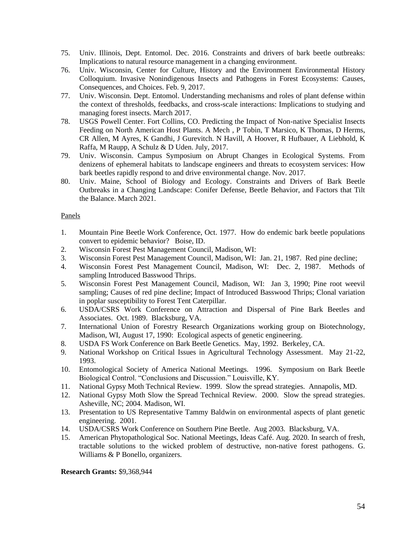- 75. Univ. Illinois, Dept. Entomol. Dec. 2016. Constraints and drivers of bark beetle outbreaks: Implications to natural resource management in a changing environment.
- 76. Univ. Wisconsin, Center for Culture, History and the Environment Environmental History Colloquium. Invasive Nonindigenous Insects and Pathogens in Forest Ecosystems: Causes, Consequences, and Choices. Feb. 9, 2017.
- 77. Univ. Wisconsin. Dept. Entomol. Understanding mechanisms and roles of plant defense within the context of thresholds, feedbacks, and cross-scale interactions: Implications to studying and managing forest insects. March 2017.
- 78. USGS Powell Center. Fort Collins, CO. Predicting the Impact of Non-native Specialist Insects Feeding on North American Host Plants. A Mech , P Tobin, T Marsico, K Thomas, D Herms, CR Allen, M Ayres, K Gandhi, J Gurevitch. N Havill, A Hoover, R Hufbauer, A Liebhold, K Raffa, M Raupp, A Schulz & D Uden. July, 2017.
- 79. Univ. Wisconsin. Campus Symposium on Abrupt Changes in Ecological Systems. From denizens of ephemeral habitats to landscape engineers and threats to ecosystem services: How bark beetles rapidly respond to and drive environmental change. Nov. 2017.
- 80. Univ. Maine, School of Biology and Ecology. Constraints and Drivers of Bark Beetle Outbreaks in a Changing Landscape: Conifer Defense, Beetle Behavior, and Factors that Tilt the Balance. March 2021.

# Panels

- 1. Mountain Pine Beetle Work Conference, Oct. 1977. How do endemic bark beetle populations convert to epidemic behavior? Boise, ID.
- 2. Wisconsin Forest Pest Management Council, Madison, WI:
- 3. Wisconsin Forest Pest Management Council, Madison, WI: Jan. 21, 1987. Red pine decline;
- 4. Wisconsin Forest Pest Management Council, Madison, WI: Dec. 2, 1987. Methods of sampling Introduced Basswood Thrips.
- 5. Wisconsin Forest Pest Management Council, Madison, WI: Jan 3, 1990; Pine root weevil sampling; Causes of red pine decline; Impact of Introduced Basswood Thrips; Clonal variation in poplar susceptibility to Forest Tent Caterpillar.
- 6. USDA/CSRS Work Conference on Attraction and Dispersal of Pine Bark Beetles and Associates. Oct. 1989. Blacksburg, VA.
- 7. International Union of Forestry Research Organizations working group on Biotechnology, Madison, WI, August 17, 1990: Ecological aspects of genetic engineering.
- 8. USDA FS Work Conference on Bark Beetle Genetics. May, 1992. Berkeley, CA.
- 9. National Workshop on Critical Issues in Agricultural Technology Assessment. May 21-22, 1993.
- 10. Entomological Society of America National Meetings. 1996. Symposium on Bark Beetle Biological Control. "Conclusions and Discussion." Louisville, KY.
- 11. National Gypsy Moth Technical Review. 1999. Slow the spread strategies. Annapolis, MD.
- 12. National Gypsy Moth Slow the Spread Technical Review. 2000. Slow the spread strategies. Asheville, NC; 2004. Madison, WI.
- 13. Presentation to US Representative Tammy Baldwin on environmental aspects of plant genetic engineering. 2001.
- 14. USDA/CSRS Work Conference on Southern Pine Beetle. Aug 2003. Blacksburg, VA.
- 15. American Phytopathological Soc. National Meetings, Ideas Café. Aug. 2020. In search of fresh, tractable solutions to the wicked problem of destructive, non-native forest pathogens. G. Williams & P Bonello, organizers.

**Research Grants:** \$9,368,944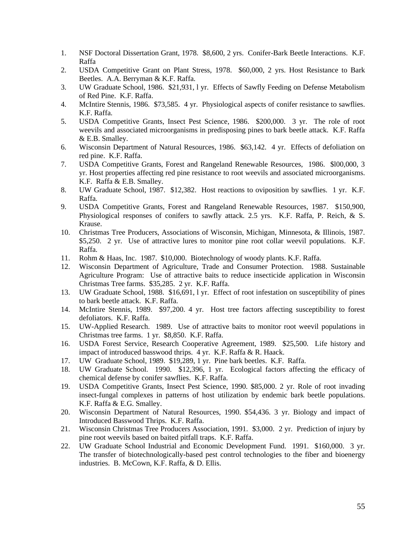- 1. NSF Doctoral Dissertation Grant, 1978. \$8,600, 2 yrs. Conifer-Bark Beetle Interactions. K.F. Raffa
- 2. USDA Competitive Grant on Plant Stress, 1978. \$60,000, 2 yrs. Host Resistance to Bark Beetles. A.A. Berryman & K.F. Raffa.
- 3. UW Graduate School, 1986. \$21,931, l yr. Effects of Sawfly Feeding on Defense Metabolism of Red Pine. K.F. Raffa.
- 4. McIntire Stennis, 1986. \$73,585. 4 yr. Physiological aspects of conifer resistance to sawflies. K.F. Raffa.
- 5. USDA Competitive Grants, Insect Pest Science, 1986. \$200,000. 3 yr. The role of root weevils and associated microorganisms in predisposing pines to bark beetle attack. K.F. Raffa & E.B. Smalley.
- 6. Wisconsin Department of Natural Resources, 1986. \$63,142. 4 yr. Effects of defoliation on red pine. K.F. Raffa.
- 7. USDA Competitive Grants, Forest and Rangeland Renewable Resources, 1986. \$l00,000, 3 yr. Host properties affecting red pine resistance to root weevils and associated microorganisms. K.F. Raffa & E.B. Smalley.
- 8. UW Graduate School, 1987. \$12,382. Host reactions to oviposition by sawflies. 1 yr. K.F. Raffa.
- 9. USDA Competitive Grants, Forest and Rangeland Renewable Resources, 1987. \$150,900, Physiological responses of conifers to sawfly attack. 2.5 yrs. K.F. Raffa, P. Reich, & S. Krause.
- 10. Christmas Tree Producers, Associations of Wisconsin, Michigan, Minnesota, & Illinois, 1987. \$5,250. 2 yr. Use of attractive lures to monitor pine root collar weevil populations. K.F. Raffa.
- 11. Rohm & Haas, Inc. 1987. \$10,000. Biotechnology of woody plants. K.F. Raffa.
- 12. Wisconsin Department of Agriculture, Trade and Consumer Protection. 1988. Sustainable Agriculture Program: Use of attractive baits to reduce insecticide application in Wisconsin Christmas Tree farms. \$35,285. 2 yr. K.F. Raffa.
- 13. UW Graduate School, 1988. \$16,691, l yr. Effect of root infestation on susceptibility of pines to bark beetle attack. K.F. Raffa.
- 14. McIntire Stennis, 1989. \$97,200. 4 yr. Host tree factors affecting susceptibility to forest defoliators. K.F. Raffa.
- 15. UW-Applied Research. 1989. Use of attractive baits to monitor root weevil populations in Christmas tree farms. 1 yr. \$8,850. K.F. Raffa.
- 16. USDA Forest Service, Research Cooperative Agreement, 1989. \$25,500. Life history and impact of introduced basswood thrips. 4 yr. K.F. Raffa & R. Haack.
- 17. UW Graduate School, 1989. \$19,289, 1 yr. Pine bark beetles. K.F. Raffa.
- 18. UW Graduate School. 1990. \$12,396, 1 yr. Ecological factors affecting the efficacy of chemical defense by conifer sawflies. K.F. Raffa.
- 19. USDA Competitive Grants, Insect Pest Science, 1990. \$85,000. 2 yr. Role of root invading insect-fungal complexes in patterns of host utilization by endemic bark beetle populations. K.F. Raffa & E.G. Smalley.
- 20. Wisconsin Department of Natural Resources, 1990. \$54,436. 3 yr. Biology and impact of Introduced Basswood Thrips. K.F. Raffa.
- 21. Wisconsin Christmas Tree Producers Association, 1991. \$3,000. 2 yr. Prediction of injury by pine root weevils based on baited pitfall traps. K.F. Raffa.
- 22. UW Graduate School Industrial and Economic Development Fund. 1991. \$160,000. 3 yr. The transfer of biotechnologically-based pest control technologies to the fiber and bioenergy industries. B. McCown, K.F. Raffa, & D. Ellis.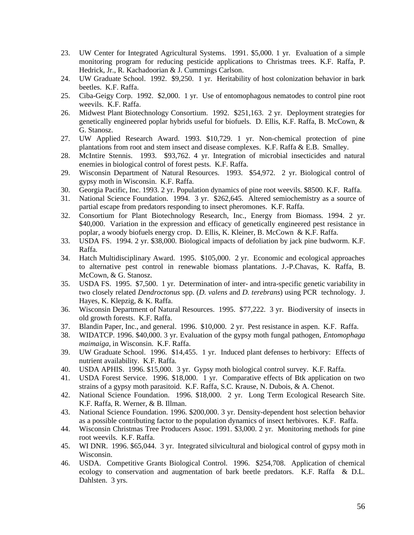- 23. UW Center for Integrated Agricultural Systems. 1991. \$5,000. 1 yr. Evaluation of a simple monitoring program for reducing pesticide applications to Christmas trees. K.F. Raffa, P. Hedrick, Jr., R. Kachadoorian & J. Cummings Carlson.
- 24. UW Graduate School. 1992. \$9,250. 1 yr. Heritability of host colonization behavior in bark beetles. K.F. Raffa.
- 25. Ciba-Geigy Corp. 1992. \$2,000. 1 yr. Use of entomophagous nematodes to control pine root weevils. K.F. Raffa.
- 26. Midwest Plant Biotechnology Consortium. 1992. \$251,163. 2 yr. Deployment strategies for genetically engineered poplar hybrids useful for biofuels. D. Ellis, K.F. Raffa, B. McCown, & G. Stanosz.
- 27. UW Applied Research Award. 1993. \$10,729. 1 yr. Non-chemical protection of pine plantations from root and stem insect and disease complexes. K.F. Raffa & E.B. Smalley.
- 28. McIntire Stennis. 1993. \$93,762. 4 yr. Integration of microbial insecticides and natural enemies in biological control of forest pests. K.F. Raffa.
- 29. Wisconsin Department of Natural Resources. 1993. \$54,972. 2 yr. Biological control of gypsy moth in Wisconsin. K.F. Raffa.
- 30. Georgia Pacific, Inc. 1993. 2 yr. Population dynamics of pine root weevils. \$8500. K.F. Raffa.
- 31. National Science Foundation. 1994. 3 yr. \$262,645. Altered semiochemistry as a source of partial escape from predators responding to insect pheromones. K.F. Raffa.
- 32. Consortium for Plant Biotechnology Research, Inc., Energy from Biomass. 1994. 2 yr. \$40,000. Variation in the expression and efficacy of genetically engineered pest resistance in poplar, a woody biofuels energy crop. D. Ellis, K. Kleiner, B. McCown & K.F. Raffa.
- 33. USDA FS. 1994. 2 yr. \$38,000. Biological impacts of defoliation by jack pine budworm. K.F. Raffa.
- 34. Hatch Multidisciplinary Award. 1995. \$105,000. 2 yr. Economic and ecological approaches to alternative pest control in renewable biomass plantations. J.-P.Chavas, K. Raffa, B. McCown, & G. Stanosz.
- 35. USDA FS. 1995. \$7,500. 1 yr. Determination of inter- and intra-specific genetic variability in two closely related *Dendroctonus* spp. (*D. valens* and *D. terebrans*) using PCR technology. J. Hayes, K. Klepzig, & K. Raffa.
- 36. Wisconsin Department of Natural Resources. 1995. \$77,222. 3 yr. Biodiversity of insects in old growth forests. K.F. Raffa.
- 37. Blandin Paper, Inc., and general. 1996. \$10,000. 2 yr. Pest resistance in aspen. K.F. Raffa.
- 38. WIDATCP. 1996. \$40,000. 3 yr. Evaluation of the gypsy moth fungal pathogen, *Entomophaga maimaiga*, in Wisconsin. K.F. Raffa.
- 39. UW Graduate School. 1996. \$14,455. 1 yr. Induced plant defenses to herbivory: Effects of nutrient availability. K.F. Raffa.
- 40. USDA APHIS. 1996. \$15,000. 3 yr. Gypsy moth biological control survey. K.F. Raffa.
- 41. USDA Forest Service. 1996. \$18,000. 1 yr. Comparative effects of Btk application on two strains of a gypsy moth parasitoid. K.F. Raffa, S.C. Krause, N. Dubois, & A. Chenot.
- 42. National Science Foundation. 1996. \$18,000. 2 yr. Long Term Ecological Research Site. K.F. Raffa, R. Werner, & B. Illman.
- 43. National Science Foundation. 1996. \$200,000. 3 yr. Density-dependent host selection behavior as a possible contributing factor to the population dynamics of insect herbivores. K.F. Raffa.
- 44. Wisconsin Christmas Tree Producers Assoc. 1991. \$3,000. 2 yr. Monitoring methods for pine root weevils. K.F. Raffa.
- 45. WI DNR. 1996. \$65,044. 3 yr. Integrated silvicultural and biological control of gypsy moth in Wisconsin.
- 46. USDA. Competitive Grants Biological Control. 1996. \$254,708. Application of chemical ecology to conservation and augmentation of bark beetle predators. K.F. Raffa & D.L. Dahlsten. 3 yrs.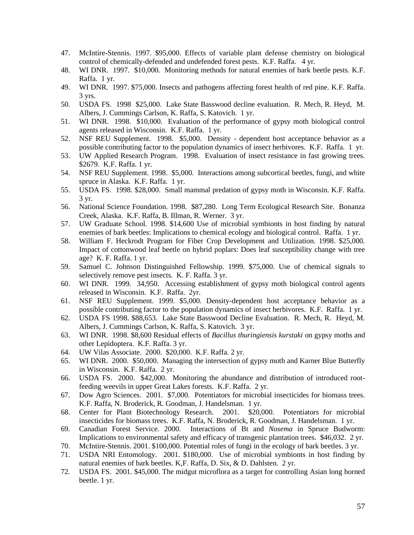- 47. McIntire-Stennis. 1997. \$95,000. Effects of variable plant defense chemistry on biological control of chemically-defended and undefended forest pests. K.F. Raffa. 4 yr.
- 48. WI DNR. 1997. \$10,000. Monitoring methods for natural enemies of bark beetle pests. K.F. Raffa. 1 yr.
- 49. WI DNR. 1997. \$75,000. Insects and pathogens affecting forest health of red pine. K.F. Raffa. 3 yrs.
- 50. USDA FS. 1998 \$25,000. Lake State Basswood decline evaluation. R. Mech, R. Heyd, M. Albers, J. Cummings Carlson, K. Raffa, S. Katovich. 1 yr.
- 51. WI DNR. 1998. \$10,000. Evaluation of the performance of gypsy moth biological control agents released in Wisconsin. K.F. Raffa. 1 yr.
- 52. NSF REU Supplement. 1998. \$5,000. Density dependent host acceptance behavior as a possible contributing factor to the population dynamics of insect herbivores. K.F. Raffa. 1 yr.
- 53. UW Applied Research Program. 1998. Evaluation of insect resistance in fast growing trees. \$2679. K.F. Raffa. 1 yr.
- 54. NSF REU Supplement. 1998. \$5,000. Interactions among subcortical beetles, fungi, and white spruce in Alaska. K.F. Raffa. 1 yr.
- 55. USDA FS. 1998. \$28,000. Small mammal predation of gypsy moth in Wisconsin. K.F. Raffa. 3 yr.
- 56. National Science Foundation. 1998. \$87,280. Long Term Ecological Research Site. Bonanza Creek, Alaska. K.F. Raffa, B. Illman, R. Werner. 3 yr.
- 57. UW Graduate School. 1998. \$14,600 Use of microbial symbionts in host finding by natural enemies of bark beetles: Implications to chemical ecology and biological control. Raffa. 1 yr.
- 58. William F. Heckrodt Program for Fiber Crop Development and Utilization. 1998. \$25,000. Impact of cottonwood leaf beetle on hybrid poplars: Does leaf susceptibility change with tree age? K. F. Raffa. 1 yr.
- 59. Samuel C. Johnson Distinguished Fellowship. 1999. \$75,000. Use of chemical signals to selectively remove pest insects. K. F. Raffa. 3 yr.
- 60. WI DNR. 1999. 34,950. Accessing establishment of gypsy moth biological control agents released in Wisconsin. K.F. Raffa. 2yr.
- 61. NSF REU Supplement. 1999. \$5,000. Density-dependent host acceptance behavior as a possible contributing factor to the population dynamics of insect herbivores. K.F. Raffa. 1 yr.
- 62. USDA FS 1998. \$88,653. Lake State Basswood Decline Evaluation. R. Mech, R. Heyd, M. Albers, J. Cummings Carlson, K. Raffa, S. Katovich. 3 yr.
- 63. WI DNR. 1998. \$8,600 Residual effects of *Bacillus thuringiensis kurstaki* on gypsy moths and other Lepidoptera. K.F. Raffa. 3 yr.
- 64. UW Vilas Associate. 2000. \$20,000. K.F. Raffa. 2 yr.
- 65. WI DNR. 2000. \$50,000. Managing the intersection of gypsy moth and Karner Blue Butterfly in Wisconsin. K.F. Raffa. 2 yr.
- 66. USDA FS. 2000. \$42,000. Monitoring the abundance and distribution of introduced rootfeeding weevils in upper Great Lakes forests. K.F. Raffa. 2 yr.
- 67. Dow Agro Sciences. 2001. \$7,000. Potentiators for microbial insecticides for biomass trees. K.F. Raffa, N. Broderick, R. Goodman, J. Handelsman. 1 yr.
- 68. Center for Plant Biotechnology Research. 2001. \$20,000. Potentiators for microbial insecticides for biomass trees. K.F. Raffa, N. Broderick, R. Goodman, J. Handelsman. 1 yr.
- 69. Canadian Forest Service. 2000. Interactions of Bt and *Nosema* in Spruce Budworm: Implications to environmental safety and efficacy of transgenic plantation trees. \$46,032. 2 yr.
- 70. McIntire-Stennis. 2001. \$100,000. Potential roles of fungi in the ecology of bark beetles. 3 yr.
- 71. USDA NRI Entomology. 2001. \$180,000. Use of microbial symbionts in host finding by natural enemies of bark beetles. K,F. Raffa, D. Six, & D. Dahlsten. 2 yr.
- 72. USDA FS. 2001. \$45,000. The midgut microflora as a target for controlling Asian long horned beetle. 1 yr.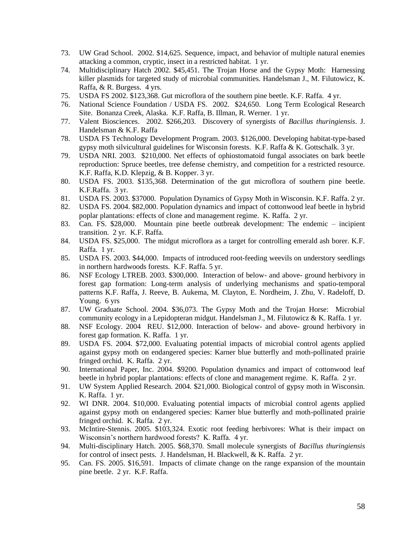- 73. UW Grad School. 2002. \$14,625. Sequence, impact, and behavior of multiple natural enemies attacking a common, cryptic, insect in a restricted habitat. 1 yr.
- 74. Multidisciplinary Hatch 2002. \$45,451. The Trojan Horse and the Gypsy Moth: Harnessing killer plasmids for targeted study of microbial communities. Handelsman J., M. Filutowicz, K. Raffa, & R. Burgess. 4 yrs.
- 75. USDA FS 2002. \$123,368. Gut microflora of the southern pine beetle. K.F. Raffa. 4 yr.
- 76. National Science Foundation / USDA FS. 2002. \$24,650. Long Term Ecological Research Site. Bonanza Creek, Alaska. K.F. Raffa, B. Illman, R. Werner. 1 yr.
- 77. Valent Biosciences. 2002. \$266,203. Discovery of synergists of *Bacillus thuringiensis*. J. Handelsman & K.F. Raffa
- 78. USDA FS Technology Development Program. 2003. \$126,000. Developing habitat-type-based gypsy moth silvicultural guidelines for Wisconsin forests. K.F. Raffa & K. Gottschalk. 3 yr.
- 79. USDA NRI. 2003. \$210,000. Net effects of ophiostomatoid fungal associates on bark beetle reproduction: Spruce beetles, tree defense chemistry, and competition for a restricted resource. K.F. Raffa, K.D. Klepzig, & B. Kopper. 3 yr.
- 80. USDA FS. 2003. \$135,368. Determination of the gut microflora of southern pine beetle. K.F.Raffa. 3 yr.
- 81. USDA FS. 2003. \$37000. Population Dynamics of Gypsy Moth in Wisconsin. K.F. Raffa. 2 yr.
- 82. USDA FS. 2004. \$82,000. Population dynamics and impact of cottonwood leaf beetle in hybrid poplar plantations: effects of clone and management regime. K. Raffa. 2 yr.
- 83. Can. FS. \$28,000. Mountain pine beetle outbreak development: The endemic incipient transition. 2 yr. K.F. Raffa.
- 84. USDA FS. \$25,000. The midgut microflora as a target for controlling emerald ash borer. K.F. Raffa. 1 yr.
- 85. USDA FS. 2003. \$44,000. Impacts of introduced root-feeding weevils on understory seedlings in northern hardwoods forests. K.F. Raffa. 5 yr.
- 86. NSF Ecology LTREB. 2003. \$300,000. Interaction of below- and above- ground herbivory in forest gap formation: Long-term analysis of underlying mechanisms and spatio-temporal patterns K.F. Raffa, J. Reeve, B. Aukema, M. Clayton, E. Nordheim, J. Zhu, V. Radeloff, D. Young. 6 yrs
- 87. UW Graduate School. 2004. \$36,073. The Gypsy Moth and the Trojan Horse: Microbial community ecology in a Lepidopteran midgut. Handelsman J., M. Filutowicz & K. Raffa. 1 yr.
- 88. NSF Ecology. 2004 REU. \$12,000. Interaction of below- and above- ground herbivory in forest gap formation. K. Raffa. 1 yr.
- 89. USDA FS. 2004. \$72,000. Evaluating potential impacts of microbial control agents applied against gypsy moth on endangered species: Karner blue butterfly and moth-pollinated prairie fringed orchid. K. Raffa. 2 yr.
- 90. International Paper, Inc. 2004. \$9200. Population dynamics and impact of cottonwood leaf beetle in hybrid poplar plantations: effects of clone and management regime. K. Raffa. 2 yr.
- 91. UW System Applied Research. 2004. \$21,000. Biological control of gypsy moth in Wisconsin. K. Raffa. 1 yr.
- 92. WI DNR. 2004. \$10,000. Evaluating potential impacts of microbial control agents applied against gypsy moth on endangered species: Karner blue butterfly and moth-pollinated prairie fringed orchid. K. Raffa. 2 yr.
- 93. McIntire-Stennis. 2005. \$103,324. Exotic root feeding herbivores: What is their impact on Wisconsin's northern hardwood forests? K. Raffa. 4 yr.
- 94. Multi-disciplinary Hatch. 2005. \$68,370. Small molecule synergists of *Bacillus thuringiensis* for control of insect pests. J. Handelsman, H. Blackwell, & K. Raffa. 2 yr.
- 95. Can. FS. 2005. \$16,591. Impacts of climate change on the range expansion of the mountain pine beetle. 2 yr. K.F. Raffa.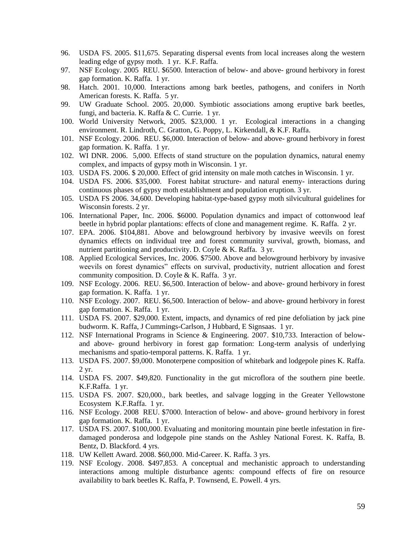- 96. USDA FS. 2005. \$11,675. Separating dispersal events from local increases along the western leading edge of gypsy moth. 1 yr. K.F. Raffa.
- 97. NSF Ecology. 2005 REU. \$6500. Interaction of below- and above- ground herbivory in forest gap formation. K. Raffa. 1 yr.
- 98. Hatch. 2001. 10,000. Interactions among bark beetles, pathogens, and conifers in North American forests. K. Raffa. 5 yr.
- 99. UW Graduate School. 2005. 20,000. Symbiotic associations among eruptive bark beetles, fungi, and bacteria. K. Raffa & C. Currie. 1 yr.
- 100. World University Network, 2005. \$23,000. 1 yr. Ecological interactions in a changing environment. R. Lindroth, C. Gratton, G. Poppy, L. Kirkendall, & K.F. Raffa.
- 101. NSF Ecology. 2006. REU. \$6,000. Interaction of below- and above- ground herbivory in forest gap formation. K. Raffa. 1 yr.
- 102. WI DNR. 2006. 5,000. Effects of stand structure on the population dynamics, natural enemy complex, and impacts of gypsy moth in Wisconsin. 1 yr.
- 103. USDA FS. 2006. \$ 20,000. Effect of grid intensity on male moth catches in Wisconsin. 1 yr.
- 104. USDA FS. 2006. \$35,000. Forest habitat structure- and natural enemy- interactions during continuous phases of gypsy moth establishment and population eruption. 3 yr.
- 105. USDA FS 2006. 34,600. Developing habitat-type-based gypsy moth silvicultural guidelines for Wisconsin forests. 2 yr.
- 106. International Paper, Inc. 2006. \$6000. Population dynamics and impact of cottonwood leaf beetle in hybrid poplar plantations: effects of clone and management regime. K. Raffa. 2 yr.
- 107. EPA. 2006. \$104,881. Above and belowground herbivory by invasive weevils on forest dynamics effects on individual tree and forest community survival, growth, biomass, and nutrient partitioning and productivity. D. Coyle & K. Raffa. 3 yr.
- 108. Applied Ecological Services, Inc. 2006. \$7500. Above and belowground herbivory by invasive weevils on forest dynamics" effects on survival, productivity, nutrient allocation and forest community composition. D. Coyle & K. Raffa. 3 yr.
- 109. NSF Ecology. 2006. REU. \$6,500. Interaction of below- and above- ground herbivory in forest gap formation. K. Raffa. 1 yr.
- 110. NSF Ecology. 2007. REU. \$6,500. Interaction of below- and above- ground herbivory in forest gap formation. K. Raffa. 1 yr.
- 111. USDA FS. 2007. \$29,000. Extent, impacts, and dynamics of red pine defoliation by jack pine budworm. K. Raffa, J Cummings-Carlson, J Hubbard, E Signsaas. 1 yr.
- 112. NSF International Programs in Science & Engineering. 2007. \$10,733. Interaction of belowand above- ground herbivory in forest gap formation: Long-term analysis of underlying mechanisms and spatio-temporal patterns. K. Raffa. 1 yr.
- 113. USDA FS. 2007. \$9,000. Monoterpene composition of whitebark and lodgepole pines K. Raffa. 2 yr.
- 114. USDA FS. 2007. \$49,820. Functionality in the gut microflora of the southern pine beetle. K.F.Raffa. 1 yr.
- 115. USDA FS. 2007. \$20,000., bark beetles, and salvage logging in the Greater Yellowstone Ecosystem K.F.Raffa. 1 yr.
- 116. NSF Ecology. 2008 REU. \$7000. Interaction of below- and above- ground herbivory in forest gap formation. K. Raffa. 1 yr.
- 117. USDA FS. 2007. \$100,000. Evaluating and monitoring mountain pine beetle infestation in firedamaged ponderosa and lodgepole pine stands on the Ashley National Forest. K. Raffa, B. Bentz, D. Blackford. 4 yrs.
- 118. UW Kellett Award. 2008. \$60,000. Mid-Career. K. Raffa. 3 yrs.
- 119. NSF Ecology. 2008. \$497,853. A conceptual and mechanistic approach to understanding interactions among multiple disturbance agents: compound effects of fire on resource availability to bark beetles K. Raffa, P. Townsend, E. Powell. 4 yrs.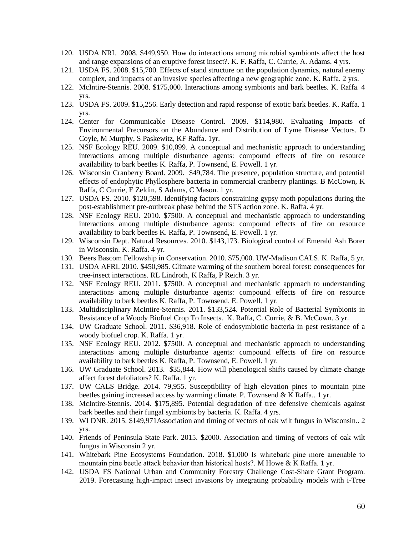- 120. USDA NRI. 2008. \$449,950. How do interactions among microbial symbionts affect the host and range expansions of an eruptive forest insect?. K. F. Raffa, C. Currie, A. Adams. 4 yrs.
- 121. USDA FS. 2008. \$15,700. Effects of stand structure on the population dynamics, natural enemy complex, and impacts of an invasive species affecting a new geographic zone. K. Raffa. 2 yrs.
- 122. McIntire-Stennis. 2008. \$175,000. Interactions among symbionts and bark beetles. K. Raffa. 4 yrs.
- 123. USDA FS. 2009. \$15,256. Early detection and rapid response of exotic bark beetles. K. Raffa. 1 yrs.
- 124. Center for Communicable Disease Control. 2009. \$114,980. Evaluating Impacts of Environmental Precursors on the Abundance and Distribution of Lyme Disease Vectors. D Coyle, M Murphy, S Paskewitz, KF Raffa. 1yr.
- 125. NSF Ecology REU. 2009. \$10,099. A conceptual and mechanistic approach to understanding interactions among multiple disturbance agents: compound effects of fire on resource availability to bark beetles K. Raffa, P. Townsend, E. Powell. 1 yr.
- 126. Wisconsin Cranberry Board. 2009. \$49,784. The presence, population structure, and potential effects of endophytic Phyllosphere bacteria in commercial cranberry plantings. B McCown, K Raffa, C Currie, E Zeldin, S Adams, C Mason. 1 yr.
- 127. USDA FS. 2010. \$120,598. Identifying factors constraining gypsy moth populations during the post-establishment pre-outbreak phase behind the STS action zone. K. Raffa. 4 yr.
- 128. NSF Ecology REU. 2010. \$7500. A conceptual and mechanistic approach to understanding interactions among multiple disturbance agents: compound effects of fire on resource availability to bark beetles K. Raffa, P. Townsend, E. Powell. 1 yr.
- 129. Wisconsin Dept. Natural Resources. 2010. \$143,173. Biological control of Emerald Ash Borer in Wisconsin. K. Raffa. 4 yr.
- 130. Beers Bascom Fellowship in Conservation. 2010. \$75,000. UW-Madison CALS. K. Raffa, 5 yr.
- 131. USDA AFRI. 2010. \$450,985. Climate warming of the southern boreal forest: consequences for tree-insect interactions. RL Lindroth, K Raffa, P Reich. 3 yr.
- 132. NSF Ecology REU. 2011. \$7500. A conceptual and mechanistic approach to understanding interactions among multiple disturbance agents: compound effects of fire on resource availability to bark beetles K. Raffa, P. Townsend, E. Powell. 1 yr.
- 133. Multidisciplinary McIntire-Stennis. 2011. \$133,524. Potential Role of Bacterial Symbionts in Resistance of a Woody Biofuel Crop To Insects. K. Raffa, C. Currie, & B. McCown. 3 yr.
- 134. UW Graduate School. 2011. \$36,918. Role of endosymbiotic bacteria in pest resistance of a woody biofuel crop. K. Raffa. 1 yr.
- 135. NSF Ecology REU. 2012. \$7500. A conceptual and mechanistic approach to understanding interactions among multiple disturbance agents: compound effects of fire on resource availability to bark beetles K. Raffa, P. Townsend, E. Powell. 1 yr.
- 136. UW Graduate School. 2013. \$35,844. How will phenological shifts caused by climate change affect forest defoliators? K. Raffa. 1 yr.
- 137. UW CALS Bridge. 2014. 79,955. Susceptibility of high elevation pines to mountain pine beetles gaining increased access by warming climate. P. Townsend & K Raffa.. 1 yr.
- 138. McIntire-Stennis. 2014. \$175,895. Potential degradation of tree defensive chemicals against bark beetles and their fungal symbionts by bacteria. K. Raffa. 4 yrs.
- 139. WI DNR. 2015. \$149,971Association and timing of vectors of oak wilt fungus in Wisconsin.. 2 yrs.
- 140. Friends of Peninsula State Park. 2015. \$2000. Association and timing of vectors of oak wilt fungus in Wisconsin 2 yr.
- 141. Whitebark Pine Ecosystems Foundation. 2018. \$1,000 Is whitebark pine more amenable to mountain pine beetle attack behavior than historical hosts?. M Howe & K Raffa. 1 yr.
- 142. USDA FS National Urban and Community Forestry Challenge Cost-Share Grant Program. 2019. Forecasting high-impact insect invasions by integrating probability models with i-Tree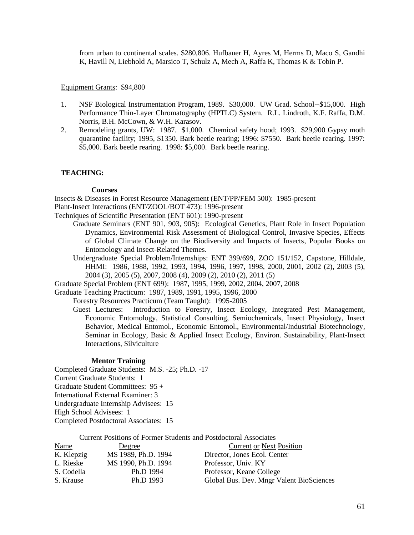from urban to continental scales. \$280,806. Hufbauer H, Ayres M, Herms D, Maco S, Gandhi K, Havill N, Liebhold A, Marsico T, Schulz A, Mech A, Raffa K, Thomas K & Tobin P.

Equipment Grants: \$94,800

- 1. NSF Biological Instrumentation Program, 1989. \$30,000. UW Grad. School--\$15,000. High Performance Thin-Layer Chromatography (HPTLC) System. R.L. Lindroth, K.F. Raffa, D.M. Norris, B.H. McCown, & W.H. Karasov.
- 2. Remodeling grants, UW: 1987. \$1,000. Chemical safety hood; 1993. \$29,900 Gypsy moth quarantine facility; 1995, \$1350. Bark beetle rearing; 1996: \$7550. Bark beetle rearing. 1997: \$5,000. Bark beetle rearing. 1998: \$5,000. Bark beetle rearing.

## **TEACHING:**

#### **Courses**

Insects & Diseases in Forest Resource Management (ENT/PP/FEM 500): 1985-present Plant-Insect Interactions (ENT/ZOOL/BOT 473): 1996-present

- Techniques of Scientific Presentation (ENT 601): 1990-present
	- Graduate Seminars (ENT 901, 903, 905): Ecological Genetics, Plant Role in Insect Population Dynamics, Environmental Risk Assessment of Biological Control, Invasive Species, Effects of Global Climate Change on the Biodiversity and Impacts of Insects, Popular Books on Entomology and Insect-Related Themes.
	- Undergraduate Special Problem/Internships: ENT 399/699, ZOO 151/152, Capstone, Hilldale, HHMI: 1986, 1988, 1992, 1993, 1994, 1996, 1997, 1998, 2000, 2001, 2002 (2), 2003 (5), 2004 (3), 2005 (5), 2007, 2008 (4), 2009 (2), 2010 (2), 2011 (5)

Graduate Special Problem (ENT 699): 1987, 1995, 1999, 2002, 2004, 2007, 2008

Graduate Teaching Practicum: 1987, 1989, 1991, 1995, 1996, 2000

Forestry Resources Practicum (Team Taught): 1995-2005

Guest Lectures: Introduction to Forestry, Insect Ecology, Integrated Pest Management, Economic Entomology, Statistical Consulting, Semiochemicals, Insect Physiology, Insect Behavior, Medical Entomol., Economic Entomol., Environmental/Industrial Biotechnology, Seminar in Ecology, Basic & Applied Insect Ecology, Environ. Sustainability, Plant-Insect Interactions, Silviculture

## **Mentor Training**

Completed Graduate Students: M.S. -25; Ph.D. -17 Current Graduate Students: 1 Graduate Student Committees: 95 + International External Examiner: 3 Undergraduate Internship Advisees: 15 High School Advisees: 1 Completed Postdoctoral Associates: 15

Current Positions of Former Students and Postdoctoral Associates

| <b>Name</b> | Degree              | <b>Current or Next Position</b>          |
|-------------|---------------------|------------------------------------------|
| K. Klepzig  | MS 1989, Ph.D. 1994 | Director, Jones Ecol. Center             |
| L. Rieske   | MS 1990, Ph.D. 1994 | Professor, Univ. KY                      |
| S. Codella  | Ph.D 1994           | Professor, Keane College                 |
| S. Krause   | Ph.D 1993           | Global Bus. Dev. Mngr Valent BioSciences |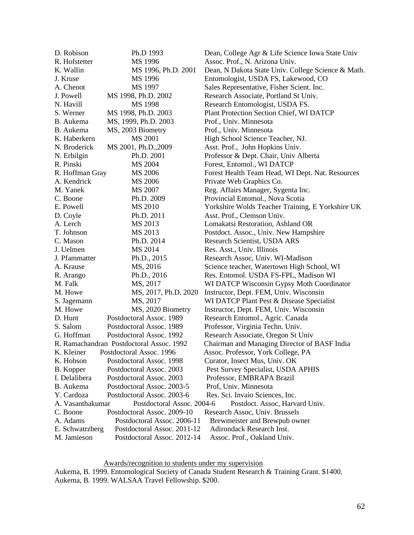| D. Robison       | Ph.D 1993                                | Dean, College Agr & Life Science Iowa State Univ   |
|------------------|------------------------------------------|----------------------------------------------------|
| R. Hofstetter    | MS 1996                                  | Assoc. Prof., N. Arizona Univ.                     |
| K. Wallin        | MS 1996, Ph.D. 2001                      | Dean, N Dakota State Univ. College Science & Math. |
| J. Kruse         | MS 1996                                  | Entomologist, USDA FS, Lakewood, CO                |
| A. Chenot        | MS 1997                                  | Sales Representative, Fisher Scient. Inc.          |
| J. Powell        | MS 1998, Ph.D. 2002                      | Research Associate, Portland St Univ.              |
| N. Havill        | MS 1998                                  | Research Entomologist, USDA FS.                    |
| S. Werner        | MS 1998, Ph.D. 2003                      | Plant Protection Section Chief, WI DATCP           |
| B. Aukema        | MS, 1999, Ph.D. 2003                     | Prof., Univ. Minnesota                             |
| B. Aukema        | MS, 2003 Biometry                        | Prof., Univ. Minnesota                             |
| K. Haberkern     | MS 2001                                  | High School Science Teacher, NJ.                   |
| N. Broderick     | MS 2001, Ph.D., 2009                     | Asst. Prof., John Hopkins Univ.                    |
| N. Erbilgin      | Ph.D. 2001                               | Professor & Dept. Chair, Univ Alberta              |
| R. Pinski        | MS 2004                                  | Forest, Entomol., WI DATCP                         |
| R. Hoffman Gray  | MS 2006                                  | Forest Health Team Head, WI Dept. Nat. Resources   |
| A. Kendrick      | MS 2006                                  | Private Web Graphics Co.                           |
| M. Yanek         | MS 2007                                  | Reg. Affairs Manager, Sygenta Inc.                 |
| C. Boone         | Ph.D. 2009                               | Provincial Entomol., Nova Scotia                   |
| E. Powell        | MS 2010                                  | Yorkshire Wolds Teacher Training, E Yorkshire UK   |
| D. Coyle         | Ph.D. 2011                               | Asst. Prof., Clemson Univ.                         |
| A. Lerch         | MS 2013                                  | Lomakatsi Restoration, Ashland OR                  |
| T. Johnson       | MS 2013                                  | Postdoct. Assoc., Univ. New Hampshire              |
| C. Mason         | Ph.D. 2014                               | Research Scientist, USDA ARS                       |
| J. Uelmen        | MS 2014                                  | Res. Asst., Univ. Illinois                         |
| J. Pfammatter    | Ph.D., 2015                              | Research Assoc, Univ. WI-Madison                   |
| A. Krause        | MS, 2016                                 | Science teacher, Watertown High School, WI         |
| R. Arango        | Ph.D., 2016                              | Res. Entomol. USDA FS-FPL, Madison WI              |
| M. Falk          | MS, 2017                                 | WI DATCP Wisconsin Gypsy Moth Coordinator          |
| M. Howe          | MS, 2017, Ph.D. 2020                     | Instructor, Dept. FEM, Univ. Wisconsin             |
| S. Jagemann      | MS, 2017                                 | WI DATCP Plant Pest & Disease Specialist           |
| M. Howe          | MS, 2020 Biometry                        | Instructor, Dept. FEM, Univ. Wisconsin             |
| D. Hunt          | Postdoctoral Assoc. 1989                 | Research Entomol., Agric. Canada                   |
| S. Salom         | Postdoctoral Assoc. 1989                 | Professor, Virginia Techn. Univ.                   |
| G. Hoffman       | Postdoctoral Assoc. 1992                 | Research Associate, Oregon St Univ                 |
|                  | R. Ramachandran Postdoctoral Assoc. 1992 | Chairman and Managing Director of BASF India       |
| K. Kleiner       | Postdoctoral Assoc. 1996                 | Assoc. Professor, York College, PA                 |
| K. Hobson        | Postdoctoral Assoc. 1998                 | Curator, Insect Mus, Univ. OK                      |
| B. Kopper        | Postdoctoral Assoc. 2003                 | Pest Survey Specialist, USDA APHIS                 |
| I. Delalibera    | Postdoctoral Assoc. 2003                 | Professor, EMBRAPA Brazil                          |
| B. Aukema        | Postdoctoral Assoc. 2003-5               | Prof, Univ. Minnesota                              |
| Y. Cardoza       | Postdoctoral Assoc. 2003-6               | Res. Sci. Invaio Sciences, Inc.                    |
| A. Vasanthakumar | Postdoctoral Assoc. 2004-6               | Postdoct. Assoc, Harvard Univ.                     |
| C. Boone         | Postdoctoral Assoc. 2009-10              | Research Assoc, Univ. Brussels                     |
| A. Adams         | Postdoctoral Assoc. 2006-11              | Brewmeister and Brewpub owner                      |
| E. Schwatrzberg  | Postdoctoral Assoc. 2011-12              | Adirondack Research Inst.                          |
| M. Jamieson      | Postdoctoral Assoc. 2012-14              | Assoc. Prof., Oakland Univ.                        |

Awards/recognition to students under my supervision

Aukema, B. 1999. Entomological Society of Canada Student Research & Training Grant. \$1400. Aukema, B. 1999. WALSAA Travel Fellowship. \$200.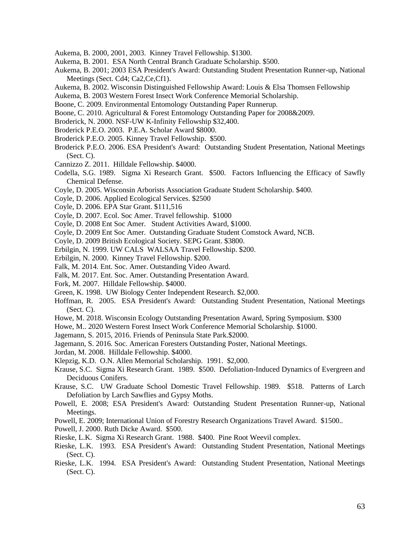- Aukema, B. 2000, 2001, 2003. Kinney Travel Fellowship. \$1300.
- Aukema, B. 2001. ESA North Central Branch Graduate Scholarship. \$500.
- Aukema, B. 2001; 2003 ESA President's Award: Outstanding Student Presentation Runner-up, National Meetings (Sect. Cd4; Ca2, Ce, Cf1).
- Aukema, B. 2002. Wisconsin Distinguished Fellowship Award: Louis & Elsa Thomsen Fellowship
- Aukema, B. 2003 Western Forest Insect Work Conference Memorial Scholarship.
- Boone, C. 2009. Environmental Entomology Outstanding Paper Runnerup.
- Boone, C. 2010. Agricultural & Forest Entomology Outstanding Paper for 2008&2009.
- Broderick, N. 2000. NSF-UW K-Infinity Fellowship \$32,400.
- Broderick P.E.O. 2003. P.E.A. Scholar Award \$8000.
- Broderick P.E.O. 2005. Kinney Travel Fellowship. \$500.
- Broderick P.E.O. 2006. ESA President's Award: Outstanding Student Presentation, National Meetings (Sect. C).
- Cannizzo Z. 2011. Hilldale Fellowship. \$4000.
- Codella, S.G. 1989. Sigma Xi Research Grant. \$500. Factors Influencing the Efficacy of Sawfly Chemical Defense.
- Coyle, D. 2005. Wisconsin Arborists Association Graduate Student Scholarship. \$400.
- Coyle, D. 2006. Applied Ecological Services. \$2500
- Coyle, D. 2006. EPA Star Grant. \$111,516
- Coyle, D. 2007. Ecol. Soc Amer. Travel fellowship. \$1000
- Coyle, D. 2008 Ent Soc Amer. Student Activities Award, \$1000.
- Coyle, D. 2009 Ent Soc Amer. Outstanding Graduate Student Comstock Award, NCB.
- Coyle, D. 2009 British Ecological Society. SEPG Grant. \$3800.
- Erbilgin, N. 1999. UW CALS WALSAA Travel Fellowship. \$200.
- Erbilgin, N. 2000. Kinney Travel Fellowship. \$200.
- Falk, M. 2014. Ent. Soc. Amer. Outstanding Video Award.
- Falk, M. 2017. Ent. Soc. Amer. Outstanding Presentation Award.
- Fork, M. 2007. Hilldale Fellowship. \$4000.
- Green, K. 1998. UW Biology Center Independent Research. \$2,000.
- Hoffman, R. 2005. ESA President's Award: Outstanding Student Presentation, National Meetings  $(Sect. C).$
- Howe, M. 2018. Wisconsin Ecology Outstanding Presentation Award, Spring Symposium. \$300
- Howe, M.. 2020 Western Forest Insect Work Conference Memorial Scholarship. \$1000.
- Jagemann, S. 2015, 2016. Friends of Peninsula State Park.\$2000.
- Jagemann, S. 2016. Soc. American Foresters Outstanding Poster, National Meetings.
- Jordan, M. 2008. Hilldale Fellowship. \$4000.
- Klepzig, K.D. O.N. Allen Memorial Scholarship. 1991. \$2,000.
- Krause, S.C. Sigma Xi Research Grant. 1989. \$500. Defoliation-Induced Dynamics of Evergreen and Deciduous Conifers.
- Krause, S.C. UW Graduate School Domestic Travel Fellowship. 1989. \$518. Patterns of Larch Defoliation by Larch Sawflies and Gypsy Moths.
- Powell, E. 2008; ESA President's Award: Outstanding Student Presentation Runner-up, National Meetings.
- Powell, E. 2009; International Union of Forestry Research Organizations Travel Award. \$1500..
- Powell, J. 2000. Ruth Dicke Award. \$500.
- Rieske, L.K. Sigma Xi Research Grant. 1988. \$400. Pine Root Weevil complex.
- Rieske, L.K. 1993. ESA President's Award: Outstanding Student Presentation, National Meetings  $(Sect. C)$ .
- Rieske, L.K. 1994. ESA President's Award: Outstanding Student Presentation, National Meetings (Sect. C).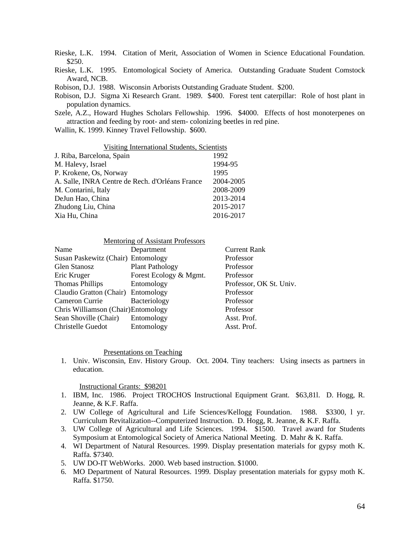Rieske, L.K. 1994. Citation of Merit, Association of Women in Science Educational Foundation. \$250.

Rieske, L.K. 1995. Entomological Society of America. Outstanding Graduate Student Comstock Award, NCB.

Robison, D.J. 1988. Wisconsin Arborists Outstanding Graduate Student. \$200.

Robison, D.J. Sigma Xi Research Grant. 1989. \$400. Forest tent caterpillar: Role of host plant in population dynamics.

Szele, A.Z., Howard Hughes Scholars Fellowship. 1996. \$4000. Effects of host monoterpenes on attraction and feeding by root- and stem- colonizing beetles in red pine.

Wallin, K. 1999. Kinney Travel Fellowship. \$600.

| Visiting International Students, Scientists     |           |  |
|-------------------------------------------------|-----------|--|
| J. Riba, Barcelona, Spain                       | 1992      |  |
| M. Halevy, Israel                               | 1994-95   |  |
| P. Krokene, Os, Norway                          | 1995      |  |
| A. Salle, INRA Centre de Rech. d'Orléans France | 2004-2005 |  |
| M. Contarini, Italy                             | 2008-2009 |  |
| DeJun Hao, China                                | 2013-2014 |  |
| Zhudong Liu, China                              | 2015-2017 |  |
| Xia Hu, China                                   | 2016-2017 |  |

| Mentoring of Assistant Professors |
|-----------------------------------|
| $\mathbf{r}$ $\mathbf{r}$         |

| Name                                | Department             | <b>Current Rank</b>     |
|-------------------------------------|------------------------|-------------------------|
| Susan Paskewitz (Chair) Entomology  |                        | Professor               |
| Glen Stanosz                        | <b>Plant Pathology</b> | Professor               |
| Eric Kruger                         | Forest Ecology & Mgmt. | Professor               |
| <b>Thomas Phillips</b>              | Entomology             | Professor, OK St. Univ. |
| Claudio Gratton (Chair) Entomology  |                        | Professor               |
| Cameron Currie                      | Bacteriology           | Professor               |
| Chris Williamson (Chair) Entomology |                        | Professor               |
| Sean Shoville (Chair)               | Entomology             | Asst. Prof.             |
| Christelle Guedot                   | Entomology             | Asst. Prof.             |
|                                     |                        |                         |

## Presentations on Teaching

1. Univ. Wisconsin, Env. History Group. Oct. 2004. Tiny teachers: Using insects as partners in education.

Instructional Grants: \$98201

- 1. IBM, Inc. 1986. Project TROCHOS Instructional Equipment Grant. \$63,81l. D. Hogg, R. Jeanne, & K.F. Raffa.
- 2. UW College of Agricultural and Life Sciences/Kellogg Foundation. 1988. \$3300, l yr. Curriculum Revitalization--Computerized Instruction. D. Hogg, R. Jeanne, & K.F. Raffa.
- 3. UW College of Agricultural and Life Sciences. 1994. \$1500. Travel award for Students Symposium at Entomological Society of America National Meeting. D. Mahr & K. Raffa.
- 4. WI Department of Natural Resources. 1999. Display presentation materials for gypsy moth K. Raffa. \$7340.
- 5. UW DO-IT WebWorks. 2000. Web based instruction. \$1000.
- 6. MO Department of Natural Resources. 1999. Display presentation materials for gypsy moth K. Raffa. \$1750.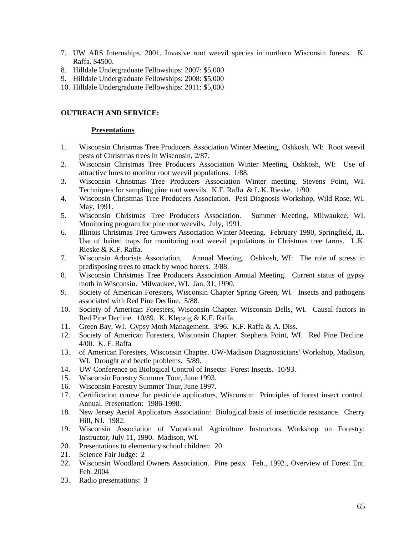- 7. UW ARS Internships. 2001. Invasive root weevil species in northern Wisconsin forests. K. Raffa. \$4500.
- 8. Hilldale Undergraduate Fellowships: 2007: \$5,000
- 9. Hilldale Undergraduate Fellowships: 2008: \$5,000
- 10. Hilldale Undergraduate Fellowships: 2011: \$5,000

## **OUTREACH AND SERVICE:**

### **Presentations**

- 1. Wisconsin Christmas Tree Producers Association Winter Meeting, Oshkosh, WI: Root weevil pests of Christmas trees in Wisconsin, 2/87.
- 2. Wisconsin Christmas Tree Producers Association Winter Meeting, Oshkosh, WI: Use of attractive lures to monitor root weevil populations. 1/88.
- 3. Wisconsin Christmas Tree Producers Association Winter meeting, Stevens Point, WI. Techniques for sampling pine root weevils. K.F. Raffa & L.K. Rieske. 1/90.
- 4. Wisconsin Christmas Tree Producers Association. Pest Diagnosis Workshop, Wild Rose, WI. May, 1991.
- 5. Wisconsin Christmas Tree Producers Association. Summer Meeting, Milwaukee, WI. Monitoring program for pine root weevils. July, 1991.
- 6. Illinois Christmas Tree Growers Association Winter Meeting. February 1990, Springfield, IL. Use of baited traps for monitoring root weevil populations in Christmas tree farms. L.K. Rieske & K.F. Raffa.
- 7. Wisconsin Arborists Association, Annual Meeting. Oshkosh, WI: The role of stress in predisposing trees to attack by wood borers. 3/88.
- 8. Wisconsin Christmas Tree Producers Association Annual Meeting. Current status of gypsy moth in Wisconsin. Milwaukee, WI. Jan. 31, 1990.
- 9. Society of American Foresters, Wisconsin Chapter Spring Green, WI. Insects and pathogens associated with Red Pine Decline. 5/88.
- 10. Society of American Foresters, Wisconsin Chapter. Wisconsin Dells, WI. Causal factors in Red Pine Decline. 10/89. K. Klepzig & K.F. Raffa.
- 11. Green Bay, WI. Gypsy Moth Management. 3/96. K.F. Raffa & A. Diss.
- 12. Society of American Foresters, Wisconsin Chapter. Stephens Point, WI. Red Pine Decline. 4/00. K. F. Raffa
- 13. of American Foresters, Wisconsin Chapter. UW-Madison Diagnosticians' Workshop, Madison, WI. Drought and beetle problems. 5/89.
- 14. UW Conference on Biological Control of Insects: Forest Insects. 10/93.
- 15. Wisconsin Forestry Summer Tour, June 1993.
- 16. Wisconsin Forestry Summer Tour, June 1997.
- 17. Certification course for pesticide applicators, Wisconsin: Principles of forest insect control. Annual. Presentation: 1986-1998.
- 18. New Jersey Aerial Applicators Association: Biological basis of insecticide resistance. Cherry Hill, NJ. 1982.
- 19. Wisconsin Association of Vocational Agriculture Instructors Workshop on Forestry: Instructor, July 11, 1990. Madison, WI.
- 20. Presentations to elementary school children: 20
- 21. Science Fair Judge: 2
- 22. Wisconsin Woodland Owners Association. Pine pests. Feb., 1992., Overview of Forest Ent. Feb. 2004
- 23. Radio presentations: 3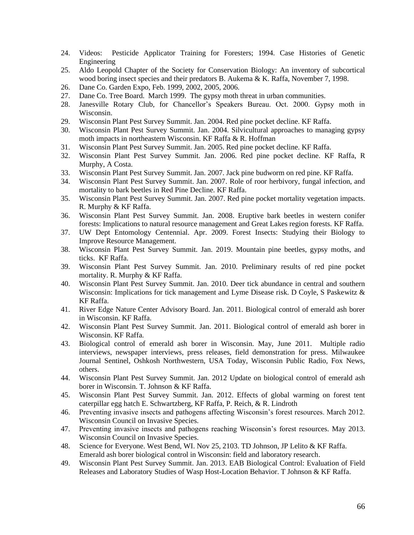- 24. Videos: Pesticide Applicator Training for Foresters; 1994. Case Histories of Genetic Engineering
- 25. Aldo Leopold Chapter of the Society for Conservation Biology: An inventory of subcortical wood boring insect species and their predators B. Aukema & K. Raffa, November 7, 1998.
- 26. Dane Co. Garden Expo, Feb. 1999, 2002, 2005, 2006.
- 27. Dane Co. Tree Board. March 1999. The gypsy moth threat in urban communities.
- 28. Janesville Rotary Club, for Chancellor's Speakers Bureau. Oct. 2000. Gypsy moth in Wisconsin.
- 29. Wisconsin Plant Pest Survey Summit. Jan. 2004. Red pine pocket decline. KF Raffa.
- 30. Wisconsin Plant Pest Survey Summit. Jan. 2004. Silvicultural approaches to managing gypsy moth impacts in northeastern Wisconsin. KF Raffa & R. Hoffman
- 31. Wisconsin Plant Pest Survey Summit. Jan. 2005. Red pine pocket decline. KF Raffa.
- 32. Wisconsin Plant Pest Survey Summit. Jan. 2006. Red pine pocket decline. KF Raffa, R Murphy, A Costa.
- 33. Wisconsin Plant Pest Survey Summit. Jan. 2007. Jack pine budworm on red pine. KF Raffa.
- 34. Wisconsin Plant Pest Survey Summit. Jan. 2007. Role of roor herbivory, fungal infection, and mortality to bark beetles in Red Pine Decline. KF Raffa.
- 35. Wisconsin Plant Pest Survey Summit. Jan. 2007. Red pine pocket mortality vegetation impacts. R. Murphy & KF Raffa.
- 36. Wisconsin Plant Pest Survey Summit. Jan. 2008. Eruptive bark beetles in western conifer forests: Implications to natural resource management and Great Lakes region forests. KF Raffa.
- 37. UW Dept Entomology Centennial. Apr. 2009. Forest Insects: Studying their Biology to Improve Resource Management.
- 38. Wisconsin Plant Pest Survey Summit. Jan. 2019. Mountain pine beetles, gypsy moths, and ticks. KF Raffa.
- 39. Wisconsin Plant Pest Survey Summit. Jan. 2010. Preliminary results of red pine pocket mortality. R. Murphy & KF Raffa.
- 40. Wisconsin Plant Pest Survey Summit. Jan. 2010. Deer tick abundance in central and southern Wisconsin: Implications for tick management and Lyme Disease risk. D Coyle, S Paskewitz & KF Raffa.
- 41. River Edge Nature Center Advisory Board. Jan. 2011. Biological control of emerald ash borer in Wisconsin. KF Raffa.
- 42. Wisconsin Plant Pest Survey Summit. Jan. 2011. Biological control of emerald ash borer in Wisconsin. KF Raffa.
- 43. Biological control of emerald ash borer in Wisconsin. May, June 2011. Multiple radio interviews, newspaper interviews, press releases, field demonstration for press. Milwaukee Journal Sentinel, Oshkosh Northwestern, USA Today, Wisconsin Public Radio, Fox News, others.
- 44. Wisconsin Plant Pest Survey Summit. Jan. 2012 Update on biological control of emerald ash borer in Wisconsin. T. Johnson & KF Raffa.
- 45. Wisconsin Plant Pest Survey Summit. Jan. 2012. Effects of global warming on forest tent caterpillar egg hatch E. Schwartzberg, KF Raffa, P. Reich, & R. Lindroth
- 46. Preventing invasive insects and pathogens affecting Wisconsin's forest resources. March 2012. Wisconsin Council on Invasive Species.
- 47. Preventing invasive insects and pathogens reaching Wisconsin's forest resources. May 2013. Wisconsin Council on Invasive Species.
- 48. Science for Everyone. West Bend, WI. Nov 25, 2103. TD Johnson, JP Lelito & KF Raffa. Emerald ash borer biological control in Wisconsin: field and laboratory research.
- 49. Wisconsin Plant Pest Survey Summit. Jan. 2013. EAB Biological Control: Evaluation of Field Releases and Laboratory Studies of Wasp Host-Location Behavior. T Johnson & KF Raffa.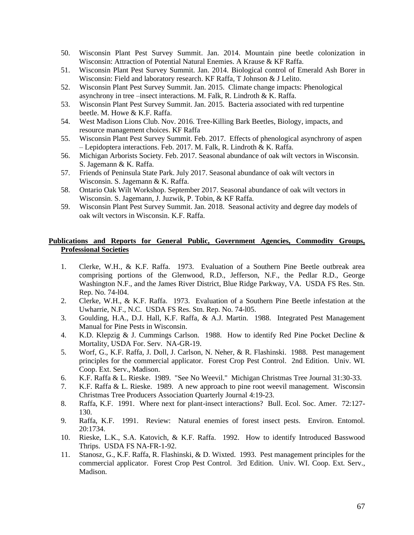- 50. Wisconsin Plant Pest Survey Summit. Jan. 2014. Mountain pine beetle colonization in Wisconsin: Attraction of Potential Natural Enemies. A Krause & KF Raffa.
- 51. Wisconsin Plant Pest Survey Summit. Jan. 2014. Biological control of Emerald Ash Borer in Wisconsin: Field and laboratory research. KF Raffa, T Johnson & J Lelito.
- 52. Wisconsin Plant Pest Survey Summit. Jan. 2015. Climate change impacts: Phenological asynchrony in tree –insect interactions. M. Falk, R. Lindroth & K. Raffa.
- 53. Wisconsin Plant Pest Survey Summit. Jan. 2015. Bacteria associated with red turpentine beetle. M. Howe & K.F. Raffa.
- 54. West Madison Lions Club. Nov. 2016. Tree-Killing Bark Beetles, Biology, impacts, and resource management choices. KF Raffa
- 55. Wisconsin Plant Pest Survey Summit. Feb. 2017. Effects of phenological asynchrony of aspen – Lepidoptera interactions. Feb. 2017. M. Falk, R. Lindroth & K. Raffa.
- 56. Michigan Arborists Society. Feb. 2017. Seasonal abundance of oak wilt vectors in Wisconsin. S. Jagemann & K. Raffa.
- 57. Friends of Peninsula State Park. July 2017. Seasonal abundance of oak wilt vectors in Wisconsin. S. Jagemann & K. Raffa.
- 58. Ontario Oak Wilt Workshop. September 2017. Seasonal abundance of oak wilt vectors in Wisconsin. S. Jagemann, J. Juzwik, P. Tobin, & KF Raffa.
- 59. Wisconsin Plant Pest Survey Summit. Jan. 2018. Seasonal activity and degree day models of oak wilt vectors in Wisconsin. K.F. Raffa.

# **Publications and Reports for General Public, Government Agencies, Commodity Groups, Professional Societies**

- 1. Clerke, W.H., & K.F. Raffa. 1973. Evaluation of a Southern Pine Beetle outbreak area comprising portions of the Glenwood, R.D., Jefferson, N.F., the Pedlar R.D., George Washington N.F., and the James River District, Blue Ridge Parkway, VA. USDA FS Res. Stn. Rep. No. 74-l04.
- 2. Clerke, W.H., & K.F. Raffa. 1973. Evaluation of a Southern Pine Beetle infestation at the Uwharrie, N.F., N.C. USDA FS Res. Stn. Rep. No. 74-l05.
- 3. Goulding, H.A., D.J. Hall, K.F. Raffa, & A.J. Martin. 1988. Integrated Pest Management Manual for Pine Pests in Wisconsin.
- 4. K.D. Klepzig & J. Cummings Carlson. 1988. How to identify Red Pine Pocket Decline & Mortality, USDA For. Serv. NA-GR-19.
- 5. Worf, G., K.F. Raffa, J. Doll, J. Carlson, N. Neher, & R. Flashinski. 1988. Pest management principles for the commercial applicator. Forest Crop Pest Control. 2nd Edition. Univ. WI. Coop. Ext. Serv., Madison.
- 6. K.F. Raffa & L. Rieske. 1989. "See No Weevil." Michigan Christmas Tree Journal 31:30-33.
- 7. K.F. Raffa & L. Rieske. 1989. A new approach to pine root weevil management. Wisconsin Christmas Tree Producers Association Quarterly Journal 4:19-23.
- 8. Raffa, K.F. 1991. Where next for plant-insect interactions? Bull. Ecol. Soc. Amer. 72:127- 130.
- 9. Raffa, K.F. 1991. Review: Natural enemies of forest insect pests. Environ. Entomol. 20:1734.
- 10. Rieske, L.K., S.A. Katovich, & K.F. Raffa. 1992. How to identify Introduced Basswood Thrips. USDA FS NA-FR-1-92.
- 11. Stanosz, G., K.F. Raffa, R. Flashinski, & D. Wixted. 1993. Pest management principles for the commercial applicator. Forest Crop Pest Control. 3rd Edition. Univ. WI. Coop. Ext. Serv., Madison.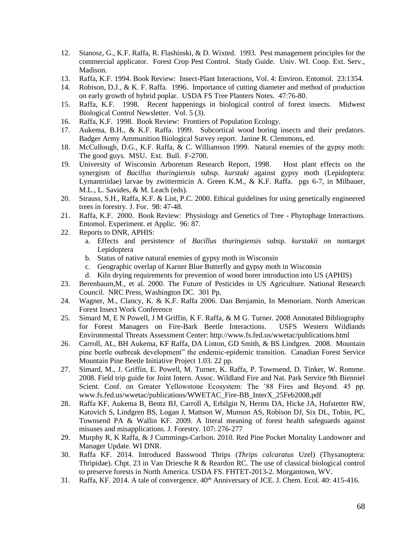- 12. Stanosz, G., K.F. Raffa, R. Flashinski, & D. Wixted. 1993. Pest management principles for the commercial applicator. Forest Crop Pest Control. Study Guide. Univ. WI. Coop. Ext. Serv., Madison.
- 13. Raffa, K.F. 1994. Book Review: Insect-Plant Interactions, Vol. 4: Environ. Entomol. 23:1354.
- 14. Robison, D.J., & K. F. Raffa. 1996. Importance of cutting diameter and method of production on early growth of hybrid poplar. USDA FS Tree Planters Notes. 47:76-80.
- 15. Raffa, K.F. 1998. Recent happenings in biological control of forest insects. Midwest Biological Control Newsletter. Vol. 5 (3).
- 16. Raffa, K.F. 1998. Book Review: Frontiers of Population Ecology.
- 17. Aukema, B.H., & K.F. Raffa. 1999. Subcortical wood boring insects and their predators. Badger Army Ammunition Biological Survey report. Janine R. Clemmons, ed.
- 18. McCullough, D.G., K.F. Raffa, & C. Williamson 1999. Natural enemies of the gypsy moth: The good guys. MSU. Ext. Bull. F-2700.
- 19. University of Wisconsin Arboretum Research Report, 1998. Host plant effects on the synergism of *Bacillus thuringiensis* subsp. *kurstaki* against gypsy moth (Lepidoptera: Lymantriidae) larvae by zwittermicin A. Green K.M., & K.F. Raffa. pgs 6-7, in Milbauer, M.L., L. Savides, & M. Leach (eds).
- 20. Strauss, S.H., Raffa, K.F. & List, P.C. 2000. Ethical guidelines for using genetically engineered trees in forestry. J. For. 98: 47-48.
- 21. Raffa, K.F. 2000. Book Review: Physiology and Genetics of Tree Phytophage Interactions. Entomol. Experiment. et Applic. 96: 87.
- 22. Reports to DNR, APHIS:
	- a. Effects and persistence of *Bacillus thuringiensis* subsp. *kurstakii* on nontarget Lepidoptera
	- b. Status of native natural enemies of gypsy moth in Wisconsin
	- c. Geographic overlap of Karner Blue Butterfly and gypsy moth in Wisconsin
	- d. Kiln drying requirements for prevention of wood borer introduction into US (APHIS)
- 23. Berenbaum,M., et al. 2000. The Future of Pesticides in US Agriculture. National Research Council. NRC Press, Washington DC. 301 Pp.
- 24. Wagner, M., Clancy, K. & K.F. Raffa 2006. Dan Benjamin, In Memoriam. North American Forest Insect Work Conference
- 25. Simard M, E N Powell, J M Griffin, K F. Raffa, & M G. Turner. 2008 Annotated Bibliography for Forest Managers on Fire-Bark Beetle Interactions. USFS Western Wildlands Environmental Threats Assessment Center: http://www.fs.fed.us/wwetac/publications.html
- 26. Carroll, AL, BH Aukema, KF Raffa, DA Linton, GD Smith, & BS Lindgren. 2008. Mountain pine beetle outbreak development" the endemic-epidemic transition. Canadian Forest Service Mountain Pine Beetle Initiative Project 1.03. 22 pp.
- 27. Simard, M., J. Griffin, E. Powell, M. Turner, K. Raffa, P. Townsend, D. Tinker, W. Romme. 2008. Field trip guide for Joint Intern. Assoc. Wildland Fire and Nat. Park Service 9th Bienniel Scient. Conf. on Greater Yellowstone Ecosystem: The '88 Fires and Beyond. 45 pp. www.fs.fed.us/wwetac/publications/WWETAC\_Fire-BB\_InterX\_25Feb2008.pdf
- 28. Raffa KF, Aukema B, Bentz BJ, Carroll A, Erbilgin N, Herms DA, Hicke JA, Hofstetter RW, Katovich S, Lindgren BS, Logan J, Mattson W, Munson AS, Robison DJ, Six DL, Tobin, PC, Townsend PA & Wallin KF. 2009. A literal meaning of forest health safeguards against misuses and misapplications. J. Forestry. 107: 276-277
- 29. Murphy R, K Raffa, & J Cummings-Carlson. 2010. Red Pine Pocket Mortality Landowner and Manager Update. WI DNR.
- 30. Raffa KF. 2014. Introduced Basswood Thrips (*Thrips calcaratus* Uzel) (Thysanoptera: Thripidae). Chpt. 23 in Van Driesche R & Reardon RC. The use of classical biological control to preserve forests in North America. USDA FS. FHTET-2013-2. Morgantown, WV.
- 31. Raffa, KF. 2014. A tale of convergence.  $40^{th}$  Anniversary of JCE. J. Chem. Ecol. 40: 415-416.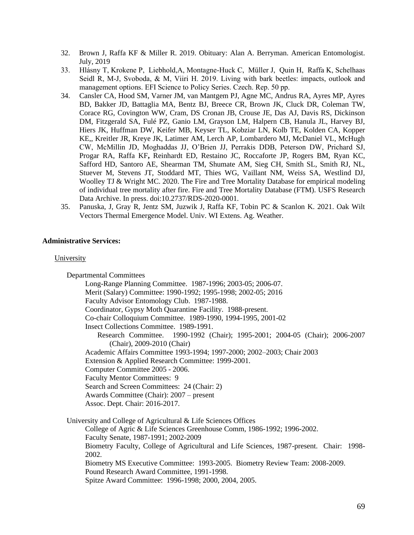- 32. Brown J, Raffa KF & Miller R. 2019. Obituary: Alan A. Berryman. American Entomologist. July, 2019
- 33. Hlásny T, Krokene P, Liebhold,A, Montagne-Huck C, Müller J, Quin H, Raffa K, Schelhaas Seidl R, M-J, Svoboda, & M, Viiri H. 2019. Living with bark beetles: impacts, outlook and management options. EFI Science to Policy Series. Czech. Rep. 50 pp.
- 34. Cansler CA, Hood SM, Varner JM, van Mantgem PJ, Agne MC, Andrus RA, Ayres MP, Ayres BD, Bakker JD, Battaglia MA, Bentz BJ, Breece CR, Brown JK, Cluck DR, Coleman TW, Corace RG, Covington WW, Cram, DS Cronan JB, Crouse JE, Das AJ, Davis RS, Dickinson DM, Fitzgerald SA, Fulé PZ, Ganio LM, Grayson LM, Halpern CB, Hanula JL, Harvey BJ, Hiers JK, Huffman DW, Keifer MB, Keyser TL, Kobziar LN, Kolb TE, Kolden CA, Kopper KE,, Kreitler JR, Kreye JK, Latimer AM, Lerch AP, Lombardero MJ, McDaniel VL, McHugh CW, McMillin JD, Moghaddas JJ, O'Brien JJ, Perrakis DDB, Peterson DW, Prichard SJ, Progar RA, Raffa KF**,** Reinhardt ED, Restaino JC, Roccaforte JP, Rogers BM, Ryan KC, Safford HD, Santoro AE, Shearman TM, Shumate AM, Sieg CH, Smith SL, Smith RJ, NL, Stuever M, Stevens JT, Stoddard MT, Thies WG, Vaillant NM, Weiss SA, Westlind DJ, Woolley TJ & Wright MC. 2020. The Fire and Tree Mortality Database for empirical modeling of individual tree mortality after fire. Fire and Tree Mortality Database (FTM). USFS Research Data Archive. In press. doi:10.2737/RDS-2020-0001.
- 35. Panuska, J, Gray R, Jentz SM, Juzwik J, Raffa KF, Tobin PC & Scanlon K. 2021. Oak Wilt Vectors Thermal Emergence Model. Univ. WI Extens. Ag. Weather.

# **Administrative Services:**

## University

Departmental Committees Long-Range Planning Committee. 1987-1996; 2003-05; 2006-07. Merit (Salary) Committee: 1990-1992; 1995-1998; 2002-05; 2016 Faculty Advisor Entomology Club. 1987-1988. Coordinator, Gypsy Moth Quarantine Facility. 1988-present. Co-chair Colloquium Committee. 1989-1990, 1994-1995, 2001-02 Insect Collections Committee. 1989-1991. Research Committee. 1990-1992 (Chair); 1995-2001; 2004-05 (Chair); 2006-2007 (Chair), 2009-2010 (Chair) Academic Affairs Committee 1993-1994; 1997-2000; 2002–2003; Chair 2003 Extension & Applied Research Committee: 1999-2001. Computer Committee 2005 - 2006. Faculty Mentor Committees: 9 Search and Screen Committees: 24 (Chair: 2) Awards Committee (Chair): 2007 – present Assoc. Dept. Chair: 2016-2017. University and College of Agricultural & Life Sciences Offices College of Agric & Life Sciences Greenhouse Comm, 1986-1992; 1996-2002. Faculty Senate, 1987-1991; 2002-2009 Biometry Faculty, College of Agricultural and Life Sciences, 1987-present. Chair: 1998- 2002. Biometry MS Executive Committee: 1993-2005. Biometry Review Team: 2008-2009. Pound Research Award Committee, 1991-1998. Spitze Award Committee: 1996-1998; 2000, 2004, 2005.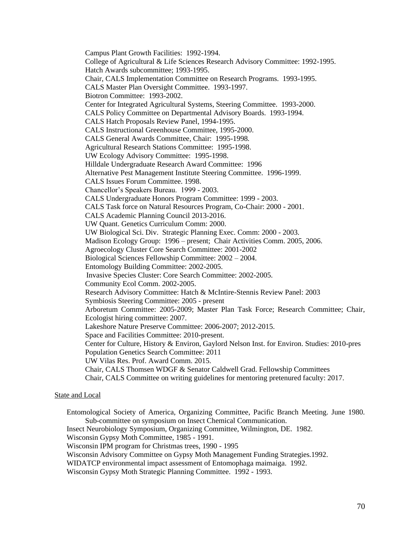Campus Plant Growth Facilities: 1992-1994. College of Agricultural & Life Sciences Research Advisory Committee: 1992-1995. Hatch Awards subcommittee; 1993-1995. Chair, CALS Implementation Committee on Research Programs. 1993-1995. CALS Master Plan Oversight Committee. 1993-1997. Biotron Committee: 1993-2002. Center for Integrated Agricultural Systems, Steering Committee. 1993-2000. CALS Policy Committee on Departmental Advisory Boards. 1993-1994. CALS Hatch Proposals Review Panel, 1994-1995. CALS Instructional Greenhouse Committee, 1995-2000. CALS General Awards Committee, Chair: 1995-1998. Agricultural Research Stations Committee: 1995-1998. UW Ecology Advisory Committee: 1995-1998. Hilldale Undergraduate Research Award Committee: 1996 Alternative Pest Management Institute Steering Committee. 1996-1999. CALS Issues Forum Committee. 1998. Chancellor's Speakers Bureau. 1999 - 2003. CALS Undergraduate Honors Program Committee: 1999 - 2003. CALS Task force on Natural Resources Program, Co-Chair: 2000 - 2001. CALS Academic Planning Council 2013-2016. UW Quant. Genetics Curriculum Comm: 2000. UW Biological Sci. Div. Strategic Planning Exec. Comm: 2000 - 2003. Madison Ecology Group: 1996 – present; Chair Activities Comm. 2005, 2006. Agroecology Cluster Core Search Committee: 2001-2002 Biological Sciences Fellowship Committee: 2002 – 2004. Entomology Building Committee: 2002-2005. Invasive Species Cluster: Core Search Committee: 2002-2005. Community Ecol Comm. 2002-2005. Research Advisory Committee: Hatch & McIntire-Stennis Review Panel: 2003 Symbiosis Steering Committee: 2005 - present Arboretum Committee: 2005-2009; Master Plan Task Force; Research Committee; Chair, Ecologist hiring committee: 2007. Lakeshore Nature Preserve Committee: 2006-2007; 2012-2015. Space and Facilities Committee: 2010-present. Center for Culture, History & Environ, Gaylord Nelson Inst. for Environ. Studies: 2010-pres Population Genetics Search Committee: 2011 UW Vilas Res. Prof. Award Comm. 2015. Chair, CALS Thomsen WDGF & Senator Caldwell Grad. Fellowship Committees Chair, CALS Committee on writing guidelines for mentoring pretenured faculty: 2017.

## State and Local

Entomological Society of America, Organizing Committee, Pacific Branch Meeting. June 1980. Sub-committee on symposium on Insect Chemical Communication. Insect Neurobiology Symposium, Organizing Committee, Wilmington, DE. 1982. Wisconsin Gypsy Moth Committee, 1985 - 1991. Wisconsin IPM program for Christmas trees, 1990 - 1995 Wisconsin Advisory Committee on Gypsy Moth Management Funding Strategies.1992. WIDATCP environmental impact assessment of Entomophaga maimaiga. 1992.

Wisconsin Gypsy Moth Strategic Planning Committee. 1992 - 1993.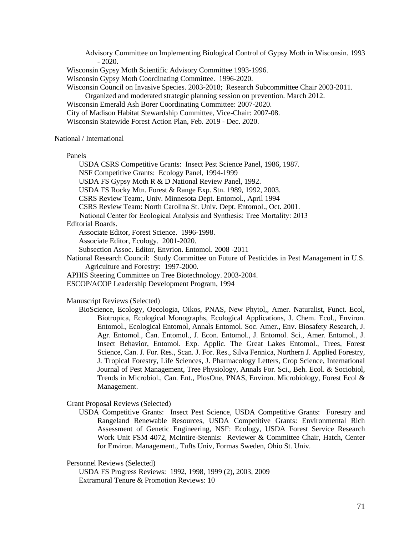Advisory Committee on Implementing Biological Control of Gypsy Moth in Wisconsin. 1993 - 2020. Wisconsin Gypsy Moth Scientific Advisory Committee 1993-1996. Wisconsin Gypsy Moth Coordinating Committee. 1996-2020. Wisconsin Council on Invasive Species. 2003-2018; Research Subcommittee Chair 2003-2011. Organized and moderated strategic planning session on prevention. March 2012. Wisconsin Emerald Ash Borer Coordinating Committee: 2007-2020. City of Madison Habitat Stewardship Committee, Vice-Chair: 2007-08. Wisconsin Statewide Forest Action Plan, Feb. 2019 - Dec. 2020.

#### National / International

Panels

USDA CSRS Competitive Grants: Insect Pest Science Panel, 1986, 1987.

NSF Competitive Grants: Ecology Panel, 1994-1999

USDA FS Gypsy Moth R & D National Review Panel, 1992.

USDA FS Rocky Mtn. Forest & Range Exp. Stn. 1989, 1992, 2003.

CSRS Review Team:, Univ. Minnesota Dept. Entomol., April 1994

CSRS Review Team: North Carolina St. Univ. Dept. Entomol., Oct. 2001.

National Center for Ecological Analysis and Synthesis: Tree Mortality: 2013

Editorial Boards.

Associate Editor, Forest Science. 1996-1998.

Associate Editor, Ecology. 2001-2020.

Subsection Assoc. Editor, Envrion. Entomol. 2008 -2011

National Research Council: Study Committee on Future of Pesticides in Pest Management in U.S. Agriculture and Forestry: 1997-2000.

APHIS Steering Committee on Tree Biotechnology. 2003-2004.

ESCOP/ACOP Leadership Development Program, 1994

### Manuscript Reviews (Selected)

BioScience, Ecology, Oecologia, Oikos, PNAS, New Phytol,, Amer. Naturalist, Funct. Ecol, Biotropica, Ecological Monographs, Ecological Applications, J. Chem. Ecol., Environ. Entomol., Ecological Entomol, Annals Entomol. Soc. Amer., Env. Biosafety Research, J. Agr. Entomol., Can. Entomol., J. Econ. Entomol., J. Entomol. Sci., Amer. Entomol., J. Insect Behavior, Entomol. Exp. Applic. The Great Lakes Entomol., Trees, Forest Science, Can. J. For. Res., Scan. J. For. Res., Silva Fennica, Northern J. Applied Forestry, J. Tropical Forestry, Life Sciences, J. Pharmacology Letters, Crop Science, International Journal of Pest Management, Tree Physiology, Annals For. Sci., Beh. Ecol. & Sociobiol, Trends in Microbiol., Can. Ent., PlosOne, PNAS, Environ. Microbiology, Forest Ecol & Management.

Grant Proposal Reviews (Selected)

USDA Competitive Grants: Insect Pest Science, USDA Competitive Grants: Forestry and Rangeland Renewable Resources, USDA Competitive Grants: Environmental Rich Assessment of Genetic Engineering, NSF: Ecology, USDA Forest Service Research Work Unit FSM 4072, McIntire-Stennis: Reviewer & Committee Chair, Hatch, Center for Environ. Management., Tufts Univ, Formas Sweden, Ohio St. Univ.

Personnel Reviews (Selected)

USDA FS Progress Reviews: 1992, 1998, 1999 (2), 2003, 2009 Extramural Tenure & Promotion Reviews: 10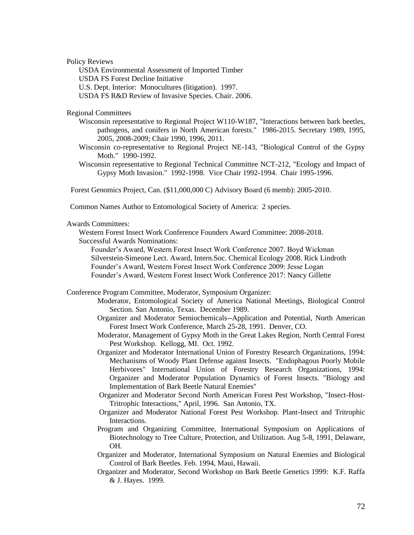Policy Reviews

USDA Environmental Assessment of Imported Timber USDA FS Forest Decline Initiative U.S. Dept. Interior: Monocultures (litigation). 1997.

USDA FS R&D Review of Invasive Species. Chair. 2006.

Regional Committees

- Wisconsin representative to Regional Project W110-W187, "Interactions between bark beetles, pathogens, and conifers in North American forests." 1986-2015. Secretary 1989, 1995, 2005, 2008-2009; Chair 1990, 1996, 2011.
- Wisconsin co-representative to Regional Project NE-143, "Biological Control of the Gypsy Moth." 1990-1992.
- Wisconsin representative to Regional Technical Committee NCT-212, "Ecology and Impact of Gypsy Moth Invasion." 1992-1998. Vice Chair 1992-1994. Chair 1995-1996.

Forest Genomics Project, Can. (\$11,000,000 C) Advisory Board (6 memb): 2005-2010.

Common Names Author to Entomological Society of America: 2 species.

### Awards Committees:

Western Forest Insect Work Conference Founders Award Committee: 2008-2018. Successful Awards Nominations:

Founder's Award, Western Forest Insect Work Conference 2007. Boyd Wickman Silverstein-Simeone Lect. Award, Intern.Soc. Chemical Ecology 2008. Rick Lindroth Founder's Award, Western Forest Insect Work Conference 2009: Jesse Logan Founder's Award, Western Forest Insect Work Conference 2017: Nancy Gillette

Conference Program Committee, Moderator, Symposium Organizer:

- Moderator, Entomological Society of America National Meetings, Biological Control Section. San Antonio, Texas. December 1989.
- Organizer and Moderator Semiochemicals--Application and Potential, North American Forest Insect Work Conference, March 25-28, 1991. Denver, CO.
- Moderator, Management of Gypsy Moth in the Great Lakes Region, North Central Forest Pest Workshop. Kellogg, MI. Oct. 1992.
- Organizer and Moderator International Union of Forestry Research Organizations, 1994: Mechanisms of Woody Plant Defense against Insects. "Endophagous Poorly Mobile Herbivores" International Union of Forestry Research Organizations, 1994: Organizer and Moderator Population Dynamics of Forest Insects. "Biology and Implementation of Bark Beetle Natural Enemies"
- Organizer and Moderator Second North American Forest Pest Workshop, "Insect-Host-Tritrophic Interactions," April, 1996. San Antonio, TX.
- Organizer and Moderator National Forest Pest Workshop. Plant-Insect and Tritrophic Interactions.
- Program and Organizing Committee, International Symposium on Applications of Biotechnology to Tree Culture, Protection, and Utilization. Aug 5-8, 1991, Delaware, OH.
- Organizer and Moderator, International Symposium on Natural Enemies and Biological Control of Bark Beetles. Feb. 1994, Maui, Hawaii.
- Organizer and Moderator, Second Workshop on Bark Beetle Genetics 1999: K.F. Raffa & J. Hayes. 1999.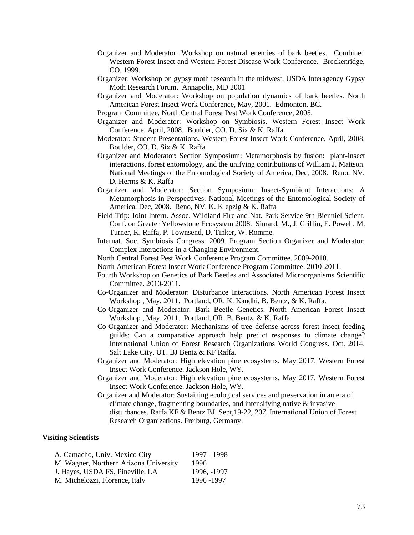- Organizer and Moderator: Workshop on natural enemies of bark beetles. Combined Western Forest Insect and Western Forest Disease Work Conference. Breckenridge, CO, 1999.
- Organizer: Workshop on gypsy moth research in the midwest. USDA Interagency Gypsy Moth Research Forum. Annapolis, MD 2001
- Organizer and Moderator: Workshop on population dynamics of bark beetles. North American Forest Insect Work Conference, May, 2001. Edmonton, BC.
- Program Committee, North Central Forest Pest Work Conference, 2005.
- Organizer and Moderator: Workshop on Symbiosis. Western Forest Insect Work Conference, April, 2008. Boulder, CO. D. Six & K. Raffa
- Moderator: Student Presentations. Western Forest Insect Work Conference, April, 2008. Boulder, CO. D. Six & K. Raffa
- Organizer and Moderator: Section Symposium: Metamorphosis by fusion: plant-insect interactions, forest entomology, and the unifying contributions of William J. Mattson. National Meetings of the Entomological Society of America, Dec, 2008. Reno, NV. D. Herms & K. Raffa
- Organizer and Moderator: Section Symposium: Insect-Symbiont Interactions: A Metamorphosis in Perspectives. National Meetings of the Entomological Society of America, Dec, 2008. Reno, NV. K. Klepzig & K. Raffa
- Field Trip: Joint Intern. Assoc. Wildland Fire and Nat. Park Service 9th Bienniel Scient. Conf. on Greater Yellowstone Ecosystem 2008. Simard, M., J. Griffin, E. Powell, M. Turner, K. Raffa, P. Townsend, D. Tinker, W. Romme.
- Internat. Soc. Symbiosis Congress. 2009. Program Section Organizer and Moderator: Complex Interactions in a Changing Environment.
- North Central Forest Pest Work Conference Program Committee. 2009-2010.
- North American Forest Insect Work Conference Program Committee. 2010-2011.
- Fourth Workshop on Genetics of Bark Beetles and Associated Microorganisms Scientific Committee. 2010-2011.
- Co-Organizer and Moderator: Disturbance Interactions. North American Forest Insect Workshop , May, 2011. Portland, OR. K. Kandhi, B. Bentz, & K. Raffa.
- Co-Organizer and Moderator: Bark Beetle Genetics. North American Forest Insect Workshop , May, 2011. Portland, OR. B. Bentz, & K. Raffa.
- Co-Organizer and Moderator: Mechanisms of tree defense across forest insect feeding guilds: Can a comparative approach help predict responses to climate change? International Union of Forest Research Organizations World Congress. Oct. 2014, Salt Lake City, UT. BJ Bentz & KF Raffa.
- Organizer and Moderator: High elevation pine ecosystems. May 2017. Western Forest Insect Work Conference. Jackson Hole, WY.
- Organizer and Moderator: High elevation pine ecosystems. May 2017. Western Forest Insect Work Conference. Jackson Hole, WY.
- Organizer and Moderator: Sustaining ecological services and preservation in an era of climate change, fragmenting boundaries, and intensifying native & invasive disturbances. Raffa KF & Bentz BJ. Sept,19-22, 207. International Union of Forest Research Organizations. Freiburg, Germany.

## **Visiting Scientists**

| A. Camacho, Univ. Mexico City          | 1997 - 1998 |
|----------------------------------------|-------------|
| M. Wagner, Northern Arizona University | 1996        |
| J. Hayes, USDA FS, Pineville, LA       | 1996, -1997 |
| M. Michelozzi, Florence, Italy         | 1996 - 1997 |